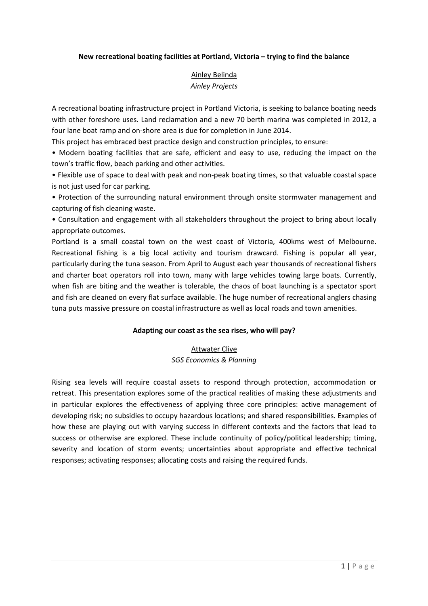#### **New recreational boating facilities at Portland, Victoria – trying to find the balance**

# Ainley Belinda *Ainley Projects*

A recreational boating infrastructure project in Portland Victoria, is seeking to balance boating needs with other foreshore uses. Land reclamation and a new 70 berth marina was completed in 2012, a four lane boat ramp and on-shore area is due for completion in June 2014.

This project has embraced best practice design and construction principles, to ensure:

• Modern boating facilities that are safe, efficient and easy to use, reducing the impact on the town's traffic flow, beach parking and other activities.

• Flexible use of space to deal with peak and non-peak boating times, so that valuable coastal space is not just used for car parking.

• Protection of the surrounding natural environment through onsite stormwater management and capturing of fish cleaning waste.

• Consultation and engagement with all stakeholders throughout the project to bring about locally appropriate outcomes.

Portland is a small coastal town on the west coast of Victoria, 400kms west of Melbourne. Recreational fishing is a big local activity and tourism drawcard. Fishing is popular all year, particularly during the tuna season. From April to August each year thousands of recreational fishers and charter boat operators roll into town, many with large vehicles towing large boats. Currently, when fish are biting and the weather is tolerable, the chaos of boat launching is a spectator sport and fish are cleaned on every flat surface available. The huge number of recreational anglers chasing tuna puts massive pressure on coastal infrastructure as well as local roads and town amenities.

#### **Adapting our coast as the sea rises, who will pay?**

#### **Attwater Clive**

*SGS Economics & Planning* 

Rising sea levels will require coastal assets to respond through protection, accommodation or retreat. This presentation explores some of the practical realities of making these adjustments and in particular explores the effectiveness of applying three core principles: active management of developing risk; no subsidies to occupy hazardous locations; and shared responsibilities. Examples of how these are playing out with varying success in different contexts and the factors that lead to success or otherwise are explored. These include continuity of policy/political leadership; timing, severity and location of storm events; uncertainties about appropriate and effective technical responses; activating responses; allocating costs and raising the required funds.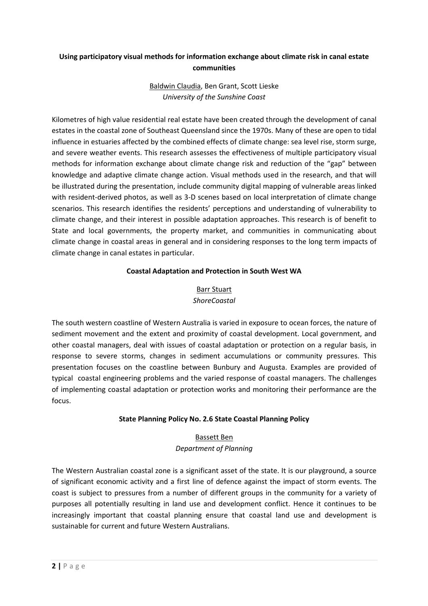# **Using participatory visual methods for information exchange about climate risk in canal estate communities**

# Baldwin Claudia, Ben Grant, Scott Lieske *University of the Sunshine Coast*

Kilometres of high value residential real estate have been created through the development of canal estates in the coastal zone of Southeast Queensland since the 1970s. Many of these are open to tidal influence in estuaries affected by the combined effects of climate change: sea level rise, storm surge, and severe weather events. This research assesses the effectiveness of multiple participatory visual methods for information exchange about climate change risk and reduction of the "gap" between knowledge and adaptive climate change action. Visual methods used in the research, and that will be illustrated during the presentation, include community digital mapping of vulnerable areas linked with resident-derived photos, as well as 3-D scenes based on local interpretation of climate change scenarios. This research identifies the residents' perceptions and understanding of vulnerability to climate change, and their interest in possible adaptation approaches. This research is of benefit to State and local governments, the property market, and communities in communicating about climate change in coastal areas in general and in considering responses to the long term impacts of climate change in canal estates in particular.

### **Coastal Adaptation and Protection in South West WA**

# **Barr Stuart** *ShoreCoastal*

The south western coastline of Western Australia is varied in exposure to ocean forces, the nature of sediment movement and the extent and proximity of coastal development. Local government, and other coastal managers, deal with issues of coastal adaptation or protection on a regular basis, in response to severe storms, changes in sediment accumulations or community pressures. This presentation focuses on the coastline between Bunbury and Augusta. Examples are provided of typical coastal engineering problems and the varied response of coastal managers. The challenges of implementing coastal adaptation or protection works and monitoring their performance are the focus.

# **State Planning Policy No. 2.6 State Coastal Planning Policy**

# Bassett Ben *Department of Planning*

The Western Australian coastal zone is a significant asset of the state. It is our playground, a source of significant economic activity and a first line of defence against the impact of storm events. The coast is subject to pressures from a number of different groups in the community for a variety of purposes all potentially resulting in land use and development conflict. Hence it continues to be increasingly important that coastal planning ensure that coastal land use and development is sustainable for current and future Western Australians.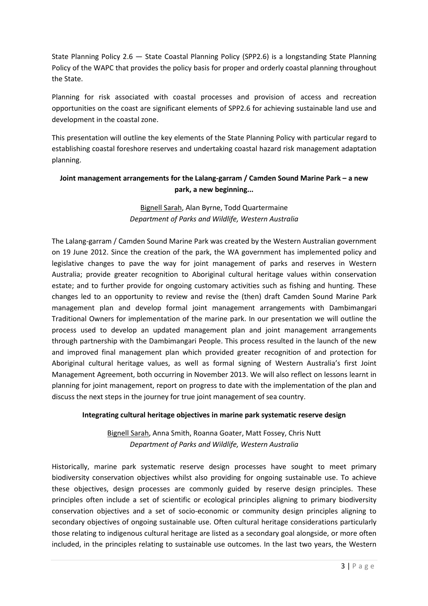State Planning Policy 2.6 — State Coastal Planning Policy (SPP2.6) is a longstanding State Planning Policy of the WAPC that provides the policy basis for proper and orderly coastal planning throughout the State.

Planning for risk associated with coastal processes and provision of access and recreation opportunities on the coast are significant elements of SPP2.6 for achieving sustainable land use and development in the coastal zone.

This presentation will outline the key elements of the State Planning Policy with particular regard to establishing coastal foreshore reserves and undertaking coastal hazard risk management adaptation planning.

# **Joint management arrangements for the Lalang-garram / Camden Sound Marine Park – a new park, a new beginning...**

### Bignell Sarah, Alan Byrne, Todd Quartermaine *Department of Parks and Wildlife, Western Australia*

The Lalang-garram / Camden Sound Marine Park was created by the Western Australian government on 19 June 2012. Since the creation of the park, the WA government has implemented policy and legislative changes to pave the way for joint management of parks and reserves in Western Australia; provide greater recognition to Aboriginal cultural heritage values within conservation estate; and to further provide for ongoing customary activities such as fishing and hunting. These changes led to an opportunity to review and revise the (then) draft Camden Sound Marine Park management plan and develop formal joint management arrangements with Dambimangari Traditional Owners for implementation of the marine park. In our presentation we will outline the process used to develop an updated management plan and joint management arrangements through partnership with the Dambimangari People. This process resulted in the launch of the new and improved final management plan which provided greater recognition of and protection for Aboriginal cultural heritage values, as well as formal signing of Western Australia's first Joint Management Agreement, both occurring in November 2013. We will also reflect on lessons learnt in planning for joint management, report on progress to date with the implementation of the plan and discuss the next steps in the journey for true joint management of sea country.

#### **Integrating cultural heritage objectives in marine park systematic reserve design**

Bignell Sarah, Anna Smith, Roanna Goater, Matt Fossey, Chris Nutt *Department of Parks and Wildlife, Western Australia* 

Historically, marine park systematic reserve design processes have sought to meet primary biodiversity conservation objectives whilst also providing for ongoing sustainable use. To achieve these objectives, design processes are commonly guided by reserve design principles. These principles often include a set of scientific or ecological principles aligning to primary biodiversity conservation objectives and a set of socio-economic or community design principles aligning to secondary objectives of ongoing sustainable use. Often cultural heritage considerations particularly those relating to indigenous cultural heritage are listed as a secondary goal alongside, or more often included, in the principles relating to sustainable use outcomes. In the last two years, the Western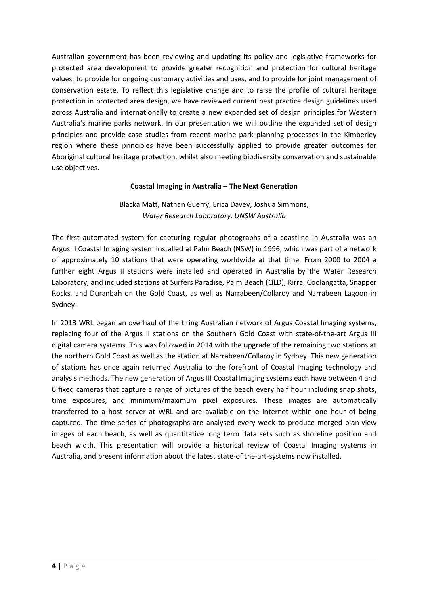Australian government has been reviewing and updating its policy and legislative frameworks for protected area development to provide greater recognition and protection for cultural heritage values, to provide for ongoing customary activities and uses, and to provide for joint management of conservation estate. To reflect this legislative change and to raise the profile of cultural heritage protection in protected area design, we have reviewed current best practice design guidelines used across Australia and internationally to create a new expanded set of design principles for Western Australia's marine parks network. In our presentation we will outline the expanded set of design principles and provide case studies from recent marine park planning processes in the Kimberley region where these principles have been successfully applied to provide greater outcomes for Aboriginal cultural heritage protection, whilst also meeting biodiversity conservation and sustainable use objectives.

#### **Coastal Imaging in Australia – The Next Generation**

### Blacka Matt, Nathan Guerry, Erica Davey, Joshua Simmons, *Water Research Laboratory, UNSW Australia*

The first automated system for capturing regular photographs of a coastline in Australia was an Argus II Coastal Imaging system installed at Palm Beach (NSW) in 1996, which was part of a network of approximately 10 stations that were operating worldwide at that time. From 2000 to 2004 a further eight Argus II stations were installed and operated in Australia by the Water Research Laboratory, and included stations at Surfers Paradise, Palm Beach (QLD), Kirra, Coolangatta, Snapper Rocks, and Duranbah on the Gold Coast, as well as Narrabeen/Collaroy and Narrabeen Lagoon in Sydney.

In 2013 WRL began an overhaul of the tiring Australian network of Argus Coastal Imaging systems, replacing four of the Argus II stations on the Southern Gold Coast with state-of-the-art Argus III digital camera systems. This was followed in 2014 with the upgrade of the remaining two stations at the northern Gold Coast as well as the station at Narrabeen/Collaroy in Sydney. This new generation of stations has once again returned Australia to the forefront of Coastal Imaging technology and analysis methods. The new generation of Argus III Coastal Imaging systems each have between 4 and 6 fixed cameras that capture a range of pictures of the beach every half hour including snap shots, time exposures, and minimum/maximum pixel exposures. These images are automatically transferred to a host server at WRL and are available on the internet within one hour of being captured. The time series of photographs are analysed every week to produce merged plan-view images of each beach, as well as quantitative long term data sets such as shoreline position and beach width. This presentation will provide a historical review of Coastal Imaging systems in Australia, and present information about the latest state-of the-art-systems now installed.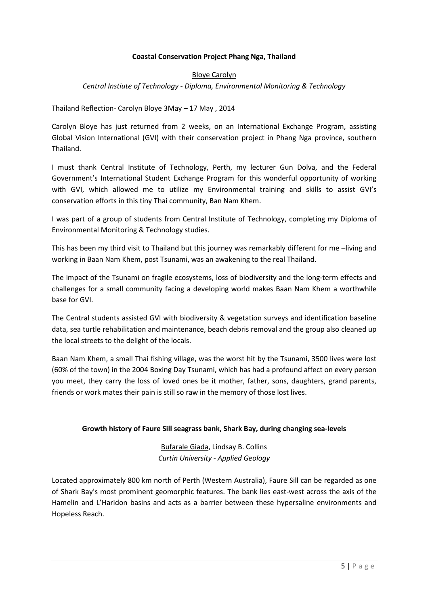#### **Coastal Conservation Project Phang Nga, Thailand**

### Bloye Carolyn *Central Instiute of Technology - Diploma, Environmental Monitoring & Technology*

#### Thailand Reflection- Carolyn Bloye 3May – 17 May , 2014

Carolyn Bloye has just returned from 2 weeks, on an International Exchange Program, assisting Global Vision International (GVI) with their conservation project in Phang Nga province, southern Thailand.

I must thank Central Institute of Technology, Perth, my lecturer Gun Dolva, and the Federal Government's International Student Exchange Program for this wonderful opportunity of working with GVI, which allowed me to utilize my Environmental training and skills to assist GVI's conservation efforts in this tiny Thai community, Ban Nam Khem.

I was part of a group of students from Central Institute of Technology, completing my Diploma of Environmental Monitoring & Technology studies.

This has been my third visit to Thailand but this journey was remarkably different for me –living and working in Baan Nam Khem, post Tsunami, was an awakening to the real Thailand.

The impact of the Tsunami on fragile ecosystems, loss of biodiversity and the long-term effects and challenges for a small community facing a developing world makes Baan Nam Khem a worthwhile base for GVI.

The Central students assisted GVI with biodiversity & vegetation surveys and identification baseline data, sea turtle rehabilitation and maintenance, beach debris removal and the group also cleaned up the local streets to the delight of the locals.

Baan Nam Khem, a small Thai fishing village, was the worst hit by the Tsunami, 3500 lives were lost (60% of the town) in the 2004 Boxing Day Tsunami, which has had a profound affect on every person you meet, they carry the loss of loved ones be it mother, father, sons, daughters, grand parents, friends or work mates their pain is still so raw in the memory of those lost lives.

#### **Growth history of Faure Sill seagrass bank, Shark Bay, during changing sea-levels**

Bufarale Giada, Lindsay B. Collins *Curtin University - Applied Geology* 

Located approximately 800 km north of Perth (Western Australia), Faure Sill can be regarded as one of Shark Bay's most prominent geomorphic features. The bank lies east-west across the axis of the Hamelin and L'Haridon basins and acts as a barrier between these hypersaline environments and Hopeless Reach.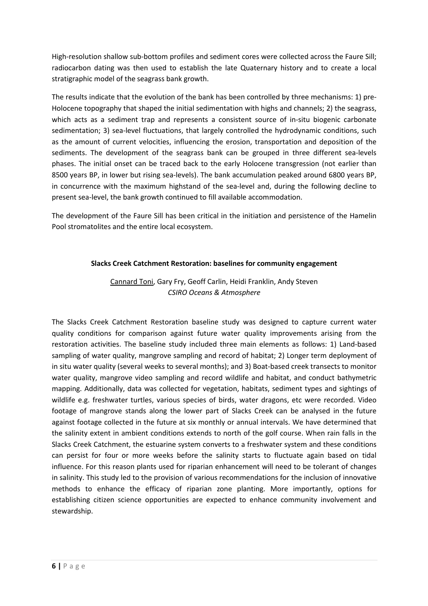High-resolution shallow sub-bottom profiles and sediment cores were collected across the Faure Sill; radiocarbon dating was then used to establish the late Quaternary history and to create a local stratigraphic model of the seagrass bank growth.

The results indicate that the evolution of the bank has been controlled by three mechanisms: 1) pre-Holocene topography that shaped the initial sedimentation with highs and channels; 2) the seagrass, which acts as a sediment trap and represents a consistent source of in-situ biogenic carbonate sedimentation; 3) sea-level fluctuations, that largely controlled the hydrodynamic conditions, such as the amount of current velocities, influencing the erosion, transportation and deposition of the sediments. The development of the seagrass bank can be grouped in three different sea-levels phases. The initial onset can be traced back to the early Holocene transgression (not earlier than 8500 years BP, in lower but rising sea-levels). The bank accumulation peaked around 6800 years BP, in concurrence with the maximum highstand of the sea-level and, during the following decline to present sea-level, the bank growth continued to fill available accommodation.

The development of the Faure Sill has been critical in the initiation and persistence of the Hamelin Pool stromatolites and the entire local ecosystem.

#### **Slacks Creek Catchment Restoration: baselines for community engagement**

# Cannard Toni, Gary Fry, Geoff Carlin, Heidi Franklin, Andy Steven *CSIRO Oceans & Atmosphere*

The Slacks Creek Catchment Restoration baseline study was designed to capture current water quality conditions for comparison against future water quality improvements arising from the restoration activities. The baseline study included three main elements as follows: 1) Land-based sampling of water quality, mangrove sampling and record of habitat; 2) Longer term deployment of in situ water quality (several weeks to several months); and 3) Boat-based creek transects to monitor water quality, mangrove video sampling and record wildlife and habitat, and conduct bathymetric mapping. Additionally, data was collected for vegetation, habitats, sediment types and sightings of wildlife e.g. freshwater turtles, various species of birds, water dragons, etc were recorded. Video footage of mangrove stands along the lower part of Slacks Creek can be analysed in the future against footage collected in the future at six monthly or annual intervals. We have determined that the salinity extent in ambient conditions extends to north of the golf course. When rain falls in the Slacks Creek Catchment, the estuarine system converts to a freshwater system and these conditions can persist for four or more weeks before the salinity starts to fluctuate again based on tidal influence. For this reason plants used for riparian enhancement will need to be tolerant of changes in salinity. This study led to the provision of various recommendations for the inclusion of innovative methods to enhance the efficacy of riparian zone planting. More importantly, options for establishing citizen science opportunities are expected to enhance community involvement and stewardship.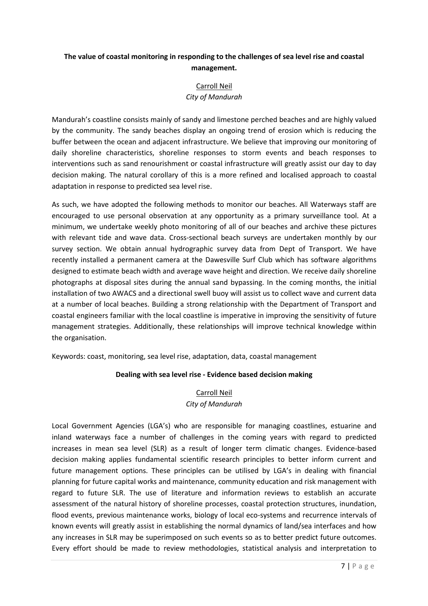# **The value of coastal monitoring in responding to the challenges of sea level rise and coastal management.**

# Carroll Neil *City of Mandurah*

Mandurah's coastline consists mainly of sandy and limestone perched beaches and are highly valued by the community. The sandy beaches display an ongoing trend of erosion which is reducing the buffer between the ocean and adjacent infrastructure. We believe that improving our monitoring of daily shoreline characteristics, shoreline responses to storm events and beach responses to interventions such as sand renourishment or coastal infrastructure will greatly assist our day to day decision making. The natural corollary of this is a more refined and localised approach to coastal adaptation in response to predicted sea level rise.

As such, we have adopted the following methods to monitor our beaches. All Waterways staff are encouraged to use personal observation at any opportunity as a primary surveillance tool. At a minimum, we undertake weekly photo monitoring of all of our beaches and archive these pictures with relevant tide and wave data. Cross-sectional beach surveys are undertaken monthly by our survey section. We obtain annual hydrographic survey data from Dept of Transport. We have recently installed a permanent camera at the Dawesville Surf Club which has software algorithms designed to estimate beach width and average wave height and direction. We receive daily shoreline photographs at disposal sites during the annual sand bypassing. In the coming months, the initial installation of two AWACS and a directional swell buoy will assist us to collect wave and current data at a number of local beaches. Building a strong relationship with the Department of Transport and coastal engineers familiar with the local coastline is imperative in improving the sensitivity of future management strategies. Additionally, these relationships will improve technical knowledge within the organisation.

Keywords: coast, monitoring, sea level rise, adaptation, data, coastal management

#### **Dealing with sea level rise - Evidence based decision making**

### Carroll Neil *City of Mandurah*

Local Government Agencies (LGA's) who are responsible for managing coastlines, estuarine and inland waterways face a number of challenges in the coming years with regard to predicted increases in mean sea level (SLR) as a result of longer term climatic changes. Evidence-based decision making applies fundamental scientific research principles to better inform current and future management options. These principles can be utilised by LGA's in dealing with financial planning for future capital works and maintenance, community education and risk management with regard to future SLR. The use of literature and information reviews to establish an accurate assessment of the natural history of shoreline processes, coastal protection structures, inundation, flood events, previous maintenance works, biology of local eco-systems and recurrence intervals of known events will greatly assist in establishing the normal dynamics of land/sea interfaces and how any increases in SLR may be superimposed on such events so as to better predict future outcomes. Every effort should be made to review methodologies, statistical analysis and interpretation to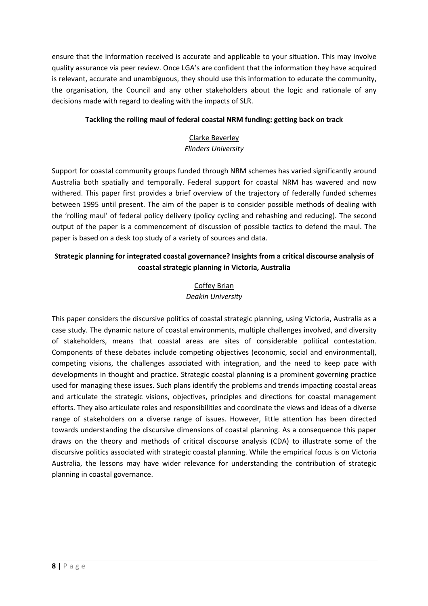ensure that the information received is accurate and applicable to your situation. This may involve quality assurance via peer review. Once LGA's are confident that the information they have acquired is relevant, accurate and unambiguous, they should use this information to educate the community, the organisation, the Council and any other stakeholders about the logic and rationale of any decisions made with regard to dealing with the impacts of SLR.

### **Tackling the rolling maul of federal coastal NRM funding: getting back on track**

# Clarke Beverley *Flinders University*

Support for coastal community groups funded through NRM schemes has varied significantly around Australia both spatially and temporally. Federal support for coastal NRM has wavered and now withered. This paper first provides a brief overview of the trajectory of federally funded schemes between 1995 until present. The aim of the paper is to consider possible methods of dealing with the 'rolling maul' of federal policy delivery (policy cycling and rehashing and reducing). The second output of the paper is a commencement of discussion of possible tactics to defend the maul. The paper is based on a desk top study of a variety of sources and data.

# **Strategic planning for integrated coastal governance? Insights from a critical discourse analysis of coastal strategic planning in Victoria, Australia**

### Coffey Brian *Deakin University*

This paper considers the discursive politics of coastal strategic planning, using Victoria, Australia as a case study. The dynamic nature of coastal environments, multiple challenges involved, and diversity of stakeholders, means that coastal areas are sites of considerable political contestation. Components of these debates include competing objectives (economic, social and environmental), competing visions, the challenges associated with integration, and the need to keep pace with developments in thought and practice. Strategic coastal planning is a prominent governing practice used for managing these issues. Such plans identify the problems and trends impacting coastal areas and articulate the strategic visions, objectives, principles and directions for coastal management efforts. They also articulate roles and responsibilities and coordinate the views and ideas of a diverse range of stakeholders on a diverse range of issues. However, little attention has been directed towards understanding the discursive dimensions of coastal planning. As a consequence this paper draws on the theory and methods of critical discourse analysis (CDA) to illustrate some of the discursive politics associated with strategic coastal planning. While the empirical focus is on Victoria Australia, the lessons may have wider relevance for understanding the contribution of strategic planning in coastal governance.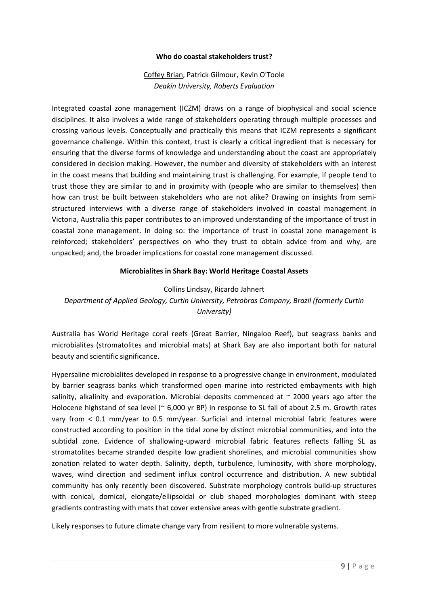#### **Who do coastal stakeholders trust?**

### Coffey Brian, Patrick Gilmour, Kevin O'Toole *Deakin University, Roberts Evaluation*

Integrated coastal zone management (ICZM) draws on a range of biophysical and social science disciplines. It also involves a wide range of stakeholders operating through multiple processes and crossing various levels. Conceptually and practically this means that ICZM represents a significant governance challenge. Within this context, trust is clearly a critical ingredient that is necessary for ensuring that the diverse forms of knowledge and understanding about the coast are appropriately considered in decision making. However, the number and diversity of stakeholders with an interest in the coast means that building and maintaining trust is challenging. For example, if people tend to trust those they are similar to and in proximity with (people who are similar to themselves) then how can trust be built between stakeholders who are not alike? Drawing on insights from semistructured interviews with a diverse range of stakeholders involved in coastal management in Victoria, Australia this paper contributes to an improved understanding of the importance of trust in coastal zone management. In doing so: the importance of trust in coastal zone management is reinforced; stakeholders' perspectives on who they trust to obtain advice from and why, are unpacked; and, the broader implications for coastal zone management discussed.

#### **Microbialites in Shark Bay: World Heritage Coastal Assets**

#### Collins Lindsay, Ricardo Jahnert

# *Department of Applied Geology, Curtin University, Petrobras Company, Brazil (formerly Curtin University)*

Australia has World Heritage coral reefs (Great Barrier, Ningaloo Reef), but seagrass banks and microbialites (stromatolites and microbial mats) at Shark Bay are also important both for natural beauty and scientific significance.

Hypersaline microbialites developed in response to a progressive change in environment, modulated by barrier seagrass banks which transformed open marine into restricted embayments with high salinity, alkalinity and evaporation. Microbial deposits commenced at  $\sim$  2000 years ago after the Holocene highstand of sea level (~ 6,000 yr BP) in response to SL fall of about 2.5 m. Growth rates vary from < 0.1 mm/year to 0.5 mm/year. Surficial and internal microbial fabric features were constructed according to position in the tidal zone by distinct microbial communities, and into the subtidal zone. Evidence of shallowing-upward microbial fabric features reflects falling SL as stromatolites became stranded despite low gradient shorelines, and microbial communities show zonation related to water depth. Salinity, depth, turbulence, luminosity, with shore morphology, waves, wind direction and sediment influx control occurrence and distribution. A new subtidal community has only recently been discovered. Substrate morphology controls build-up structures with conical, domical, elongate/ellipsoidal or club shaped morphologies dominant with steep gradients contrasting with mats that cover extensive areas with gentle substrate gradient.

Likely responses to future climate change vary from resilient to more vulnerable systems.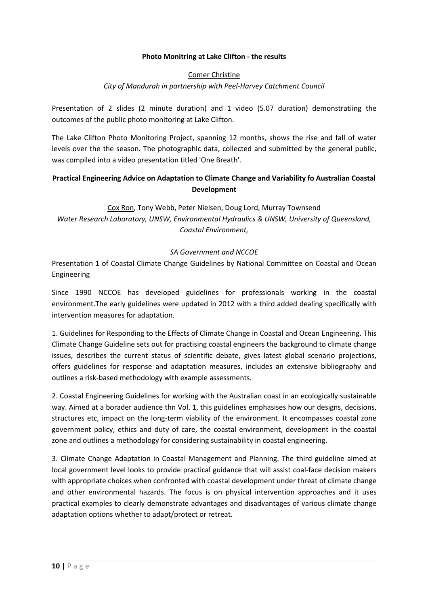#### **Photo Monitring at Lake Clifton - the results**

#### Comer Christine

*City of Mandurah in partnership with Peel-Harvey Catchment Council* 

Presentation of 2 slides (2 minute duration) and 1 video (5.07 duration) demonstratiing the outcomes of the public photo monitoring at Lake Clifton.

The Lake Clifton Photo Monitoring Project, spanning 12 months, shows the rise and fall of water levels over the the season. The photographic data, collected and submitted by the general public, was compiled into a video presentation titled 'One Breath'.

### **Practical Engineering Advice on Adaptation to Climate Change and Variability fo Australian Coastal Development**

Cox Ron, Tony Webb, Peter Nielsen, Doug Lord, Murray Townsend *Water Research Laboratory, UNSW, Environmental Hydraulics & UNSW, University of Queensland, Coastal Environment,* 

#### *SA Government and NCCOE*

Presentation 1 of Coastal Climate Change Guidelines by National Committee on Coastal and Ocean Engineering

Since 1990 NCCOE has developed guidelines for professionals working in the coastal environment.The early guidelines were updated in 2012 with a third added dealing specifically with intervention measures for adaptation.

1. Guidelines for Responding to the Effects of Climate Change in Coastal and Ocean Engineering. This Climate Change Guideline sets out for practising coastal engineers the background to climate change issues, describes the current status of scientific debate, gives latest global scenario projections, offers guidelines for response and adaptation measures, includes an extensive bibliography and outlines a risk-based methodology with example assessments.

2. Coastal Engineering Guidelines for working with the Australian coast in an ecologically sustainable way. Aimed at a borader audience thn Vol. 1, this guidelines emphasises how our designs, decisions, structures etc, impact on the long-term viability of the environment. It encompasses coastal zone government policy, ethics and duty of care, the coastal environment, development in the coastal zone and outlines a methodology for considering sustainability in coastal engineering.

3. Climate Change Adaptation in Coastal Management and Planning. The third guideline aimed at local government level looks to provide practical guidance that will assist coal-face decision makers with appropriate choices when confronted with coastal development under threat of climate change and other environmental hazards. The focus is on physical intervention approaches and it uses practical examples to clearly demonstrate advantages and disadvantages of various climate change adaptation options whether to adapt/protect or retreat.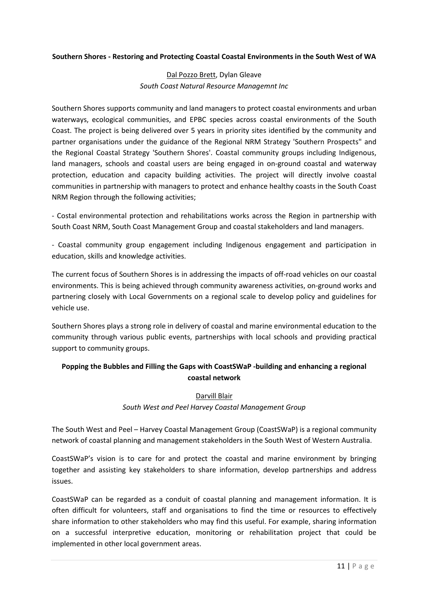#### **Southern Shores - Restoring and Protecting Coastal Coastal Environments in the South West of WA**

### Dal Pozzo Brett, Dylan Gleave *South Coast Natural Resource Managemnt Inc*

Southern Shores supports community and land managers to protect coastal environments and urban waterways, ecological communities, and EPBC species across coastal environments of the South Coast. The project is being delivered over 5 years in priority sites identified by the community and partner organisations under the guidance of the Regional NRM Strategy 'Southern Prospects" and the Regional Coastal Strategy 'Southern Shores'. Coastal community groups including Indigenous, land managers, schools and coastal users are being engaged in on-ground coastal and waterway protection, education and capacity building activities. The project will directly involve coastal communities in partnership with managers to protect and enhance healthy coasts in the South Coast NRM Region through the following activities;

- Costal environmental protection and rehabilitations works across the Region in partnership with South Coast NRM, South Coast Management Group and coastal stakeholders and land managers.

- Coastal community group engagement including Indigenous engagement and participation in education, skills and knowledge activities.

The current focus of Southern Shores is in addressing the impacts of off-road vehicles on our coastal environments. This is being achieved through community awareness activities, on-ground works and partnering closely with Local Governments on a regional scale to develop policy and guidelines for vehicle use.

Southern Shores plays a strong role in delivery of coastal and marine environmental education to the community through various public events, partnerships with local schools and providing practical support to community groups.

# **Popping the Bubbles and Filling the Gaps with CoastSWaP -building and enhancing a regional coastal network**

### Darvill Blair *South West and Peel Harvey Coastal Management Group*

The South West and Peel – Harvey Coastal Management Group (CoastSWaP) is a regional community network of coastal planning and management stakeholders in the South West of Western Australia.

CoastSWaP's vision is to care for and protect the coastal and marine environment by bringing together and assisting key stakeholders to share information, develop partnerships and address issues.

CoastSWaP can be regarded as a conduit of coastal planning and management information. It is often difficult for volunteers, staff and organisations to find the time or resources to effectively share information to other stakeholders who may find this useful. For example, sharing information on a successful interpretive education, monitoring or rehabilitation project that could be implemented in other local government areas.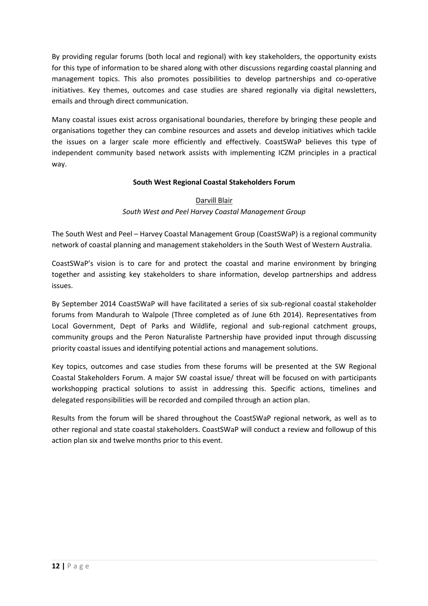By providing regular forums (both local and regional) with key stakeholders, the opportunity exists for this type of information to be shared along with other discussions regarding coastal planning and management topics. This also promotes possibilities to develop partnerships and co-operative initiatives. Key themes, outcomes and case studies are shared regionally via digital newsletters, emails and through direct communication.

Many coastal issues exist across organisational boundaries, therefore by bringing these people and organisations together they can combine resources and assets and develop initiatives which tackle the issues on a larger scale more efficiently and effectively. CoastSWaP believes this type of independent community based network assists with implementing ICZM principles in a practical way.

### **South West Regional Coastal Stakeholders Forum**

#### Darvill Blair

### *South West and Peel Harvey Coastal Management Group*

The South West and Peel – Harvey Coastal Management Group (CoastSWaP) is a regional community network of coastal planning and management stakeholders in the South West of Western Australia.

CoastSWaP's vision is to care for and protect the coastal and marine environment by bringing together and assisting key stakeholders to share information, develop partnerships and address issues.

By September 2014 CoastSWaP will have facilitated a series of six sub-regional coastal stakeholder forums from Mandurah to Walpole (Three completed as of June 6th 2014). Representatives from Local Government, Dept of Parks and Wildlife, regional and sub-regional catchment groups, community groups and the Peron Naturaliste Partnership have provided input through discussing priority coastal issues and identifying potential actions and management solutions.

Key topics, outcomes and case studies from these forums will be presented at the SW Regional Coastal Stakeholders Forum. A major SW coastal issue/ threat will be focused on with participants workshopping practical solutions to assist in addressing this. Specific actions, timelines and delegated responsibilities will be recorded and compiled through an action plan.

Results from the forum will be shared throughout the CoastSWaP regional network, as well as to other regional and state coastal stakeholders. CoastSWaP will conduct a review and followup of this action plan six and twelve months prior to this event.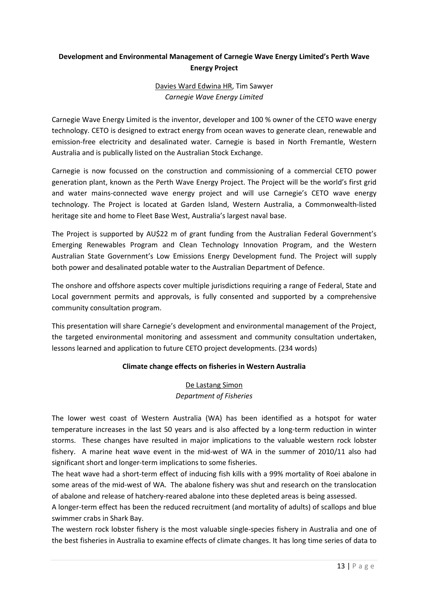# **Development and Environmental Management of Carnegie Wave Energy Limited's Perth Wave Energy Project**

# Davies Ward Edwina HR, Tim Sawyer *Carnegie Wave Energy Limited*

Carnegie Wave Energy Limited is the inventor, developer and 100 % owner of the CETO wave energy technology. CETO is designed to extract energy from ocean waves to generate clean, renewable and emission-free electricity and desalinated water. Carnegie is based in North Fremantle, Western Australia and is publically listed on the Australian Stock Exchange.

Carnegie is now focussed on the construction and commissioning of a commercial CETO power generation plant, known as the Perth Wave Energy Project. The Project will be the world's first grid and water mains-connected wave energy project and will use Carnegie's CETO wave energy technology. The Project is located at Garden Island, Western Australia, a Commonwealth-listed heritage site and home to Fleet Base West, Australia's largest naval base.

The Project is supported by AU\$22 m of grant funding from the Australian Federal Government's Emerging Renewables Program and Clean Technology Innovation Program, and the Western Australian State Government's Low Emissions Energy Development fund. The Project will supply both power and desalinated potable water to the Australian Department of Defence.

The onshore and offshore aspects cover multiple jurisdictions requiring a range of Federal, State and Local government permits and approvals, is fully consented and supported by a comprehensive community consultation program.

This presentation will share Carnegie's development and environmental management of the Project, the targeted environmental monitoring and assessment and community consultation undertaken, lessons learned and application to future CETO project developments. (234 words)

# **Climate change effects on fisheries in Western Australia**

### De Lastang Simon *Department of Fisheries*

The lower west coast of Western Australia (WA) has been identified as a hotspot for water temperature increases in the last 50 years and is also affected by a long-term reduction in winter storms. These changes have resulted in major implications to the valuable western rock lobster fishery. A marine heat wave event in the mid-west of WA in the summer of 2010/11 also had significant short and longer-term implications to some fisheries.

The heat wave had a short-term effect of inducing fish kills with a 99% mortality of Roei abalone in some areas of the mid-west of WA. The abalone fishery was shut and research on the translocation of abalone and release of hatchery-reared abalone into these depleted areas is being assessed.

A longer-term effect has been the reduced recruitment (and mortality of adults) of scallops and blue swimmer crabs in Shark Bay.

The western rock lobster fishery is the most valuable single-species fishery in Australia and one of the best fisheries in Australia to examine effects of climate changes. It has long time series of data to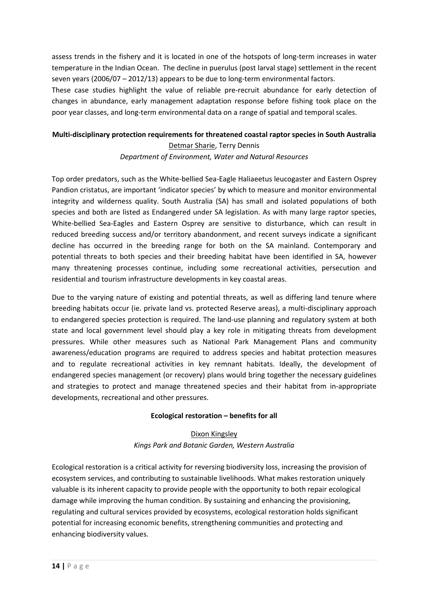assess trends in the fishery and it is located in one of the hotspots of long-term increases in water temperature in the Indian Ocean. The decline in puerulus (post larval stage) settlement in the recent seven years (2006/07 – 2012/13) appears to be due to long-term environmental factors.

These case studies highlight the value of reliable pre-recruit abundance for early detection of changes in abundance, early management adaptation response before fishing took place on the poor year classes, and long-term environmental data on a range of spatial and temporal scales.

### **Multi-disciplinary protection requirements for threatened coastal raptor species in South Australia**  Detmar Sharie, Terry Dennis

### *Department of Environment, Water and Natural Resources*

Top order predators, such as the White-bellied Sea-Eagle Haliaeetus leucogaster and Eastern Osprey Pandion cristatus, are important 'indicator species' by which to measure and monitor environmental integrity and wilderness quality. South Australia (SA) has small and isolated populations of both species and both are listed as Endangered under SA legislation. As with many large raptor species, White-bellied Sea-Eagles and Eastern Osprey are sensitive to disturbance, which can result in reduced breeding success and/or territory abandonment, and recent surveys indicate a significant decline has occurred in the breeding range for both on the SA mainland. Contemporary and potential threats to both species and their breeding habitat have been identified in SA, however many threatening processes continue, including some recreational activities, persecution and residential and tourism infrastructure developments in key coastal areas.

Due to the varying nature of existing and potential threats, as well as differing land tenure where breeding habitats occur (ie. private land vs. protected Reserve areas), a multi-disciplinary approach to endangered species protection is required. The land-use planning and regulatory system at both state and local government level should play a key role in mitigating threats from development pressures. While other measures such as National Park Management Plans and community awareness/education programs are required to address species and habitat protection measures and to regulate recreational activities in key remnant habitats. Ideally, the development of endangered species management (or recovery) plans would bring together the necessary guidelines and strategies to protect and manage threatened species and their habitat from in-appropriate developments, recreational and other pressures.

#### **Ecological restoration – benefits for all**

# Dixon Kingsley *Kings Park and Botanic Garden, Western Australia*

Ecological restoration is a critical activity for reversing biodiversity loss, increasing the provision of ecosystem services, and contributing to sustainable livelihoods. What makes restoration uniquely valuable is its inherent capacity to provide people with the opportunity to both repair ecological damage while improving the human condition. By sustaining and enhancing the provisioning, regulating and cultural services provided by ecosystems, ecological restoration holds significant potential for increasing economic benefits, strengthening communities and protecting and enhancing biodiversity values.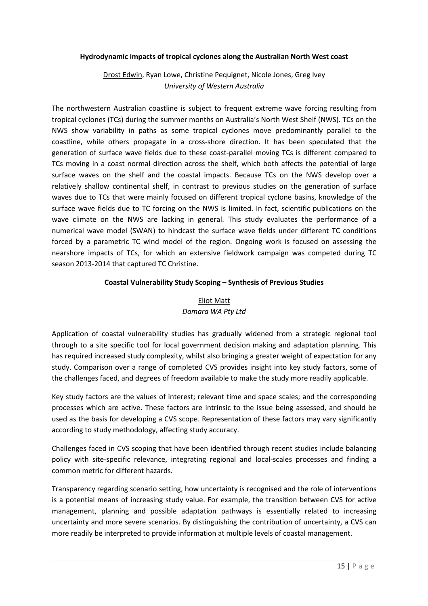#### **Hydrodynamic impacts of tropical cyclones along the Australian North West coast**

### Drost Edwin, Ryan Lowe, Christine Pequignet, Nicole Jones, Greg Ivey *University of Western Australia*

The northwestern Australian coastline is subject to frequent extreme wave forcing resulting from tropical cyclones (TCs) during the summer months on Australia's North West Shelf (NWS). TCs on the NWS show variability in paths as some tropical cyclones move predominantly parallel to the coastline, while others propagate in a cross-shore direction. It has been speculated that the generation of surface wave fields due to these coast-parallel moving TCs is different compared to TCs moving in a coast normal direction across the shelf, which both affects the potential of large surface waves on the shelf and the coastal impacts. Because TCs on the NWS develop over a relatively shallow continental shelf, in contrast to previous studies on the generation of surface waves due to TCs that were mainly focused on different tropical cyclone basins, knowledge of the surface wave fields due to TC forcing on the NWS is limited. In fact, scientific publications on the wave climate on the NWS are lacking in general. This study evaluates the performance of a numerical wave model (SWAN) to hindcast the surface wave fields under different TC conditions forced by a parametric TC wind model of the region. Ongoing work is focused on assessing the nearshore impacts of TCs, for which an extensive fieldwork campaign was competed during TC season 2013-2014 that captured TC Christine.

#### **Coastal Vulnerability Study Scoping – Synthesis of Previous Studies**

# Eliot Matt *Damara WA Pty Ltd*

Application of coastal vulnerability studies has gradually widened from a strategic regional tool through to a site specific tool for local government decision making and adaptation planning. This has required increased study complexity, whilst also bringing a greater weight of expectation for any study. Comparison over a range of completed CVS provides insight into key study factors, some of the challenges faced, and degrees of freedom available to make the study more readily applicable.

Key study factors are the values of interest; relevant time and space scales; and the corresponding processes which are active. These factors are intrinsic to the issue being assessed, and should be used as the basis for developing a CVS scope. Representation of these factors may vary significantly according to study methodology, affecting study accuracy.

Challenges faced in CVS scoping that have been identified through recent studies include balancing policy with site-specific relevance, integrating regional and local-scales processes and finding a common metric for different hazards.

Transparency regarding scenario setting, how uncertainty is recognised and the role of interventions is a potential means of increasing study value. For example, the transition between CVS for active management, planning and possible adaptation pathways is essentially related to increasing uncertainty and more severe scenarios. By distinguishing the contribution of uncertainty, a CVS can more readily be interpreted to provide information at multiple levels of coastal management.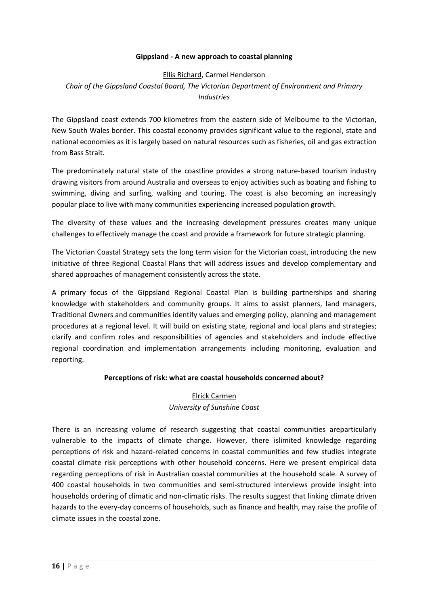#### **Gippsland - A new approach to coastal planning**

### Ellis Richard, Carmel Henderson *Chair of the Gippsland Coastal Board, The Victorian Department of Environment and Primary Industries*

The Gippsland coast extends 700 kilometres from the eastern side of Melbourne to the Victorian, New South Wales border. This coastal economy provides significant value to the regional, state and national economies as it is largely based on natural resources such as fisheries, oil and gas extraction from Bass Strait.

The predominately natural state of the coastline provides a strong nature-based tourism industry drawing visitors from around Australia and overseas to enjoy activities such as boating and fishing to swimming, diving and surfing, walking and touring. The coast is also becoming an increasingly popular place to live with many communities experiencing increased population growth.

The diversity of these values and the increasing development pressures creates many unique challenges to effectively manage the coast and provide a framework for future strategic planning.

The Victorian Coastal Strategy sets the long term vision for the Victorian coast, introducing the new initiative of three Regional Coastal Plans that will address issues and develop complementary and shared approaches of management consistently across the state.

A primary focus of the Gippsland Regional Coastal Plan is building partnerships and sharing knowledge with stakeholders and community groups. It aims to assist planners, land managers, Traditional Owners and communities identify values and emerging policy, planning and management procedures at a regional level. It will build on existing state, regional and local plans and strategies; clarify and confirm roles and responsibilities of agencies and stakeholders and include effective regional coordination and implementation arrangements including monitoring, evaluation and reporting.

#### **Perceptions of risk: what are coastal households concerned about?**

### Elrick Carmen *University of Sunshine Coast*

There is an increasing volume of research suggesting that coastal communities areparticularly vulnerable to the impacts of climate change. However, there islimited knowledge regarding perceptions of risk and hazard-related concerns in coastal communities and few studies integrate coastal climate risk perceptions with other household concerns. Here we present empirical data regarding perceptions of risk in Australian coastal communities at the household scale. A survey of 400 coastal households in two communities and semi-structured interviews provide insight into households ordering of climatic and non-climatic risks. The results suggest that linking climate driven hazards to the every-day concerns of households, such as finance and health, may raise the profile of climate issues in the coastal zone.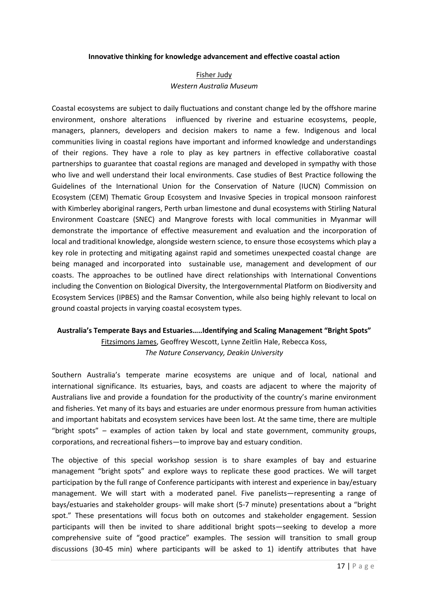#### **Innovative thinking for knowledge advancement and effective coastal action**

#### Fisher Judy *Western Australia Museum*

Coastal ecosystems are subject to daily fluctuations and constant change led by the offshore marine environment, onshore alterations influenced by riverine and estuarine ecosystems, people, managers, planners, developers and decision makers to name a few. Indigenous and local communities living in coastal regions have important and informed knowledge and understandings of their regions. They have a role to play as key partners in effective collaborative coastal partnerships to guarantee that coastal regions are managed and developed in sympathy with those who live and well understand their local environments. Case studies of Best Practice following the Guidelines of the International Union for the Conservation of Nature (IUCN) Commission on Ecosystem (CEM) Thematic Group Ecosystem and Invasive Species in tropical monsoon rainforest with Kimberley aboriginal rangers, Perth urban limestone and dunal ecosystems with Stirling Natural Environment Coastcare (SNEC) and Mangrove forests with local communities in Myanmar will demonstrate the importance of effective measurement and evaluation and the incorporation of local and traditional knowledge, alongside western science, to ensure those ecosystems which play a key role in protecting and mitigating against rapid and sometimes unexpected coastal change are being managed and incorporated into sustainable use, management and development of our coasts. The approaches to be outlined have direct relationships with International Conventions including the Convention on Biological Diversity, the Intergovernmental Platform on Biodiversity and Ecosystem Services (IPBES) and the Ramsar Convention, while also being highly relevant to local on ground coastal projects in varying coastal ecosystem types.

# **Australia's Temperate Bays and Estuaries…..Identifying and Scaling Management "Bright Spots"**

Fitzsimons James, Geoffrey Wescott, Lynne Zeitlin Hale, Rebecca Koss, *The Nature Conservancy, Deakin University* 

Southern Australia's temperate marine ecosystems are unique and of local, national and international significance. Its estuaries, bays, and coasts are adjacent to where the majority of Australians live and provide a foundation for the productivity of the country's marine environment and fisheries. Yet many of its bays and estuaries are under enormous pressure from human activities and important habitats and ecosystem services have been lost. At the same time, there are multiple "bright spots" – examples of action taken by local and state government, community groups, corporations, and recreational fishers—to improve bay and estuary condition.

The objective of this special workshop session is to share examples of bay and estuarine management "bright spots" and explore ways to replicate these good practices. We will target participation by the full range of Conference participants with interest and experience in bay/estuary management. We will start with a moderated panel. Five panelists—representing a range of bays/estuaries and stakeholder groups- will make short (5-7 minute) presentations about a "bright spot." These presentations will focus both on outcomes and stakeholder engagement. Session participants will then be invited to share additional bright spots—seeking to develop a more comprehensive suite of "good practice" examples. The session will transition to small group discussions (30-45 min) where participants will be asked to 1) identify attributes that have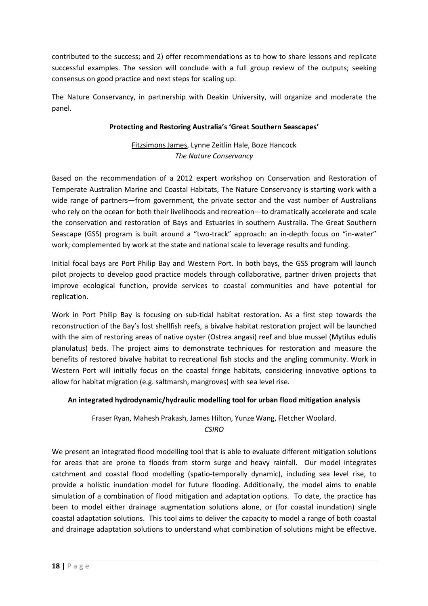contributed to the success; and 2) offer recommendations as to how to share lessons and replicate successful examples. The session will conclude with a full group review of the outputs; seeking consensus on good practice and next steps for scaling up.

The Nature Conservancy, in partnership with Deakin University, will organize and moderate the panel.

#### **Protecting and Restoring Australia's 'Great Southern Seascapes'**

Fitzsimons James, Lynne Zeitlin Hale, Boze Hancock *The Nature Conservancy* 

Based on the recommendation of a 2012 expert workshop on Conservation and Restoration of Temperate Australian Marine and Coastal Habitats, The Nature Conservancy is starting work with a wide range of partners—from government, the private sector and the vast number of Australians who rely on the ocean for both their livelihoods and recreation—to dramatically accelerate and scale the conservation and restoration of Bays and Estuaries in southern Australia. The Great Southern Seascape (GSS) program is built around a "two-track" approach: an in-depth focus on "in-water" work; complemented by work at the state and national scale to leverage results and funding.

Initial focal bays are Port Philip Bay and Western Port. In both bays, the GSS program will launch pilot projects to develop good practice models through collaborative, partner driven projects that improve ecological function, provide services to coastal communities and have potential for replication.

Work in Port Philip Bay is focusing on sub-tidal habitat restoration. As a first step towards the reconstruction of the Bay's lost shellfish reefs, a bivalve habitat restoration project will be launched with the aim of restoring areas of native oyster (Ostrea angasi) reef and blue mussel (Mytilus edulis planulatus) beds. The project aims to demonstrate techniques for restoration and measure the benefits of restored bivalve habitat to recreational fish stocks and the angling community. Work in Western Port will initially focus on the coastal fringe habitats, considering innovative options to allow for habitat migration (e.g. saltmarsh, mangroves) with sea level rise.

# **An integrated hydrodynamic/hydraulic modelling tool for urban flood mitigation analysis**

# Fraser Ryan, Mahesh Prakash, James Hilton, Yunze Wang, Fletcher Woolard. *CSIRO*

We present an integrated flood modelling tool that is able to evaluate different mitigation solutions for areas that are prone to floods from storm surge and heavy rainfall. Our model integrates catchment and coastal flood modelling (spatio-temporally dynamic), including sea level rise, to provide a holistic inundation model for future flooding. Additionally, the model aims to enable simulation of a combination of flood mitigation and adaptation options. To date, the practice has been to model either drainage augmentation solutions alone, or (for coastal inundation) single coastal adaptation solutions. This tool aims to deliver the capacity to model a range of both coastal and drainage adaptation solutions to understand what combination of solutions might be effective.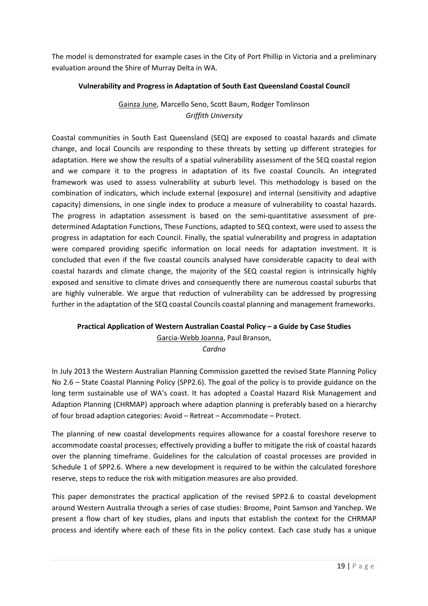The model is demonstrated for example cases in the City of Port Phillip in Victoria and a preliminary evaluation around the Shire of Murray Delta in WA.

#### **Vulnerability and Progress in Adaptation of South East Queensland Coastal Council**

# Gainza June, Marcello Seno, Scott Baum, Rodger Tomlinson *Griffith University*

Coastal communities in South East Queensland (SEQ) are exposed to coastal hazards and climate change, and local Councils are responding to these threats by setting up different strategies for adaptation. Here we show the results of a spatial vulnerability assessment of the SEQ coastal region and we compare it to the progress in adaptation of its five coastal Councils. An integrated framework was used to assess vulnerability at suburb level. This methodology is based on the combination of indicators, which include external (exposure) and internal (sensitivity and adaptive capacity) dimensions, in one single index to produce a measure of vulnerability to coastal hazards. The progress in adaptation assessment is based on the semi-quantitative assessment of predetermined Adaptation Functions, These Functions, adapted to SEQ context, were used to assess the progress in adaptation for each Council. Finally, the spatial vulnerability and progress in adaptation were compared providing specific information on local needs for adaptation investment. It is concluded that even if the five coastal councils analysed have considerable capacity to deal with coastal hazards and climate change, the majority of the SEQ coastal region is intrinsically highly exposed and sensitive to climate drives and consequently there are numerous coastal suburbs that are highly vulnerable. We argue that reduction of vulnerability can be addressed by progressing further in the adaptation of the SEQ coastal Councils coastal planning and management frameworks.

# **Practical Application of Western Australian Coastal Policy – a Guide by Case Studies**

Garcia-Webb Joanna, Paul Branson,

*Cardno* 

In July 2013 the Western Australian Planning Commission gazetted the revised State Planning Policy No 2.6 – State Coastal Planning Policy (SPP2.6). The goal of the policy is to provide guidance on the long term sustainable use of WA's coast. It has adopted a Coastal Hazard Risk Management and Adaption Planning (CHRMAP) approach where adaption planning is preferably based on a hierarchy of four broad adaption categories: Avoid – Retreat – Accommodate – Protect.

The planning of new coastal developments requires allowance for a coastal foreshore reserve to accommodate coastal processes; effectively providing a buffer to mitigate the risk of coastal hazards over the planning timeframe. Guidelines for the calculation of coastal processes are provided in Schedule 1 of SPP2.6. Where a new development is required to be within the calculated foreshore reserve, steps to reduce the risk with mitigation measures are also provided.

This paper demonstrates the practical application of the revised SPP2.6 to coastal development around Western Australia through a series of case studies: Broome, Point Samson and Yanchep. We present a flow chart of key studies, plans and inputs that establish the context for the CHRMAP process and identify where each of these fits in the policy context. Each case study has a unique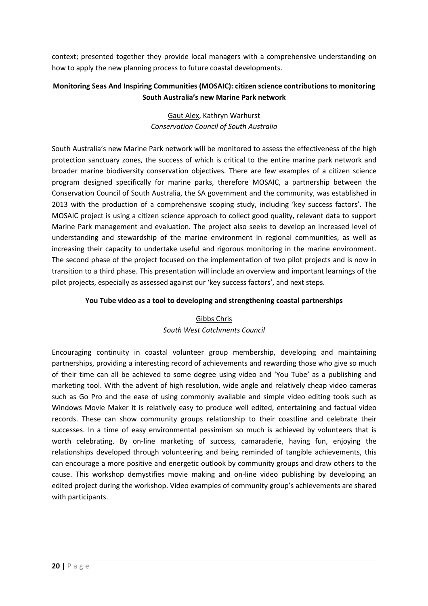context; presented together they provide local managers with a comprehensive understanding on how to apply the new planning process to future coastal developments.

# **Monitoring Seas And Inspiring Communities (MOSAIC): citizen science contributions to monitoring South Australia's new Marine Park network**

# Gaut Alex, Kathryn Warhurst *Conservation Council of South Australia*

South Australia's new Marine Park network will be monitored to assess the effectiveness of the high protection sanctuary zones, the success of which is critical to the entire marine park network and broader marine biodiversity conservation objectives. There are few examples of a citizen science program designed specifically for marine parks, therefore MOSAIC, a partnership between the Conservation Council of South Australia, the SA government and the community, was established in 2013 with the production of a comprehensive scoping study, including 'key success factors'. The MOSAIC project is using a citizen science approach to collect good quality, relevant data to support Marine Park management and evaluation. The project also seeks to develop an increased level of understanding and stewardship of the marine environment in regional communities, as well as increasing their capacity to undertake useful and rigorous monitoring in the marine environment. The second phase of the project focused on the implementation of two pilot projects and is now in transition to a third phase. This presentation will include an overview and important learnings of the pilot projects, especially as assessed against our 'key success factors', and next steps.

### **You Tube video as a tool to developing and strengthening coastal partnerships**

# Gibbs Chris *South West Catchments Council*

Encouraging continuity in coastal volunteer group membership, developing and maintaining partnerships, providing a interesting record of achievements and rewarding those who give so much of their time can all be achieved to some degree using video and 'You Tube' as a publishing and marketing tool. With the advent of high resolution, wide angle and relatively cheap video cameras such as Go Pro and the ease of using commonly available and simple video editing tools such as Windows Movie Maker it is relatively easy to produce well edited, entertaining and factual video records. These can show community groups relationship to their coastline and celebrate their successes. In a time of easy environmental pessimism so much is achieved by volunteers that is worth celebrating. By on-line marketing of success, camaraderie, having fun, enjoying the relationships developed through volunteering and being reminded of tangible achievements, this can encourage a more positive and energetic outlook by community groups and draw others to the cause. This workshop demystifies movie making and on-line video publishing by developing an edited project during the workshop. Video examples of community group's achievements are shared with participants.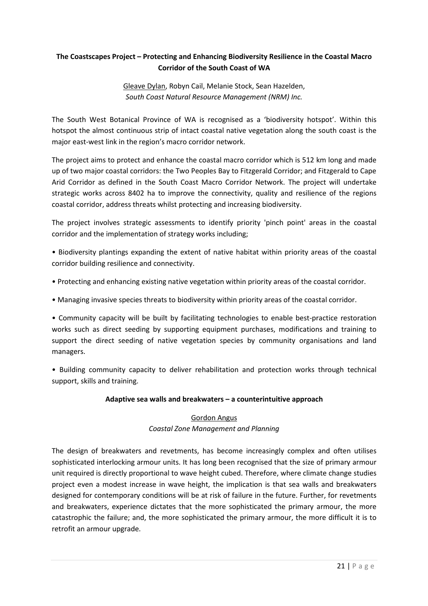# **The Coastscapes Project – Protecting and Enhancing Biodiversity Resilience in the Coastal Macro Corridor of the South Coast of WA**

Gleave Dylan, Robyn Cail, Melanie Stock, Sean Hazelden, *South Coast Natural Resource Management (NRM) Inc.* 

The South West Botanical Province of WA is recognised as a 'biodiversity hotspot'. Within this hotspot the almost continuous strip of intact coastal native vegetation along the south coast is the major east-west link in the region's macro corridor network.

The project aims to protect and enhance the coastal macro corridor which is 512 km long and made up of two major coastal corridors: the Two Peoples Bay to Fitzgerald Corridor; and Fitzgerald to Cape Arid Corridor as defined in the South Coast Macro Corridor Network. The project will undertake strategic works across 8402 ha to improve the connectivity, quality and resilience of the regions coastal corridor, address threats whilst protecting and increasing biodiversity.

The project involves strategic assessments to identify priority 'pinch point' areas in the coastal corridor and the implementation of strategy works including;

• Biodiversity plantings expanding the extent of native habitat within priority areas of the coastal corridor building resilience and connectivity.

- Protecting and enhancing existing native vegetation within priority areas of the coastal corridor.
- Managing invasive species threats to biodiversity within priority areas of the coastal corridor.

• Community capacity will be built by facilitating technologies to enable best-practice restoration works such as direct seeding by supporting equipment purchases, modifications and training to support the direct seeding of native vegetation species by community organisations and land managers.

• Building community capacity to deliver rehabilitation and protection works through technical support, skills and training.

#### **Adaptive sea walls and breakwaters – a counterintuitive approach**

#### Gordon Angus

#### *Coastal Zone Management and Planning*

The design of breakwaters and revetments, has become increasingly complex and often utilises sophisticated interlocking armour units. It has long been recognised that the size of primary armour unit required is directly proportional to wave height cubed. Therefore, where climate change studies project even a modest increase in wave height, the implication is that sea walls and breakwaters designed for contemporary conditions will be at risk of failure in the future. Further, for revetments and breakwaters, experience dictates that the more sophisticated the primary armour, the more catastrophic the failure; and, the more sophisticated the primary armour, the more difficult it is to retrofit an armour upgrade.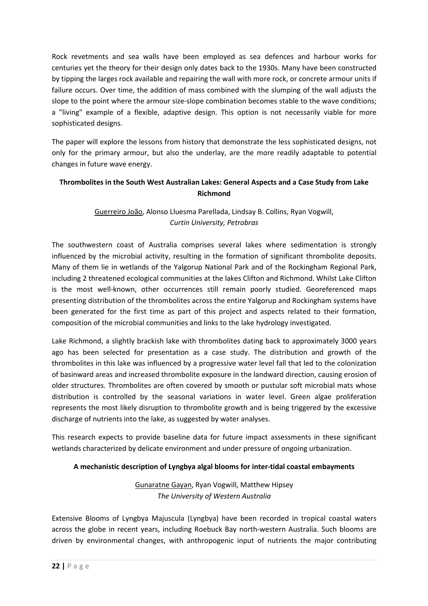Rock revetments and sea walls have been employed as sea defences and harbour works for centuries yet the theory for their design only dates back to the 1930s. Many have been constructed by tipping the larges rock available and repairing the wall with more rock, or concrete armour units if failure occurs. Over time, the addition of mass combined with the slumping of the wall adjusts the slope to the point where the armour size-slope combination becomes stable to the wave conditions; a "living" example of a flexible, adaptive design. This option is not necessarily viable for more sophisticated designs.

The paper will explore the lessons from history that demonstrate the less sophisticated designs, not only for the primary armour, but also the underlay, are the more readily adaptable to potential changes in future wave energy.

# **Thrombolites in the South West Australian Lakes: General Aspects and a Case Study from Lake Richmond**

# Guerreiro João, Alonso Lluesma Parellada, Lindsay B. Collins, Ryan Vogwill, *Curtin University, Petrobras*

The southwestern coast of Australia comprises several lakes where sedimentation is strongly influenced by the microbial activity, resulting in the formation of significant thrombolite deposits. Many of them lie in wetlands of the Yalgorup National Park and of the Rockingham Regional Park, including 2 threatened ecological communities at the lakes Clifton and Richmond. Whilst Lake Clifton is the most well-known, other occurrences still remain poorly studied. Georeferenced maps presenting distribution of the thrombolites across the entire Yalgorup and Rockingham systems have been generated for the first time as part of this project and aspects related to their formation, composition of the microbial communities and links to the lake hydrology investigated.

Lake Richmond, a slightly brackish lake with thrombolites dating back to approximately 3000 years ago has been selected for presentation as a case study. The distribution and growth of the thrombolites in this lake was influenced by a progressive water level fall that led to the colonization of basinward areas and increased thrombolite exposure in the landward direction, causing erosion of older structures. Thrombolites are often covered by smooth or pustular soft microbial mats whose distribution is controlled by the seasonal variations in water level. Green algae proliferation represents the most likely disruption to thrombolite growth and is being triggered by the excessive discharge of nutrients into the lake, as suggested by water analyses.

This research expects to provide baseline data for future impact assessments in these significant wetlands characterized by delicate environment and under pressure of ongoing urbanization.

# **A mechanistic description of Lyngbya algal blooms for inter-tidal coastal embayments**

# Gunaratne Gayan, Ryan Vogwill, Matthew Hipsey *The University of Western Australia*

Extensive Blooms of Lyngbya Majuscula (Lyngbya) have been recorded in tropical coastal waters across the globe in recent years, including Roebuck Bay north-western Australia. Such blooms are driven by environmental changes, with anthropogenic input of nutrients the major contributing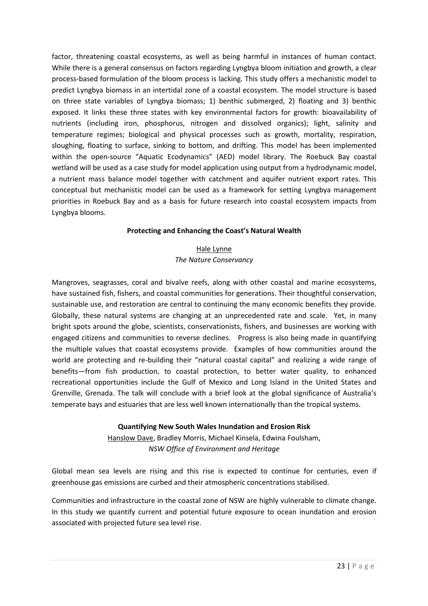factor, threatening coastal ecosystems, as well as being harmful in instances of human contact. While there is a general consensus on factors regarding Lyngbya bloom initiation and growth, a clear process-based formulation of the bloom process is lacking. This study offers a mechanistic model to predict Lyngbya biomass in an intertidal zone of a coastal ecosystem. The model structure is based on three state variables of Lyngbya biomass; 1) benthic submerged, 2) floating and 3) benthic exposed. It links these three states with key environmental factors for growth: bioavailability of nutrients (including iron, phosphorus, nitrogen and dissolved organics); light, salinity and temperature regimes; biological and physical processes such as growth, mortality, respiration, sloughing, floating to surface, sinking to bottom, and drifting. This model has been implemented within the open-source "Aquatic Ecodynamics" (AED) model library. The Roebuck Bay coastal wetland will be used as a case study for model application using output from a hydrodynamic model, a nutrient mass balance model together with catchment and aquifer nutrient export rates. This conceptual but mechanistic model can be used as a framework for setting Lyngbya management priorities in Roebuck Bay and as a basis for future research into coastal ecosystem impacts from Lyngbya blooms.

#### **Protecting and Enhancing the Coast's Natural Wealth**

# Hale Lynne *The Nature Conservancy*

Mangroves, seagrasses, coral and bivalve reefs, along with other coastal and marine ecosystems, have sustained fish, fishers, and coastal communities for generations. Their thoughtful conservation, sustainable use, and restoration are central to continuing the many economic benefits they provide. Globally, these natural systems are changing at an unprecedented rate and scale. Yet, in many bright spots around the globe, scientists, conservationists, fishers, and businesses are working with engaged citizens and communities to reverse declines. Progress is also being made in quantifying the multiple values that coastal ecosystems provide. Examples of how communities around the world are protecting and re-building their "natural coastal capital" and realizing a wide range of benefits—from fish production, to coastal protection, to better water quality, to enhanced recreational opportunities include the Gulf of Mexico and Long Island in the United States and Grenville, Grenada. The talk will conclude with a brief look at the global significance of Australia's temperate bays and estuaries that are less well known internationally than the tropical systems.

#### **Quantifying New South Wales Inundation and Erosion Risk**

Hanslow Dave, Bradley Morris, Michael Kinsela, Edwina Foulsham, *NSW Office of Environment and Heritage* 

Global mean sea levels are rising and this rise is expected to continue for centuries, even if greenhouse gas emissions are curbed and their atmospheric concentrations stabilised.

Communities and infrastructure in the coastal zone of NSW are highly vulnerable to climate change. In this study we quantify current and potential future exposure to ocean inundation and erosion associated with projected future sea level rise.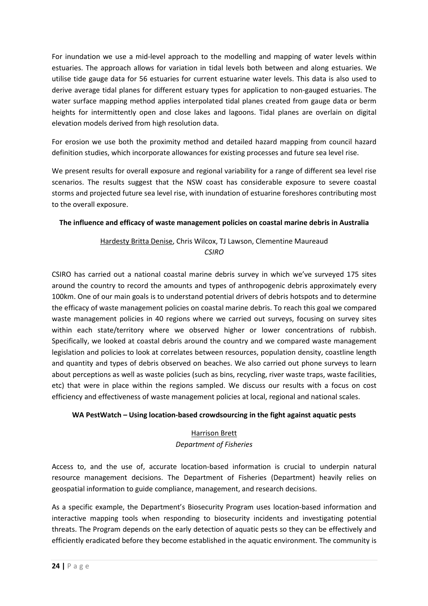For inundation we use a mid-level approach to the modelling and mapping of water levels within estuaries. The approach allows for variation in tidal levels both between and along estuaries. We utilise tide gauge data for 56 estuaries for current estuarine water levels. This data is also used to derive average tidal planes for different estuary types for application to non-gauged estuaries. The water surface mapping method applies interpolated tidal planes created from gauge data or berm heights for intermittently open and close lakes and lagoons. Tidal planes are overlain on digital elevation models derived from high resolution data.

For erosion we use both the proximity method and detailed hazard mapping from council hazard definition studies, which incorporate allowances for existing processes and future sea level rise.

We present results for overall exposure and regional variability for a range of different sea level rise scenarios. The results suggest that the NSW coast has considerable exposure to severe coastal storms and projected future sea level rise, with inundation of estuarine foreshores contributing most to the overall exposure.

### **The influence and efficacy of waste management policies on coastal marine debris in Australia**

# Hardesty Britta Denise, Chris Wilcox, TJ Lawson, Clementine Maureaud *CSIRO*

CSIRO has carried out a national coastal marine debris survey in which we've surveyed 175 sites around the country to record the amounts and types of anthropogenic debris approximately every 100km. One of our main goals is to understand potential drivers of debris hotspots and to determine the efficacy of waste management policies on coastal marine debris. To reach this goal we compared waste management policies in 40 regions where we carried out surveys, focusing on survey sites within each state/territory where we observed higher or lower concentrations of rubbish. Specifically, we looked at coastal debris around the country and we compared waste management legislation and policies to look at correlates between resources, population density, coastline length and quantity and types of debris observed on beaches. We also carried out phone surveys to learn about perceptions as well as waste policies (such as bins, recycling, river waste traps, waste facilities, etc) that were in place within the regions sampled. We discuss our results with a focus on cost efficiency and effectiveness of waste management policies at local, regional and national scales.

# **WA PestWatch – Using location-based crowdsourcing in the fight against aquatic pests**

# Harrison Brett

#### *Department of Fisheries*

Access to, and the use of, accurate location-based information is crucial to underpin natural resource management decisions. The Department of Fisheries (Department) heavily relies on geospatial information to guide compliance, management, and research decisions.

As a specific example, the Department's Biosecurity Program uses location-based information and interactive mapping tools when responding to biosecurity incidents and investigating potential threats. The Program depends on the early detection of aquatic pests so they can be effectively and efficiently eradicated before they become established in the aquatic environment. The community is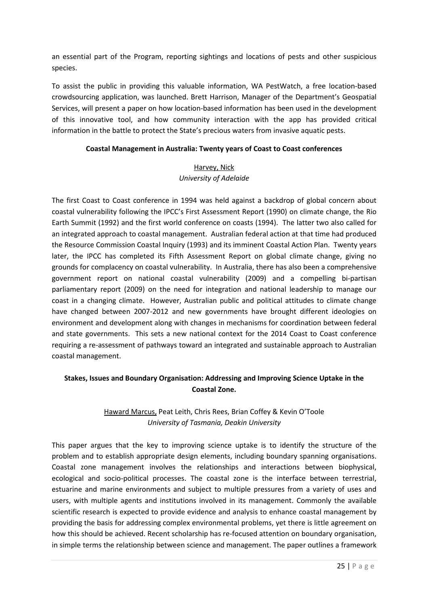an essential part of the Program, reporting sightings and locations of pests and other suspicious species.

To assist the public in providing this valuable information, WA PestWatch, a free location-based crowdsourcing application, was launched. Brett Harrison, Manager of the Department's Geospatial Services, will present a paper on how location-based information has been used in the development of this innovative tool, and how community interaction with the app has provided critical information in the battle to protect the State's precious waters from invasive aquatic pests.

#### **Coastal Management in Australia: Twenty years of Coast to Coast conferences**

# Harvey, Nick *University of Adelaide*

The first Coast to Coast conference in 1994 was held against a backdrop of global concern about coastal vulnerability following the IPCC's First Assessment Report (1990) on climate change, the Rio Earth Summit (1992) and the first world conference on coasts (1994). The latter two also called for an integrated approach to coastal management. Australian federal action at that time had produced the Resource Commission Coastal Inquiry (1993) and its imminent Coastal Action Plan. Twenty years later, the IPCC has completed its Fifth Assessment Report on global climate change, giving no grounds for complacency on coastal vulnerability. In Australia, there has also been a comprehensive government report on national coastal vulnerability (2009) and a compelling bi-partisan parliamentary report (2009) on the need for integration and national leadership to manage our coast in a changing climate. However, Australian public and political attitudes to climate change have changed between 2007-2012 and new governments have brought different ideologies on environment and development along with changes in mechanisms for coordination between federal and state governments. This sets a new national context for the 2014 Coast to Coast conference requiring a re-assessment of pathways toward an integrated and sustainable approach to Australian coastal management.

# **Stakes, Issues and Boundary Organisation: Addressing and Improving Science Uptake in the Coastal Zone.**

# Haward Marcus, Peat Leith, Chris Rees, Brian Coffey & Kevin O'Toole *University of Tasmania, Deakin University*

This paper argues that the key to improving science uptake is to identify the structure of the problem and to establish appropriate design elements, including boundary spanning organisations. Coastal zone management involves the relationships and interactions between biophysical, ecological and socio-political processes. The coastal zone is the interface between terrestrial, estuarine and marine environments and subject to multiple pressures from a variety of uses and users, with multiple agents and institutions involved in its management. Commonly the available scientific research is expected to provide evidence and analysis to enhance coastal management by providing the basis for addressing complex environmental problems, yet there is little agreement on how this should be achieved. Recent scholarship has re-focused attention on boundary organisation, in simple terms the relationship between science and management. The paper outlines a framework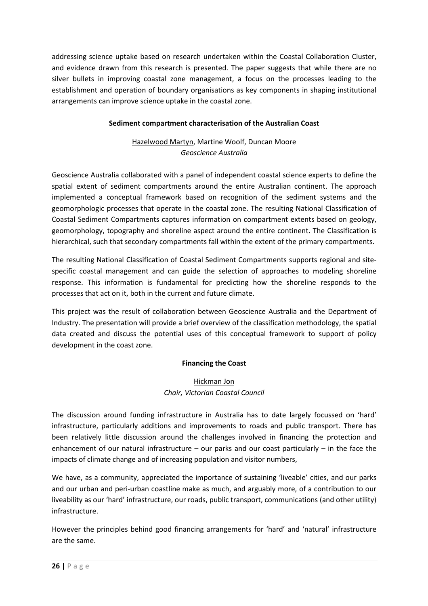addressing science uptake based on research undertaken within the Coastal Collaboration Cluster, and evidence drawn from this research is presented. The paper suggests that while there are no silver bullets in improving coastal zone management, a focus on the processes leading to the establishment and operation of boundary organisations as key components in shaping institutional arrangements can improve science uptake in the coastal zone.

### **Sediment compartment characterisation of the Australian Coast**

# Hazelwood Martyn, Martine Woolf, Duncan Moore *Geoscience Australia*

Geoscience Australia collaborated with a panel of independent coastal science experts to define the spatial extent of sediment compartments around the entire Australian continent. The approach implemented a conceptual framework based on recognition of the sediment systems and the geomorphologic processes that operate in the coastal zone. The resulting National Classification of Coastal Sediment Compartments captures information on compartment extents based on geology, geomorphology, topography and shoreline aspect around the entire continent. The Classification is hierarchical, such that secondary compartments fall within the extent of the primary compartments.

The resulting National Classification of Coastal Sediment Compartments supports regional and sitespecific coastal management and can guide the selection of approaches to modeling shoreline response. This information is fundamental for predicting how the shoreline responds to the processes that act on it, both in the current and future climate.

This project was the result of collaboration between Geoscience Australia and the Department of Industry. The presentation will provide a brief overview of the classification methodology, the spatial data created and discuss the potential uses of this conceptual framework to support of policy development in the coast zone.

#### **Financing the Coast**

# Hickman Jon *Chair, Victorian Coastal Council*

The discussion around funding infrastructure in Australia has to date largely focussed on 'hard' infrastructure, particularly additions and improvements to roads and public transport. There has been relatively little discussion around the challenges involved in financing the protection and enhancement of our natural infrastructure – our parks and our coast particularly – in the face the impacts of climate change and of increasing population and visitor numbers,

We have, as a community, appreciated the importance of sustaining 'liveable' cities, and our parks and our urban and peri-urban coastline make as much, and arguably more, of a contribution to our liveability as our 'hard' infrastructure, our roads, public transport, communications (and other utility) infrastructure.

However the principles behind good financing arrangements for 'hard' and 'natural' infrastructure are the same.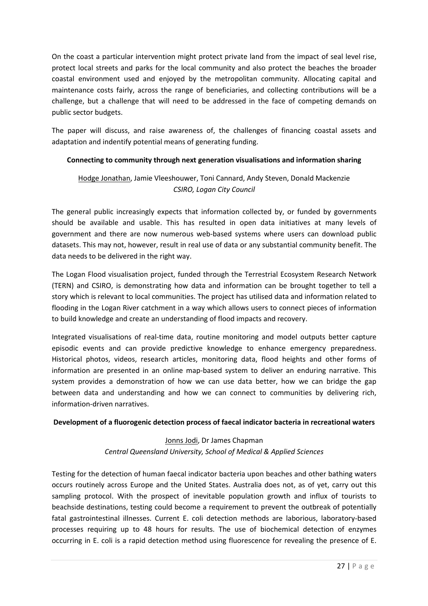On the coast a particular intervention might protect private land from the impact of seal level rise, protect local streets and parks for the local community and also protect the beaches the broader coastal environment used and enjoyed by the metropolitan community. Allocating capital and maintenance costs fairly, across the range of beneficiaries, and collecting contributions will be a challenge, but a challenge that will need to be addressed in the face of competing demands on public sector budgets.

The paper will discuss, and raise awareness of, the challenges of financing coastal assets and adaptation and indentify potential means of generating funding.

### **Connecting to community through next generation visualisations and information sharing**

# Hodge Jonathan, Jamie Vleeshouwer, Toni Cannard, Andy Steven, Donald Mackenzie *CSIRO, Logan City Council*

The general public increasingly expects that information collected by, or funded by governments should be available and usable. This has resulted in open data initiatives at many levels of government and there are now numerous web-based systems where users can download public datasets. This may not, however, result in real use of data or any substantial community benefit. The data needs to be delivered in the right way.

The Logan Flood visualisation project, funded through the Terrestrial Ecosystem Research Network (TERN) and CSIRO, is demonstrating how data and information can be brought together to tell a story which is relevant to local communities. The project has utilised data and information related to flooding in the Logan River catchment in a way which allows users to connect pieces of information to build knowledge and create an understanding of flood impacts and recovery.

Integrated visualisations of real-time data, routine monitoring and model outputs better capture episodic events and can provide predictive knowledge to enhance emergency preparedness. Historical photos, videos, research articles, monitoring data, flood heights and other forms of information are presented in an online map-based system to deliver an enduring narrative. This system provides a demonstration of how we can use data better, how we can bridge the gap between data and understanding and how we can connect to communities by delivering rich, information-driven narratives.

#### **Development of a fluorogenic detection process of faecal indicator bacteria in recreational waters**

# Jonns Jodi, Dr James Chapman *Central Queensland University, School of Medical & Applied Sciences*

Testing for the detection of human faecal indicator bacteria upon beaches and other bathing waters occurs routinely across Europe and the United States. Australia does not, as of yet, carry out this sampling protocol. With the prospect of inevitable population growth and influx of tourists to beachside destinations, testing could become a requirement to prevent the outbreak of potentially fatal gastrointestinal illnesses. Current E. coli detection methods are laborious, laboratory-based processes requiring up to 48 hours for results. The use of biochemical detection of enzymes occurring in E. coli is a rapid detection method using fluorescence for revealing the presence of E.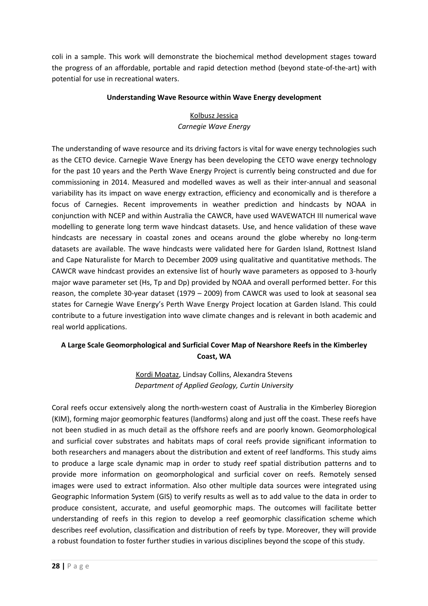coli in a sample. This work will demonstrate the biochemical method development stages toward the progress of an affordable, portable and rapid detection method (beyond state-of-the-art) with potential for use in recreational waters.

#### **Understanding Wave Resource within Wave Energy development**

# Kolbusz Jessica

*Carnegie Wave Energy* 

The understanding of wave resource and its driving factors is vital for wave energy technologies such as the CETO device. Carnegie Wave Energy has been developing the CETO wave energy technology for the past 10 years and the Perth Wave Energy Project is currently being constructed and due for commissioning in 2014. Measured and modelled waves as well as their inter-annual and seasonal variability has its impact on wave energy extraction, efficiency and economically and is therefore a focus of Carnegies. Recent improvements in weather prediction and hindcasts by NOAA in conjunction with NCEP and within Australia the CAWCR, have used WAVEWATCH III numerical wave modelling to generate long term wave hindcast datasets. Use, and hence validation of these wave hindcasts are necessary in coastal zones and oceans around the globe whereby no long-term datasets are available. The wave hindcasts were validated here for Garden Island, Rottnest Island and Cape Naturaliste for March to December 2009 using qualitative and quantitative methods. The CAWCR wave hindcast provides an extensive list of hourly wave parameters as opposed to 3-hourly major wave parameter set (Hs, Tp and Dp) provided by NOAA and overall performed better. For this reason, the complete 30-year dataset (1979 – 2009) from CAWCR was used to look at seasonal sea states for Carnegie Wave Energy's Perth Wave Energy Project location at Garden Island. This could contribute to a future investigation into wave climate changes and is relevant in both academic and real world applications.

# **A Large Scale Geomorphological and Surficial Cover Map of Nearshore Reefs in the Kimberley Coast, WA**

Kordi Moataz, Lindsay Collins, Alexandra Stevens *Department of Applied Geology, Curtin University* 

Coral reefs occur extensively along the north-western coast of Australia in the Kimberley Bioregion (KIM), forming major geomorphic features (landforms) along and just off the coast. These reefs have not been studied in as much detail as the offshore reefs and are poorly known. Geomorphological and surficial cover substrates and habitats maps of coral reefs provide significant information to both researchers and managers about the distribution and extent of reef landforms. This study aims to produce a large scale dynamic map in order to study reef spatial distribution patterns and to provide more information on geomorphological and surficial cover on reefs. Remotely sensed images were used to extract information. Also other multiple data sources were integrated using Geographic Information System (GIS) to verify results as well as to add value to the data in order to produce consistent, accurate, and useful geomorphic maps. The outcomes will facilitate better understanding of reefs in this region to develop a reef geomorphic classification scheme which describes reef evolution, classification and distribution of reefs by type. Moreover, they will provide a robust foundation to foster further studies in various disciplines beyond the scope of this study.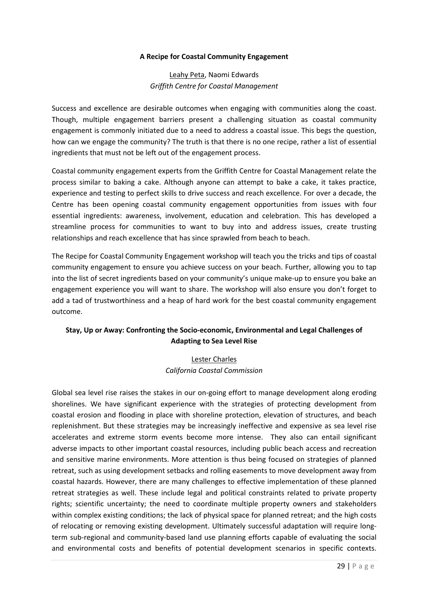#### **A Recipe for Coastal Community Engagement**

#### Leahy Peta, Naomi Edwards *Griffith Centre for Coastal Management*

Success and excellence are desirable outcomes when engaging with communities along the coast. Though, multiple engagement barriers present a challenging situation as coastal community engagement is commonly initiated due to a need to address a coastal issue. This begs the question, how can we engage the community? The truth is that there is no one recipe, rather a list of essential ingredients that must not be left out of the engagement process.

Coastal community engagement experts from the Griffith Centre for Coastal Management relate the process similar to baking a cake. Although anyone can attempt to bake a cake, it takes practice, experience and testing to perfect skills to drive success and reach excellence. For over a decade, the Centre has been opening coastal community engagement opportunities from issues with four essential ingredients: awareness, involvement, education and celebration. This has developed a streamline process for communities to want to buy into and address issues, create trusting relationships and reach excellence that has since sprawled from beach to beach.

The Recipe for Coastal Community Engagement workshop will teach you the tricks and tips of coastal community engagement to ensure you achieve success on your beach. Further, allowing you to tap into the list of secret ingredients based on your community's unique make-up to ensure you bake an engagement experience you will want to share. The workshop will also ensure you don't forget to add a tad of trustworthiness and a heap of hard work for the best coastal community engagement outcome.

# **Stay, Up or Away: Confronting the Socio-economic, Environmental and Legal Challenges of Adapting to Sea Level Rise**

# Lester Charles *California Coastal Commission*

Global sea level rise raises the stakes in our on-going effort to manage development along eroding shorelines. We have significant experience with the strategies of protecting development from coastal erosion and flooding in place with shoreline protection, elevation of structures, and beach replenishment. But these strategies may be increasingly ineffective and expensive as sea level rise accelerates and extreme storm events become more intense. They also can entail significant adverse impacts to other important coastal resources, including public beach access and recreation and sensitive marine environments. More attention is thus being focused on strategies of planned retreat, such as using development setbacks and rolling easements to move development away from coastal hazards. However, there are many challenges to effective implementation of these planned retreat strategies as well. These include legal and political constraints related to private property rights; scientific uncertainty; the need to coordinate multiple property owners and stakeholders within complex existing conditions; the lack of physical space for planned retreat; and the high costs of relocating or removing existing development. Ultimately successful adaptation will require longterm sub-regional and community-based land use planning efforts capable of evaluating the social and environmental costs and benefits of potential development scenarios in specific contexts.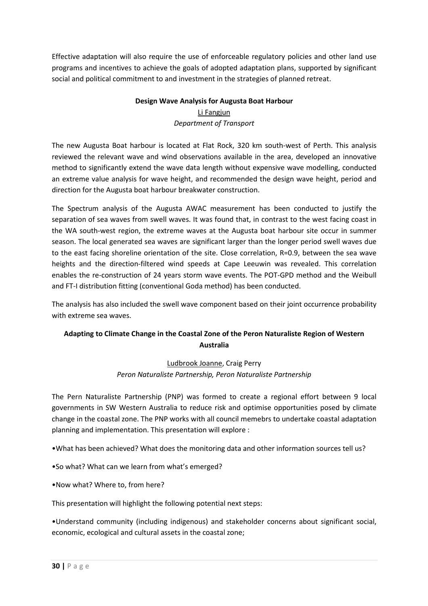Effective adaptation will also require the use of enforceable regulatory policies and other land use programs and incentives to achieve the goals of adopted adaptation plans, supported by significant social and political commitment to and investment in the strategies of planned retreat.

# **Design Wave Analysis for Augusta Boat Harbour**  Li Fangjun *Department of Transport*

The new Augusta Boat harbour is located at Flat Rock, 320 km south-west of Perth. This analysis reviewed the relevant wave and wind observations available in the area, developed an innovative method to significantly extend the wave data length without expensive wave modelling, conducted an extreme value analysis for wave height, and recommended the design wave height, period and direction for the Augusta boat harbour breakwater construction.

The Spectrum analysis of the Augusta AWAC measurement has been conducted to justify the separation of sea waves from swell waves. It was found that, in contrast to the west facing coast in the WA south-west region, the extreme waves at the Augusta boat harbour site occur in summer season. The local generated sea waves are significant larger than the longer period swell waves due to the east facing shoreline orientation of the site. Close correlation, R=0.9, between the sea wave heights and the direction-filtered wind speeds at Cape Leeuwin was revealed. This correlation enables the re-construction of 24 years storm wave events. The POT-GPD method and the Weibull and FT-I distribution fitting (conventional Goda method) has been conducted.

The analysis has also included the swell wave component based on their joint occurrence probability with extreme sea waves.

# **Adapting to Climate Change in the Coastal Zone of the Peron Naturaliste Region of Western Australia**

# Ludbrook Joanne, Craig Perry *Peron Naturaliste Partnership, Peron Naturaliste Partnership*

The Pern Naturaliste Partnership (PNP) was formed to create a regional effort between 9 local governments in SW Western Australia to reduce risk and optimise opportunities posed by climate change in the coastal zone. The PNP works with all council memebrs to undertake coastal adaptation planning and implementation. This presentation will explore :

•What has been achieved? What does the monitoring data and other information sources tell us?

•So what? What can we learn from what's emerged?

•Now what? Where to, from here?

This presentation will highlight the following potential next steps:

•Understand community (including indigenous) and stakeholder concerns about significant social, economic, ecological and cultural assets in the coastal zone;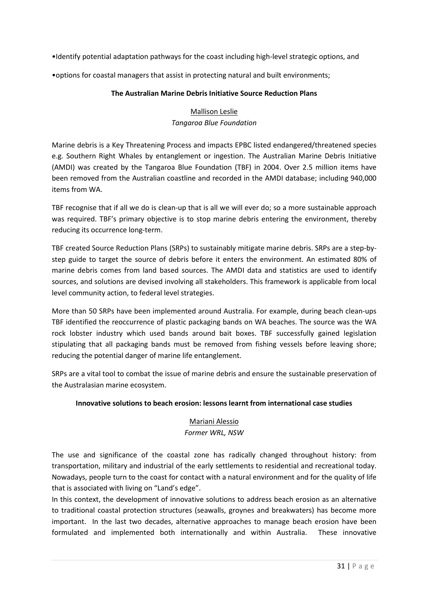•Identify potential adaptation pathways for the coast including high-level strategic options, and

•options for coastal managers that assist in protecting natural and built environments;

#### **The Australian Marine Debris Initiative Source Reduction Plans**

# Mallison Leslie *Tangaroa Blue Foundation*

Marine debris is a Key Threatening Process and impacts EPBC listed endangered/threatened species e.g. Southern Right Whales by entanglement or ingestion. The Australian Marine Debris Initiative (AMDI) was created by the Tangaroa Blue Foundation (TBF) in 2004. Over 2.5 million items have been removed from the Australian coastline and recorded in the AMDI database; including 940,000 items from WA.

TBF recognise that if all we do is clean-up that is all we will ever do; so a more sustainable approach was required. TBF's primary objective is to stop marine debris entering the environment, thereby reducing its occurrence long-term.

TBF created Source Reduction Plans (SRPs) to sustainably mitigate marine debris. SRPs are a step-bystep guide to target the source of debris before it enters the environment. An estimated 80% of marine debris comes from land based sources. The AMDI data and statistics are used to identify sources, and solutions are devised involving all stakeholders. This framework is applicable from local level community action, to federal level strategies.

More than 50 SRPs have been implemented around Australia. For example, during beach clean-ups TBF identified the reoccurrence of plastic packaging bands on WA beaches. The source was the WA rock lobster industry which used bands around bait boxes. TBF successfully gained legislation stipulating that all packaging bands must be removed from fishing vessels before leaving shore; reducing the potential danger of marine life entanglement.

SRPs are a vital tool to combat the issue of marine debris and ensure the sustainable preservation of the Australasian marine ecosystem.

#### **Innovative solutions to beach erosion: lessons learnt from international case studies**

# Mariani Alessio

#### *Former WRL, NSW*

The use and significance of the coastal zone has radically changed throughout history: from transportation, military and industrial of the early settlements to residential and recreational today. Nowadays, people turn to the coast for contact with a natural environment and for the quality of life that is associated with living on "Land's edge".

In this context, the development of innovative solutions to address beach erosion as an alternative to traditional coastal protection structures (seawalls, groynes and breakwaters) has become more important. In the last two decades, alternative approaches to manage beach erosion have been formulated and implemented both internationally and within Australia. These innovative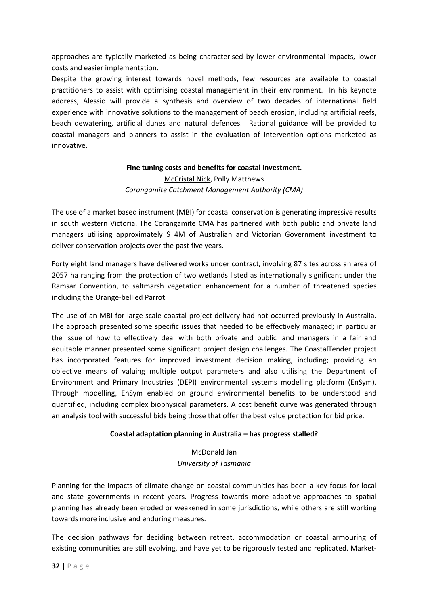approaches are typically marketed as being characterised by lower environmental impacts, lower costs and easier implementation.

Despite the growing interest towards novel methods, few resources are available to coastal practitioners to assist with optimising coastal management in their environment. In his keynote address, Alessio will provide a synthesis and overview of two decades of international field experience with innovative solutions to the management of beach erosion, including artificial reefs, beach dewatering, artificial dunes and natural defences. Rational guidance will be provided to coastal managers and planners to assist in the evaluation of intervention options marketed as innovative.

# **Fine tuning costs and benefits for coastal investment.**  McCristal Nick, Polly Matthews *Corangamite Catchment Management Authority (CMA)*

The use of a market based instrument (MBI) for coastal conservation is generating impressive results in south western Victoria. The Corangamite CMA has partnered with both public and private land managers utilising approximately \$ 4M of Australian and Victorian Government investment to deliver conservation projects over the past five years.

Forty eight land managers have delivered works under contract, involving 87 sites across an area of 2057 ha ranging from the protection of two wetlands listed as internationally significant under the Ramsar Convention, to saltmarsh vegetation enhancement for a number of threatened species including the Orange-bellied Parrot.

The use of an MBI for large-scale coastal project delivery had not occurred previously in Australia. The approach presented some specific issues that needed to be effectively managed; in particular the issue of how to effectively deal with both private and public land managers in a fair and equitable manner presented some significant project design challenges. The CoastalTender project has incorporated features for improved investment decision making, including; providing an objective means of valuing multiple output parameters and also utilising the Department of Environment and Primary Industries (DEPI) environmental systems modelling platform (EnSym). Through modelling, EnSym enabled on ground environmental benefits to be understood and quantified, including complex biophysical parameters. A cost benefit curve was generated through an analysis tool with successful bids being those that offer the best value protection for bid price.

#### **Coastal adaptation planning in Australia – has progress stalled?**

# McDonald Jan *University of Tasmania*

Planning for the impacts of climate change on coastal communities has been a key focus for local and state governments in recent years. Progress towards more adaptive approaches to spatial planning has already been eroded or weakened in some jurisdictions, while others are still working towards more inclusive and enduring measures.

The decision pathways for deciding between retreat, accommodation or coastal armouring of existing communities are still evolving, and have yet to be rigorously tested and replicated. Market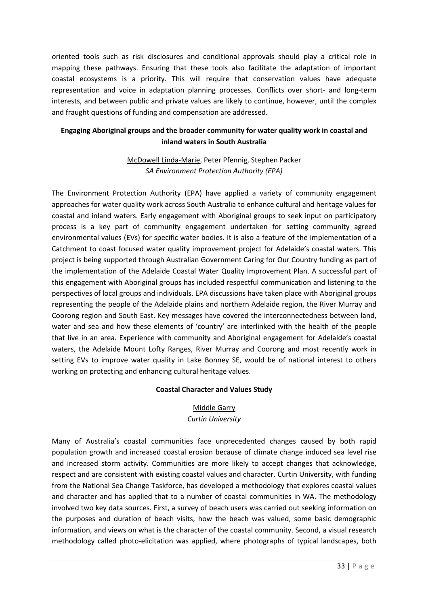oriented tools such as risk disclosures and conditional approvals should play a critical role in mapping these pathways. Ensuring that these tools also facilitate the adaptation of important coastal ecosystems is a priority. This will require that conservation values have adequate representation and voice in adaptation planning processes. Conflicts over short- and long-term interests, and between public and private values are likely to continue, however, until the complex and fraught questions of funding and compensation are addressed.

# **Engaging Aboriginal groups and the broader community for water quality work in coastal and inland waters in South Australia**

# McDowell Linda-Marie, Peter Pfennig, Stephen Packer *SA Environment Protection Authority (EPA)*

The Environment Protection Authority (EPA) have applied a variety of community engagement approaches for water quality work across South Australia to enhance cultural and heritage values for coastal and inland waters. Early engagement with Aboriginal groups to seek input on participatory process is a key part of community engagement undertaken for setting community agreed environmental values (EVs) for specific water bodies. It is also a feature of the implementation of a Catchment to coast focused water quality improvement project for Adelaide's coastal waters. This project is being supported through Australian Government Caring for Our Country funding as part of the implementation of the Adelaide Coastal Water Quality Improvement Plan. A successful part of this engagement with Aboriginal groups has included respectful communication and listening to the perspectives of local groups and individuals. EPA discussions have taken place with Aboriginal groups representing the people of the Adelaide plains and northern Adelaide region, the River Murray and Coorong region and South East. Key messages have covered the interconnectedness between land, water and sea and how these elements of 'country' are interlinked with the health of the people that live in an area. Experience with community and Aboriginal engagement for Adelaide's coastal waters, the Adelaide Mount Lofty Ranges, River Murray and Coorong and most recently work in setting EVs to improve water quality in Lake Bonney SE, would be of national interest to others working on protecting and enhancing cultural heritage values.

#### **Coastal Character and Values Study**

#### Middle Garry

#### *Curtin University*

Many of Australia's coastal communities face unprecedented changes caused by both rapid population growth and increased coastal erosion because of climate change induced sea level rise and increased storm activity. Communities are more likely to accept changes that acknowledge, respect and are consistent with existing coastal values and character. Curtin University, with funding from the National Sea Change Taskforce, has developed a methodology that explores coastal values and character and has applied that to a number of coastal communities in WA. The methodology involved two key data sources. First, a survey of beach users was carried out seeking information on the purposes and duration of beach visits, how the beach was valued, some basic demographic information, and views on what is the character of the coastal community. Second, a visual research methodology called photo-elicitation was applied, where photographs of typical landscapes, both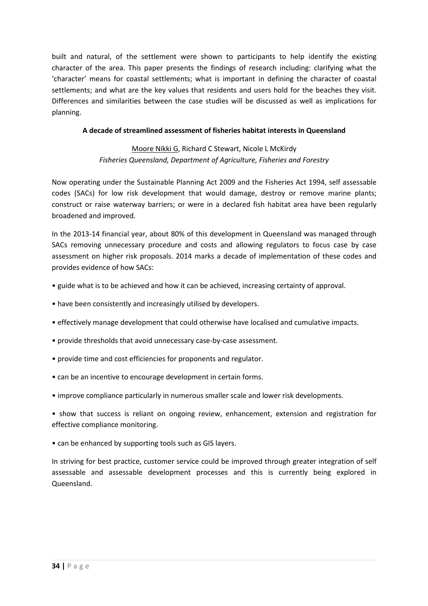built and natural, of the settlement were shown to participants to help identify the existing character of the area. This paper presents the findings of research including: clarifying what the 'character' means for coastal settlements; what is important in defining the character of coastal settlements; and what are the key values that residents and users hold for the beaches they visit. Differences and similarities between the case studies will be discussed as well as implications for planning.

#### **A decade of streamlined assessment of fisheries habitat interests in Queensland**

# Moore Nikki G, Richard C Stewart, Nicole L McKirdy *Fisheries Queensland, Department of Agriculture, Fisheries and Forestry*

Now operating under the Sustainable Planning Act 2009 and the Fisheries Act 1994, self assessable codes (SACs) for low risk development that would damage, destroy or remove marine plants; construct or raise waterway barriers; or were in a declared fish habitat area have been regularly broadened and improved.

In the 2013-14 financial year, about 80% of this development in Queensland was managed through SACs removing unnecessary procedure and costs and allowing regulators to focus case by case assessment on higher risk proposals. 2014 marks a decade of implementation of these codes and provides evidence of how SACs:

- guide what is to be achieved and how it can be achieved, increasing certainty of approval.
- have been consistently and increasingly utilised by developers.
- effectively manage development that could otherwise have localised and cumulative impacts.
- provide thresholds that avoid unnecessary case-by-case assessment.
- provide time and cost efficiencies for proponents and regulator.
- can be an incentive to encourage development in certain forms.
- improve compliance particularly in numerous smaller scale and lower risk developments.
- show that success is reliant on ongoing review, enhancement, extension and registration for effective compliance monitoring.
- can be enhanced by supporting tools such as GIS layers.

In striving for best practice, customer service could be improved through greater integration of self assessable and assessable development processes and this is currently being explored in Queensland.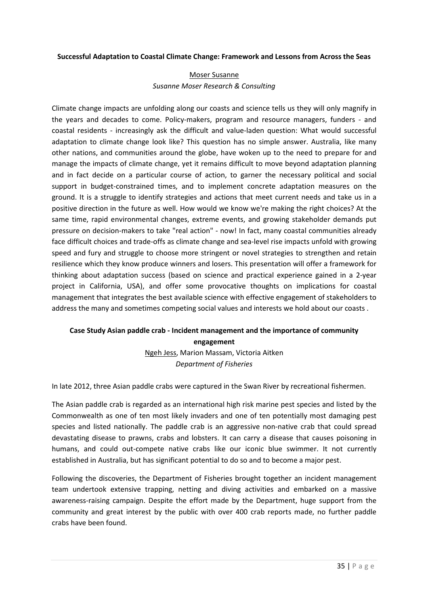#### **Successful Adaptation to Coastal Climate Change: Framework and Lessons from Across the Seas**

### Moser Susanne *Susanne Moser Research & Consulting*

Climate change impacts are unfolding along our coasts and science tells us they will only magnify in the years and decades to come. Policy-makers, program and resource managers, funders - and coastal residents - increasingly ask the difficult and value-laden question: What would successful adaptation to climate change look like? This question has no simple answer. Australia, like many other nations, and communities around the globe, have woken up to the need to prepare for and manage the impacts of climate change, yet it remains difficult to move beyond adaptation planning and in fact decide on a particular course of action, to garner the necessary political and social support in budget-constrained times, and to implement concrete adaptation measures on the ground. It is a struggle to identify strategies and actions that meet current needs and take us in a positive direction in the future as well. How would we know we're making the right choices? At the same time, rapid environmental changes, extreme events, and growing stakeholder demands put pressure on decision-makers to take "real action" - now! In fact, many coastal communities already face difficult choices and trade-offs as climate change and sea-level rise impacts unfold with growing speed and fury and struggle to choose more stringent or novel strategies to strengthen and retain resilience which they know produce winners and losers. This presentation will offer a framework for thinking about adaptation success (based on science and practical experience gained in a 2-year project in California, USA), and offer some provocative thoughts on implications for coastal management that integrates the best available science with effective engagement of stakeholders to address the many and sometimes competing social values and interests we hold about our coasts .

# **Case Study Asian paddle crab - Incident management and the importance of community engagement**

Ngeh Jess, Marion Massam, Victoria Aitken *Department of Fisheries* 

In late 2012, three Asian paddle crabs were captured in the Swan River by recreational fishermen.

The Asian paddle crab is regarded as an international high risk marine pest species and listed by the Commonwealth as one of ten most likely invaders and one of ten potentially most damaging pest species and listed nationally. The paddle crab is an aggressive non-native crab that could spread devastating disease to prawns, crabs and lobsters. It can carry a disease that causes poisoning in humans, and could out-compete native crabs like our iconic blue swimmer. It not currently established in Australia, but has significant potential to do so and to become a major pest.

Following the discoveries, the Department of Fisheries brought together an incident management team undertook extensive trapping, netting and diving activities and embarked on a massive awareness-raising campaign. Despite the effort made by the Department, huge support from the community and great interest by the public with over 400 crab reports made, no further paddle crabs have been found.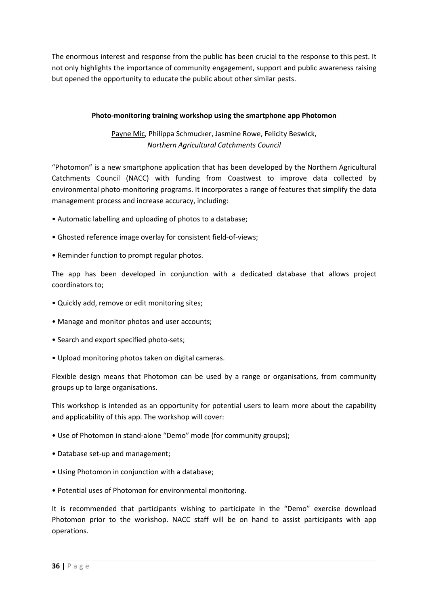The enormous interest and response from the public has been crucial to the response to this pest. It not only highlights the importance of community engagement, support and public awareness raising but opened the opportunity to educate the public about other similar pests.

#### **Photo-monitoring training workshop using the smartphone app Photomon**

Payne Mic, Philippa Schmucker, Jasmine Rowe, Felicity Beswick, *Northern Agricultural Catchments Council* 

"Photomon" is a new smartphone application that has been developed by the Northern Agricultural Catchments Council (NACC) with funding from Coastwest to improve data collected by environmental photo-monitoring programs. It incorporates a range of features that simplify the data management process and increase accuracy, including:

- Automatic labelling and uploading of photos to a database;
- Ghosted reference image overlay for consistent field-of-views;
- Reminder function to prompt regular photos.

The app has been developed in conjunction with a dedicated database that allows project coordinators to;

- Quickly add, remove or edit monitoring sites;
- Manage and monitor photos and user accounts;
- Search and export specified photo-sets;
- Upload monitoring photos taken on digital cameras.

Flexible design means that Photomon can be used by a range or organisations, from community groups up to large organisations.

This workshop is intended as an opportunity for potential users to learn more about the capability and applicability of this app. The workshop will cover:

- Use of Photomon in stand-alone "Demo" mode (for community groups);
- Database set-up and management;
- Using Photomon in conjunction with a database;
- Potential uses of Photomon for environmental monitoring.

It is recommended that participants wishing to participate in the "Demo" exercise download Photomon prior to the workshop. NACC staff will be on hand to assist participants with app operations.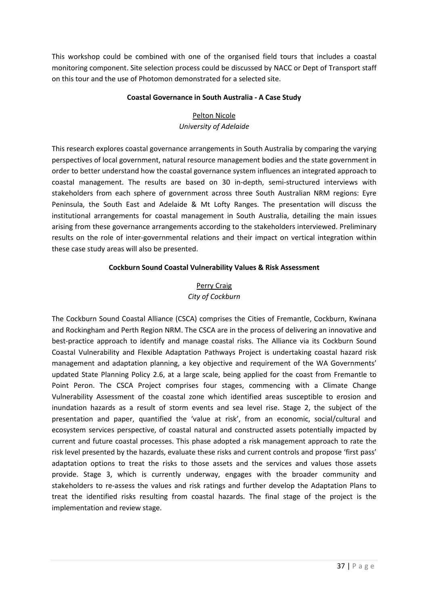This workshop could be combined with one of the organised field tours that includes a coastal monitoring component. Site selection process could be discussed by NACC or Dept of Transport staff on this tour and the use of Photomon demonstrated for a selected site.

#### **Coastal Governance in South Australia - A Case Study**

# Pelton Nicole *University of Adelaide*

This research explores coastal governance arrangements in South Australia by comparing the varying perspectives of local government, natural resource management bodies and the state government in order to better understand how the coastal governance system influences an integrated approach to coastal management. The results are based on 30 in-depth, semi-structured interviews with stakeholders from each sphere of government across three South Australian NRM regions: Eyre Peninsula, the South East and Adelaide & Mt Lofty Ranges. The presentation will discuss the institutional arrangements for coastal management in South Australia, detailing the main issues arising from these governance arrangements according to the stakeholders interviewed. Preliminary results on the role of inter-governmental relations and their impact on vertical integration within these case study areas will also be presented.

#### **Cockburn Sound Coastal Vulnerability Values & Risk Assessment**

## Perry Craig *City of Cockburn*

The Cockburn Sound Coastal Alliance (CSCA) comprises the Cities of Fremantle, Cockburn, Kwinana and Rockingham and Perth Region NRM. The CSCA are in the process of delivering an innovative and best-practice approach to identify and manage coastal risks. The Alliance via its Cockburn Sound Coastal Vulnerability and Flexible Adaptation Pathways Project is undertaking coastal hazard risk management and adaptation planning, a key objective and requirement of the WA Governments' updated State Planning Policy 2.6, at a large scale, being applied for the coast from Fremantle to Point Peron. The CSCA Project comprises four stages, commencing with a Climate Change Vulnerability Assessment of the coastal zone which identified areas susceptible to erosion and inundation hazards as a result of storm events and sea level rise. Stage 2, the subject of the presentation and paper, quantified the 'value at risk', from an economic, social/cultural and ecosystem services perspective, of coastal natural and constructed assets potentially impacted by current and future coastal processes. This phase adopted a risk management approach to rate the risk level presented by the hazards, evaluate these risks and current controls and propose 'first pass' adaptation options to treat the risks to those assets and the services and values those assets provide. Stage 3, which is currently underway, engages with the broader community and stakeholders to re-assess the values and risk ratings and further develop the Adaptation Plans to treat the identified risks resulting from coastal hazards. The final stage of the project is the implementation and review stage.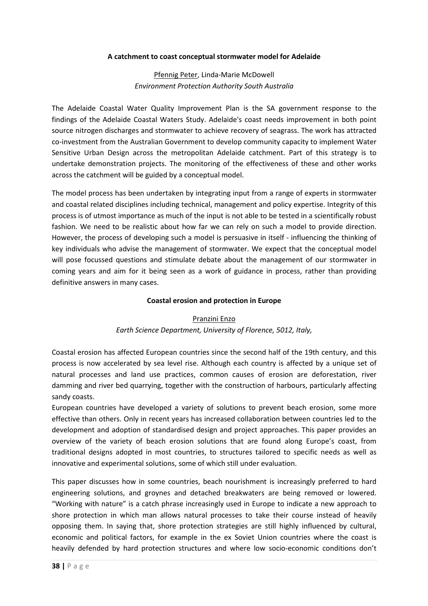#### **A catchment to coast conceptual stormwater model for Adelaide**

## Pfennig Peter, Linda-Marie McDowell *Environment Protection Authority South Australia*

The Adelaide Coastal Water Quality Improvement Plan is the SA government response to the findings of the Adelaide Coastal Waters Study. Adelaide's coast needs improvement in both point source nitrogen discharges and stormwater to achieve recovery of seagrass. The work has attracted co-investment from the Australian Government to develop community capacity to implement Water Sensitive Urban Design across the metropolitan Adelaide catchment. Part of this strategy is to undertake demonstration projects. The monitoring of the effectiveness of these and other works across the catchment will be guided by a conceptual model.

The model process has been undertaken by integrating input from a range of experts in stormwater and coastal related disciplines including technical, management and policy expertise. Integrity of this process is of utmost importance as much of the input is not able to be tested in a scientifically robust fashion. We need to be realistic about how far we can rely on such a model to provide direction. However, the process of developing such a model is persuasive in itself - influencing the thinking of key individuals who advise the management of stormwater. We expect that the conceptual model will pose focussed questions and stimulate debate about the management of our stormwater in coming years and aim for it being seen as a work of guidance in process, rather than providing definitive answers in many cases.

#### **Coastal erosion and protection in Europe**

#### Pranzini Enzo

## *Earth Science Department, University of Florence, 5012, Italy,*

Coastal erosion has affected European countries since the second half of the 19th century, and this process is now accelerated by sea level rise. Although each country is affected by a unique set of natural processes and land use practices, common causes of erosion are deforestation, river damming and river bed quarrying, together with the construction of harbours, particularly affecting sandy coasts.

European countries have developed a variety of solutions to prevent beach erosion, some more effective than others. Only in recent years has increased collaboration between countries led to the development and adoption of standardised design and project approaches. This paper provides an overview of the variety of beach erosion solutions that are found along Europe's coast, from traditional designs adopted in most countries, to structures tailored to specific needs as well as innovative and experimental solutions, some of which still under evaluation.

This paper discusses how in some countries, beach nourishment is increasingly preferred to hard engineering solutions, and groynes and detached breakwaters are being removed or lowered. "Working with nature" is a catch phrase increasingly used in Europe to indicate a new approach to shore protection in which man allows natural processes to take their course instead of heavily opposing them. In saying that, shore protection strategies are still highly influenced by cultural, economic and political factors, for example in the ex Soviet Union countries where the coast is heavily defended by hard protection structures and where low socio-economic conditions don't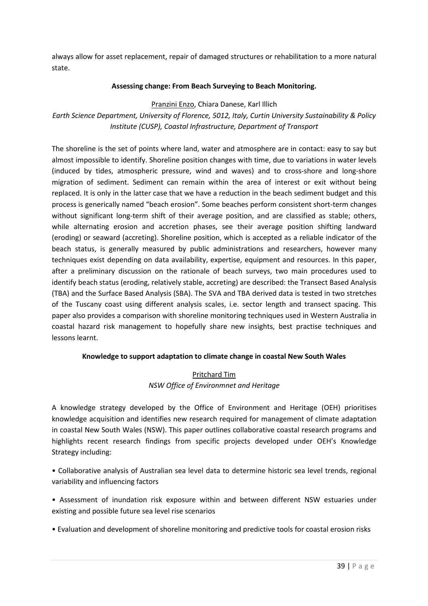always allow for asset replacement, repair of damaged structures or rehabilitation to a more natural state.

#### **Assessing change: From Beach Surveying to Beach Monitoring.**

Pranzini Enzo, Chiara Danese, Karl Illich

*Earth Science Department, University of Florence, 5012, Italy, Curtin University Sustainability & Policy Institute (CUSP), Coastal Infrastructure, Department of Transport* 

The shoreline is the set of points where land, water and atmosphere are in contact: easy to say but almost impossible to identify. Shoreline position changes with time, due to variations in water levels (induced by tides, atmospheric pressure, wind and waves) and to cross-shore and long-shore migration of sediment. Sediment can remain within the area of interest or exit without being replaced. It is only in the latter case that we have a reduction in the beach sediment budget and this process is generically named "beach erosion". Some beaches perform consistent short-term changes without significant long-term shift of their average position, and are classified as stable; others, while alternating erosion and accretion phases, see their average position shifting landward (eroding) or seaward (accreting). Shoreline position, which is accepted as a reliable indicator of the beach status, is generally measured by public administrations and researchers, however many techniques exist depending on data availability, expertise, equipment and resources. In this paper, after a preliminary discussion on the rationale of beach surveys, two main procedures used to identify beach status (eroding, relatively stable, accreting) are described: the Transect Based Analysis (TBA) and the Surface Based Analysis (SBA). The SVA and TBA derived data is tested in two stretches of the Tuscany coast using different analysis scales, i.e. sector length and transect spacing. This paper also provides a comparison with shoreline monitoring techniques used in Western Australia in coastal hazard risk management to hopefully share new insights, best practise techniques and lessons learnt.

#### **Knowledge to support adaptation to climate change in coastal New South Wales**

## Pritchard Tim *NSW Office of Environmnet and Heritage*

A knowledge strategy developed by the Office of Environment and Heritage (OEH) prioritises knowledge acquisition and identifies new research required for management of climate adaptation in coastal New South Wales (NSW). This paper outlines collaborative coastal research programs and highlights recent research findings from specific projects developed under OEH's Knowledge Strategy including:

• Collaborative analysis of Australian sea level data to determine historic sea level trends, regional variability and influencing factors

• Assessment of inundation risk exposure within and between different NSW estuaries under existing and possible future sea level rise scenarios

• Evaluation and development of shoreline monitoring and predictive tools for coastal erosion risks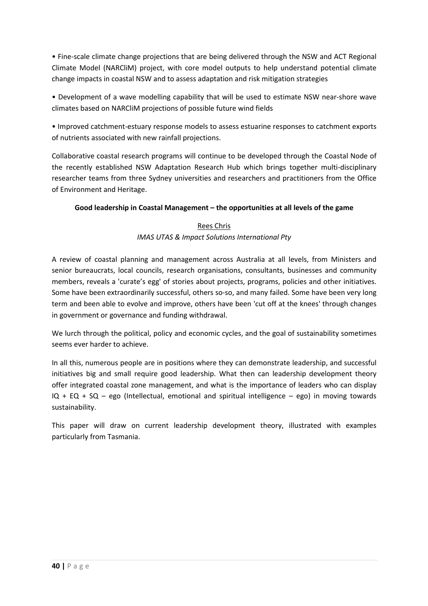• Fine-scale climate change projections that are being delivered through the NSW and ACT Regional Climate Model (NARCliM) project, with core model outputs to help understand potential climate change impacts in coastal NSW and to assess adaptation and risk mitigation strategies

• Development of a wave modelling capability that will be used to estimate NSW near-shore wave climates based on NARCliM projections of possible future wind fields

• Improved catchment-estuary response models to assess estuarine responses to catchment exports of nutrients associated with new rainfall projections.

Collaborative coastal research programs will continue to be developed through the Coastal Node of the recently established NSW Adaptation Research Hub which brings together multi-disciplinary researcher teams from three Sydney universities and researchers and practitioners from the Office of Environment and Heritage.

## **Good leadership in Coastal Management – the opportunities at all levels of the game**

## Rees Chris *IMAS UTAS & Impact Solutions International Pty*

A review of coastal planning and management across Australia at all levels, from Ministers and senior bureaucrats, local councils, research organisations, consultants, businesses and community members, reveals a 'curate's egg' of stories about projects, programs, policies and other initiatives. Some have been extraordinarily successful, others so-so, and many failed. Some have been very long term and been able to evolve and improve, others have been 'cut off at the knees' through changes in government or governance and funding withdrawal.

We lurch through the political, policy and economic cycles, and the goal of sustainability sometimes seems ever harder to achieve.

In all this, numerous people are in positions where they can demonstrate leadership, and successful initiatives big and small require good leadership. What then can leadership development theory offer integrated coastal zone management, and what is the importance of leaders who can display  $IQ + EQ + SQ - ego$  (Intellectual, emotional and spiritual intelligence – ego) in moving towards sustainability.

This paper will draw on current leadership development theory, illustrated with examples particularly from Tasmania.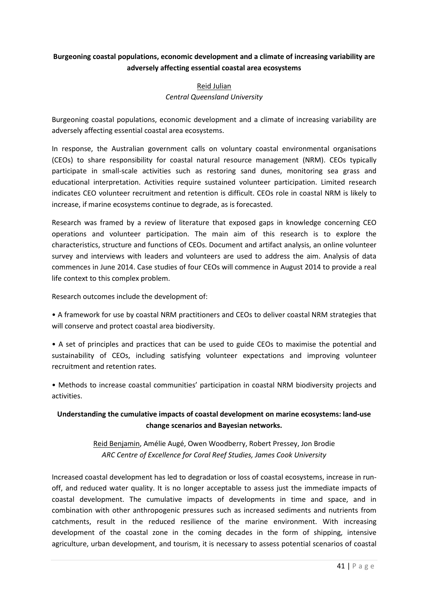## **Burgeoning coastal populations, economic development and a climate of increasing variability are adversely affecting essential coastal area ecosystems**

# Reid Julian *Central Queensland University*

Burgeoning coastal populations, economic development and a climate of increasing variability are adversely affecting essential coastal area ecosystems.

In response, the Australian government calls on voluntary coastal environmental organisations (CEOs) to share responsibility for coastal natural resource management (NRM). CEOs typically participate in small-scale activities such as restoring sand dunes, monitoring sea grass and educational interpretation. Activities require sustained volunteer participation. Limited research indicates CEO volunteer recruitment and retention is difficult. CEOs role in coastal NRM is likely to increase, if marine ecosystems continue to degrade, as is forecasted.

Research was framed by a review of literature that exposed gaps in knowledge concerning CEO operations and volunteer participation. The main aim of this research is to explore the characteristics, structure and functions of CEOs. Document and artifact analysis, an online volunteer survey and interviews with leaders and volunteers are used to address the aim. Analysis of data commences in June 2014. Case studies of four CEOs will commence in August 2014 to provide a real life context to this complex problem.

Research outcomes include the development of:

• A framework for use by coastal NRM practitioners and CEOs to deliver coastal NRM strategies that will conserve and protect coastal area biodiversity.

• A set of principles and practices that can be used to guide CEOs to maximise the potential and sustainability of CEOs, including satisfying volunteer expectations and improving volunteer recruitment and retention rates.

• Methods to increase coastal communities' participation in coastal NRM biodiversity projects and activities.

## **Understanding the cumulative impacts of coastal development on marine ecosystems: land-use change scenarios and Bayesian networks.**

# Reid Benjamin, Amélie Augé, Owen Woodberry, Robert Pressey, Jon Brodie *ARC Centre of Excellence for Coral Reef Studies, James Cook University*

Increased coastal development has led to degradation or loss of coastal ecosystems, increase in runoff, and reduced water quality. It is no longer acceptable to assess just the immediate impacts of coastal development. The cumulative impacts of developments in time and space, and in combination with other anthropogenic pressures such as increased sediments and nutrients from catchments, result in the reduced resilience of the marine environment. With increasing development of the coastal zone in the coming decades in the form of shipping, intensive agriculture, urban development, and tourism, it is necessary to assess potential scenarios of coastal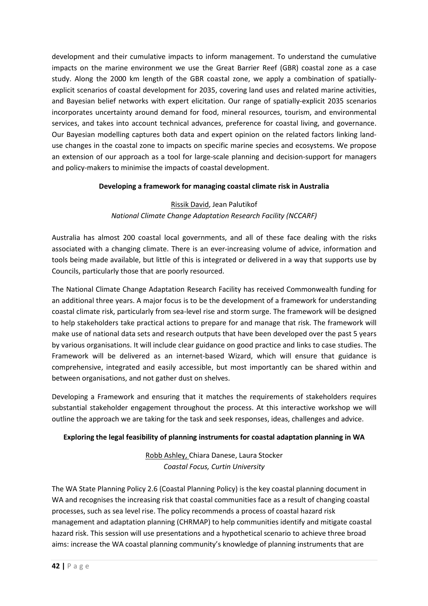development and their cumulative impacts to inform management. To understand the cumulative impacts on the marine environment we use the Great Barrier Reef (GBR) coastal zone as a case study. Along the 2000 km length of the GBR coastal zone, we apply a combination of spatiallyexplicit scenarios of coastal development for 2035, covering land uses and related marine activities, and Bayesian belief networks with expert elicitation. Our range of spatially-explicit 2035 scenarios incorporates uncertainty around demand for food, mineral resources, tourism, and environmental services, and takes into account technical advances, preference for coastal living, and governance. Our Bayesian modelling captures both data and expert opinion on the related factors linking landuse changes in the coastal zone to impacts on specific marine species and ecosystems. We propose an extension of our approach as a tool for large-scale planning and decision-support for managers and policy-makers to minimise the impacts of coastal development.

## **Developing a framework for managing coastal climate risk in Australia**

## Rissik David, Jean Palutikof *National Climate Change Adaptation Research Facility (NCCARF)*

Australia has almost 200 coastal local governments, and all of these face dealing with the risks associated with a changing climate. There is an ever-increasing volume of advice, information and tools being made available, but little of this is integrated or delivered in a way that supports use by Councils, particularly those that are poorly resourced.

The National Climate Change Adaptation Research Facility has received Commonwealth funding for an additional three years. A major focus is to be the development of a framework for understanding coastal climate risk, particularly from sea-level rise and storm surge. The framework will be designed to help stakeholders take practical actions to prepare for and manage that risk. The framework will make use of national data sets and research outputs that have been developed over the past 5 years by various organisations. It will include clear guidance on good practice and links to case studies. The Framework will be delivered as an internet-based Wizard, which will ensure that guidance is comprehensive, integrated and easily accessible, but most importantly can be shared within and between organisations, and not gather dust on shelves.

Developing a Framework and ensuring that it matches the requirements of stakeholders requires substantial stakeholder engagement throughout the process. At this interactive workshop we will outline the approach we are taking for the task and seek responses, ideas, challenges and advice.

## **Exploring the legal feasibility of planning instruments for coastal adaptation planning in WA**

Robb Ashley, Chiara Danese, Laura Stocker *Coastal Focus, Curtin University* 

The WA State Planning Policy 2.6 (Coastal Planning Policy) is the key coastal planning document in WA and recognises the increasing risk that coastal communities face as a result of changing coastal processes, such as sea level rise. The policy recommends a process of coastal hazard risk management and adaptation planning (CHRMAP) to help communities identify and mitigate coastal hazard risk. This session will use presentations and a hypothetical scenario to achieve three broad aims: increase the WA coastal planning community's knowledge of planning instruments that are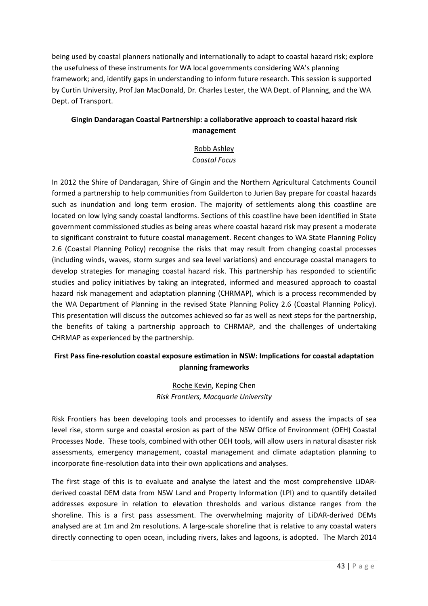being used by coastal planners nationally and internationally to adapt to coastal hazard risk; explore the usefulness of these instruments for WA local governments considering WA's planning framework; and, identify gaps in understanding to inform future research. This session is supported by Curtin University, Prof Jan MacDonald, Dr. Charles Lester, the WA Dept. of Planning, and the WA Dept. of Transport.

# **Gingin Dandaragan Coastal Partnership: a collaborative approach to coastal hazard risk management**

# Robb Ashley *Coastal Focus*

In 2012 the Shire of Dandaragan, Shire of Gingin and the Northern Agricultural Catchments Council formed a partnership to help communities from Guilderton to Jurien Bay prepare for coastal hazards such as inundation and long term erosion. The majority of settlements along this coastline are located on low lying sandy coastal landforms. Sections of this coastline have been identified in State government commissioned studies as being areas where coastal hazard risk may present a moderate to significant constraint to future coastal management. Recent changes to WA State Planning Policy 2.6 (Coastal Planning Policy) recognise the risks that may result from changing coastal processes (including winds, waves, storm surges and sea level variations) and encourage coastal managers to develop strategies for managing coastal hazard risk. This partnership has responded to scientific studies and policy initiatives by taking an integrated, informed and measured approach to coastal hazard risk management and adaptation planning (CHRMAP), which is a process recommended by the WA Department of Planning in the revised State Planning Policy 2.6 (Coastal Planning Policy). This presentation will discuss the outcomes achieved so far as well as next steps for the partnership, the benefits of taking a partnership approach to CHRMAP, and the challenges of undertaking CHRMAP as experienced by the partnership.

## **First Pass fine-resolution coastal exposure estimation in NSW: Implications for coastal adaptation planning frameworks**

Roche Kevin, Keping Chen *Risk Frontiers, Macquarie University* 

Risk Frontiers has been developing tools and processes to identify and assess the impacts of sea level rise, storm surge and coastal erosion as part of the NSW Office of Environment (OEH) Coastal Processes Node. These tools, combined with other OEH tools, will allow users in natural disaster risk assessments, emergency management, coastal management and climate adaptation planning to incorporate fine-resolution data into their own applications and analyses.

The first stage of this is to evaluate and analyse the latest and the most comprehensive LiDARderived coastal DEM data from NSW Land and Property Information (LPI) and to quantify detailed addresses exposure in relation to elevation thresholds and various distance ranges from the shoreline. This is a first pass assessment. The overwhelming majority of LiDAR-derived DEMs analysed are at 1m and 2m resolutions. A large-scale shoreline that is relative to any coastal waters directly connecting to open ocean, including rivers, lakes and lagoons, is adopted. The March 2014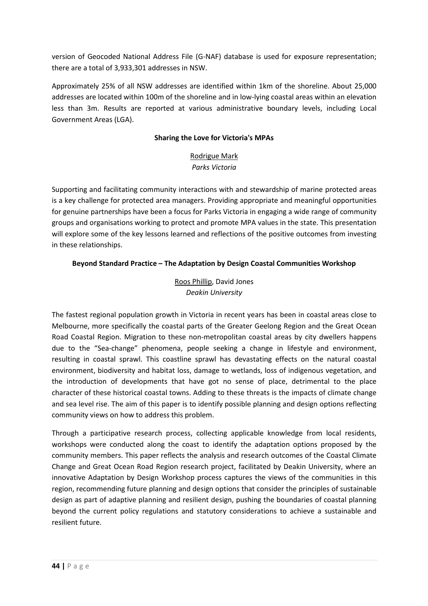version of Geocoded National Address File (G-NAF) database is used for exposure representation; there are a total of 3,933,301 addresses in NSW.

Approximately 25% of all NSW addresses are identified within 1km of the shoreline. About 25,000 addresses are located within 100m of the shoreline and in low-lying coastal areas within an elevation less than 3m. Results are reported at various administrative boundary levels, including Local Government Areas (LGA).

## **Sharing the Love for Victoria's MPAs**

## Rodrigue Mark *Parks Victoria*

Supporting and facilitating community interactions with and stewardship of marine protected areas is a key challenge for protected area managers. Providing appropriate and meaningful opportunities for genuine partnerships have been a focus for Parks Victoria in engaging a wide range of community groups and organisations working to protect and promote MPA values in the state. This presentation will explore some of the key lessons learned and reflections of the positive outcomes from investing in these relationships.

## **Beyond Standard Practice – The Adaptation by Design Coastal Communities Workshop**

Roos Phillip, David Jones *Deakin University* 

The fastest regional population growth in Victoria in recent years has been in coastal areas close to Melbourne, more specifically the coastal parts of the Greater Geelong Region and the Great Ocean Road Coastal Region. Migration to these non-metropolitan coastal areas by city dwellers happens due to the "Sea-change" phenomena, people seeking a change in lifestyle and environment, resulting in coastal sprawl. This coastline sprawl has devastating effects on the natural coastal environment, biodiversity and habitat loss, damage to wetlands, loss of indigenous vegetation, and the introduction of developments that have got no sense of place, detrimental to the place character of these historical coastal towns. Adding to these threats is the impacts of climate change and sea level rise. The aim of this paper is to identify possible planning and design options reflecting community views on how to address this problem.

Through a participative research process, collecting applicable knowledge from local residents, workshops were conducted along the coast to identify the adaptation options proposed by the community members. This paper reflects the analysis and research outcomes of the Coastal Climate Change and Great Ocean Road Region research project, facilitated by Deakin University, where an innovative Adaptation by Design Workshop process captures the views of the communities in this region, recommending future planning and design options that consider the principles of sustainable design as part of adaptive planning and resilient design, pushing the boundaries of coastal planning beyond the current policy regulations and statutory considerations to achieve a sustainable and resilient future.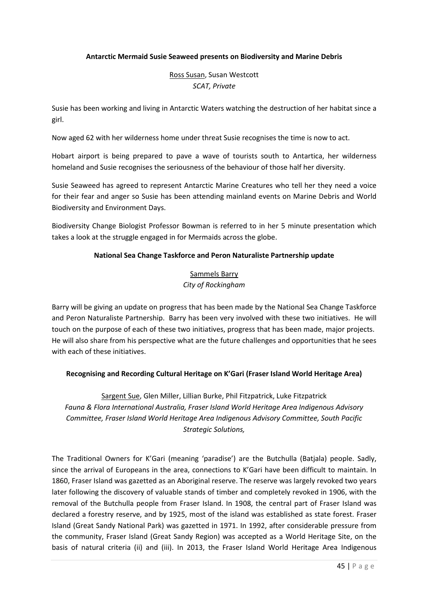#### **Antarctic Mermaid Susie Seaweed presents on Biodiversity and Marine Debris**

Ross Susan, Susan Westcott *SCAT, Private* 

Susie has been working and living in Antarctic Waters watching the destruction of her habitat since a girl.

Now aged 62 with her wilderness home under threat Susie recognises the time is now to act.

Hobart airport is being prepared to pave a wave of tourists south to Antartica, her wilderness homeland and Susie recognises the seriousness of the behaviour of those half her diversity.

Susie Seaweed has agreed to represent Antarctic Marine Creatures who tell her they need a voice for their fear and anger so Susie has been attending mainland events on Marine Debris and World Biodiversity and Environment Days.

Biodiversity Change Biologist Professor Bowman is referred to in her 5 minute presentation which takes a look at the struggle engaged in for Mermaids across the globe.

#### **National Sea Change Taskforce and Peron Naturaliste Partnership update**

## Sammels Barry *City of Rockingham*

Barry will be giving an update on progress that has been made by the National Sea Change Taskforce and Peron Naturaliste Partnership. Barry has been very involved with these two initiatives. He will touch on the purpose of each of these two initiatives, progress that has been made, major projects. He will also share from his perspective what are the future challenges and opportunities that he sees with each of these initiatives.

## **Recognising and Recording Cultural Heritage on K'Gari (Fraser Island World Heritage Area)**

Sargent Sue, Glen Miller, Lillian Burke, Phil Fitzpatrick, Luke Fitzpatrick *Fauna & Flora International Australia, Fraser Island World Heritage Area Indigenous Advisory Committee, Fraser Island World Heritage Area Indigenous Advisory Committee, South Pacific Strategic Solutions,* 

The Traditional Owners for K'Gari (meaning 'paradise') are the Butchulla (Batjala) people. Sadly, since the arrival of Europeans in the area, connections to K'Gari have been difficult to maintain. In 1860, Fraser Island was gazetted as an Aboriginal reserve. The reserve was largely revoked two years later following the discovery of valuable stands of timber and completely revoked in 1906, with the removal of the Butchulla people from Fraser Island. In 1908, the central part of Fraser Island was declared a forestry reserve, and by 1925, most of the island was established as state forest. Fraser Island (Great Sandy National Park) was gazetted in 1971. In 1992, after considerable pressure from the community, Fraser Island (Great Sandy Region) was accepted as a World Heritage Site, on the basis of natural criteria (ii) and (iii). In 2013, the Fraser Island World Heritage Area Indigenous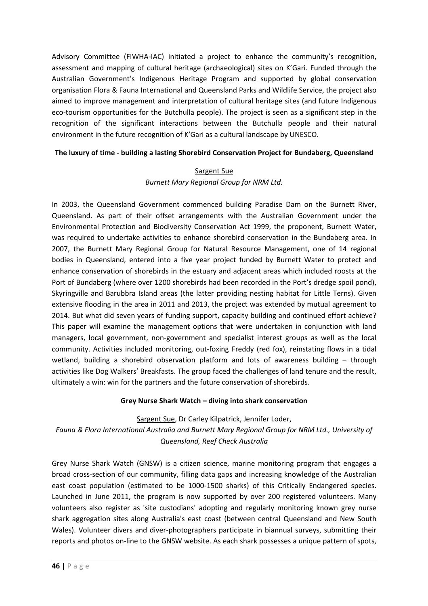Advisory Committee (FIWHA-IAC) initiated a project to enhance the community's recognition, assessment and mapping of cultural heritage (archaeological) sites on K'Gari. Funded through the Australian Government's Indigenous Heritage Program and supported by global conservation organisation Flora & Fauna International and Queensland Parks and Wildlife Service, the project also aimed to improve management and interpretation of cultural heritage sites (and future Indigenous eco-tourism opportunities for the Butchulla people). The project is seen as a significant step in the recognition of the significant interactions between the Butchulla people and their natural environment in the future recognition of K'Gari as a cultural landscape by UNESCO.

## **The luxury of time - building a lasting Shorebird Conservation Project for Bundaberg, Queensland**

# Sargent Sue *Burnett Mary Regional Group for NRM Ltd.*

In 2003, the Queensland Government commenced building Paradise Dam on the Burnett River, Queensland. As part of their offset arrangements with the Australian Government under the Environmental Protection and Biodiversity Conservation Act 1999, the proponent, Burnett Water, was required to undertake activities to enhance shorebird conservation in the Bundaberg area. In 2007, the Burnett Mary Regional Group for Natural Resource Management, one of 14 regional bodies in Queensland, entered into a five year project funded by Burnett Water to protect and enhance conservation of shorebirds in the estuary and adjacent areas which included roosts at the Port of Bundaberg (where over 1200 shorebirds had been recorded in the Port's dredge spoil pond), Skyringville and Barubbra Island areas (the latter providing nesting habitat for Little Terns). Given extensive flooding in the area in 2011 and 2013, the project was extended by mutual agreement to 2014. But what did seven years of funding support, capacity building and continued effort achieve? This paper will examine the management options that were undertaken in conjunction with land managers, local government, non-government and specialist interest groups as well as the local community. Activities included monitoring, out-foxing Freddy (red fox), reinstating flows in a tidal wetland, building a shorebird observation platform and lots of awareness building – through activities like Dog Walkers' Breakfasts. The group faced the challenges of land tenure and the result, ultimately a win: win for the partners and the future conservation of shorebirds.

## **Grey Nurse Shark Watch – diving into shark conservation**

Sargent Sue, Dr Carley Kilpatrick, Jennifer Loder,

*Fauna & Flora International Australia and Burnett Mary Regional Group for NRM Ltd., University of Queensland, Reef Check Australia* 

Grey Nurse Shark Watch (GNSW) is a citizen science, marine monitoring program that engages a broad cross-section of our community, filling data gaps and increasing knowledge of the Australian east coast population (estimated to be 1000-1500 sharks) of this Critically Endangered species. Launched in June 2011, the program is now supported by over 200 registered volunteers. Many volunteers also register as 'site custodians' adopting and regularly monitoring known grey nurse shark aggregation sites along Australia's east coast (between central Queensland and New South Wales). Volunteer divers and diver-photographers participate in biannual surveys, submitting their reports and photos on-line to the GNSW website. As each shark possesses a unique pattern of spots,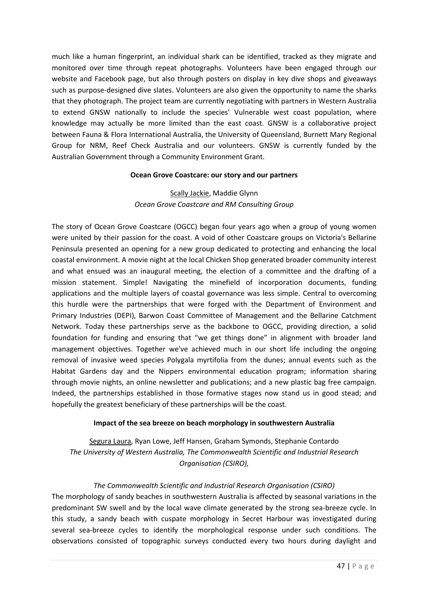much like a human fingerprint, an individual shark can be identified, tracked as they migrate and monitored over time through repeat photographs. Volunteers have been engaged through our website and Facebook page, but also through posters on display in key dive shops and giveaways such as purpose-designed dive slates. Volunteers are also given the opportunity to name the sharks that they photograph. The project team are currently negotiating with partners in Western Australia to extend GNSW nationally to include the species' Vulnerable west coast population, where knowledge may actually be more limited than the east coast. GNSW is a collaborative project between Fauna & Flora International Australia, the University of Queensland, Burnett Mary Regional Group for NRM, Reef Check Australia and our volunteers. GNSW is currently funded by the Australian Government through a Community Environment Grant.

#### **Ocean Grove Coastcare: our story and our partners**

# Scally Jackie, Maddie Glynn *Ocean Grove Coastcare and RM Consulting Group*

The story of Ocean Grove Coastcare (OGCC) began four years ago when a group of young women were united by their passion for the coast. A void of other Coastcare groups on Victoria's Bellarine Peninsula presented an opening for a new group dedicated to protecting and enhancing the local coastal environment. A movie night at the local Chicken Shop generated broader community interest and what ensued was an inaugural meeting, the election of a committee and the drafting of a mission statement. Simple! Navigating the minefield of incorporation documents, funding applications and the multiple layers of coastal governance was less simple. Central to overcoming this hurdle were the partnerships that were forged with the Department of Environment and Primary Industries (DEPI), Barwon Coast Committee of Management and the Bellarine Catchment Network. Today these partnerships serve as the backbone to OGCC, providing direction, a solid foundation for funding and ensuring that "we get things done" in alignment with broader land management objectives. Together we've achieved much in our short life including the ongoing removal of invasive weed species Polygala myrtifolia from the dunes; annual events such as the Habitat Gardens day and the Nippers environmental education program; information sharing through movie nights, an online newsletter and publications; and a new plastic bag free campaign. Indeed, the partnerships established in those formative stages now stand us in good stead; and hopefully the greatest beneficiary of these partnerships will be the coast.

## **Impact of the sea breeze on beach morphology in southwestern Australia**

Segura Laura, Ryan Lowe, Jeff Hansen, Graham Symonds, Stephanie Contardo *The University of Western Australia, The Commonwealth Scientific and Industrial Research Organisation (CSIRO),* 

## *The Commonwealth Scientific and Industrial Research Organisation (CSIRO)*

The morphology of sandy beaches in southwestern Australia is affected by seasonal variations in the predominant SW swell and by the local wave climate generated by the strong sea-breeze cycle. In this study, a sandy beach with cuspate morphology in Secret Harbour was investigated during several sea-breeze cycles to identify the morphological response under such conditions. The observations consisted of topographic surveys conducted every two hours during daylight and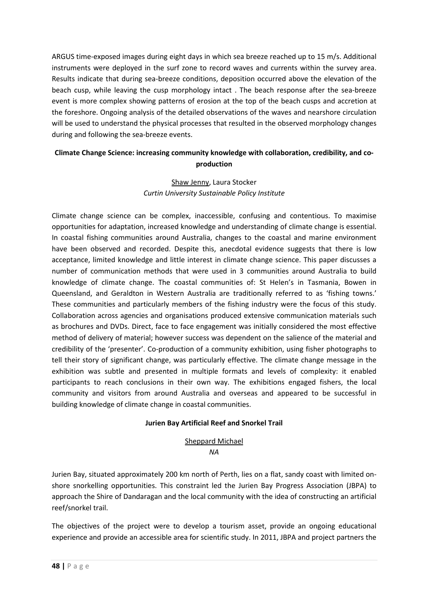ARGUS time-exposed images during eight days in which sea breeze reached up to 15 m/s. Additional instruments were deployed in the surf zone to record waves and currents within the survey area. Results indicate that during sea-breeze conditions, deposition occurred above the elevation of the beach cusp, while leaving the cusp morphology intact . The beach response after the sea-breeze event is more complex showing patterns of erosion at the top of the beach cusps and accretion at the foreshore. Ongoing analysis of the detailed observations of the waves and nearshore circulation will be used to understand the physical processes that resulted in the observed morphology changes during and following the sea-breeze events.

# **Climate Change Science: increasing community knowledge with collaboration, credibility, and coproduction**

## Shaw Jenny, Laura Stocker *Curtin University Sustainable Policy Institute*

Climate change science can be complex, inaccessible, confusing and contentious. To maximise opportunities for adaptation, increased knowledge and understanding of climate change is essential. In coastal fishing communities around Australia, changes to the coastal and marine environment have been observed and recorded. Despite this, anecdotal evidence suggests that there is low acceptance, limited knowledge and little interest in climate change science. This paper discusses a number of communication methods that were used in 3 communities around Australia to build knowledge of climate change. The coastal communities of: St Helen's in Tasmania, Bowen in Queensland, and Geraldton in Western Australia are traditionally referred to as 'fishing towns.' These communities and particularly members of the fishing industry were the focus of this study. Collaboration across agencies and organisations produced extensive communication materials such as brochures and DVDs. Direct, face to face engagement was initially considered the most effective method of delivery of material; however success was dependent on the salience of the material and credibility of the 'presenter'. Co-production of a community exhibition, using fisher photographs to tell their story of significant change, was particularly effective. The climate change message in the exhibition was subtle and presented in multiple formats and levels of complexity: it enabled participants to reach conclusions in their own way. The exhibitions engaged fishers, the local community and visitors from around Australia and overseas and appeared to be successful in building knowledge of climate change in coastal communities.

## **Jurien Bay Artificial Reef and Snorkel Trail**

# Sheppard Michael

*NA* 

Jurien Bay, situated approximately 200 km north of Perth, lies on a flat, sandy coast with limited onshore snorkelling opportunities. This constraint led the Jurien Bay Progress Association (JBPA) to approach the Shire of Dandaragan and the local community with the idea of constructing an artificial reef/snorkel trail.

The objectives of the project were to develop a tourism asset, provide an ongoing educational experience and provide an accessible area for scientific study. In 2011, JBPA and project partners the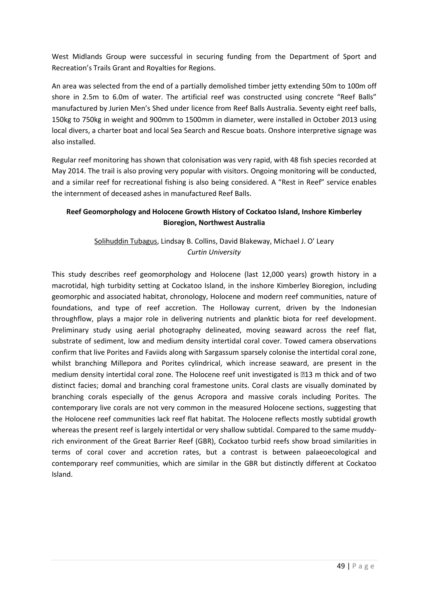West Midlands Group were successful in securing funding from the Department of Sport and Recreation's Trails Grant and Royalties for Regions.

An area was selected from the end of a partially demolished timber jetty extending 50m to 100m off shore in 2.5m to 6.0m of water. The artificial reef was constructed using concrete "Reef Balls" manufactured by Jurien Men's Shed under licence from Reef Balls Australia. Seventy eight reef balls, 150kg to 750kg in weight and 900mm to 1500mm in diameter, were installed in October 2013 using local divers, a charter boat and local Sea Search and Rescue boats. Onshore interpretive signage was also installed.

Regular reef monitoring has shown that colonisation was very rapid, with 48 fish species recorded at May 2014. The trail is also proving very popular with visitors. Ongoing monitoring will be conducted, and a similar reef for recreational fishing is also being considered. A "Rest in Reef" service enables the internment of deceased ashes in manufactured Reef Balls.

# **Reef Geomorphology and Holocene Growth History of Cockatoo Island, Inshore Kimberley Bioregion, Northwest Australia**

# Solihuddin Tubagus, Lindsay B. Collins, David Blakeway, Michael J. O' Leary *Curtin University*

This study describes reef geomorphology and Holocene (last 12,000 years) growth history in a macrotidal, high turbidity setting at Cockatoo Island, in the inshore Kimberley Bioregion, including geomorphic and associated habitat, chronology, Holocene and modern reef communities, nature of foundations, and type of reef accretion. The Holloway current, driven by the Indonesian throughflow, plays a major role in delivering nutrients and planktic biota for reef development. Preliminary study using aerial photography delineated, moving seaward across the reef flat, substrate of sediment, low and medium density intertidal coral cover. Towed camera observations confirm that live Porites and Faviids along with Sargassum sparsely colonise the intertidal coral zone, whilst branching Millepora and Porites cylindrical, which increase seaward, are present in the medium density intertidal coral zone. The Holocene reef unit investigated is 13 m thick and of two distinct facies; domal and branching coral framestone units. Coral clasts are visually dominated by branching corals especially of the genus Acropora and massive corals including Porites. The contemporary live corals are not very common in the measured Holocene sections, suggesting that the Holocene reef communities lack reef flat habitat. The Holocene reflects mostly subtidal growth whereas the present reef is largely intertidal or very shallow subtidal. Compared to the same muddyrich environment of the Great Barrier Reef (GBR), Cockatoo turbid reefs show broad similarities in terms of coral cover and accretion rates, but a contrast is between palaeoecological and contemporary reef communities, which are similar in the GBR but distinctly different at Cockatoo Island.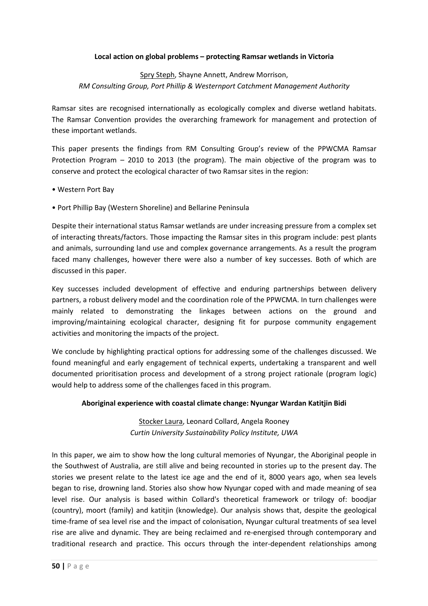#### **Local action on global problems – protecting Ramsar wetlands in Victoria**

## Spry Steph, Shayne Annett, Andrew Morrison, *RM Consulting Group, Port Phillip & Westernport Catchment Management Authority*

Ramsar sites are recognised internationally as ecologically complex and diverse wetland habitats. The Ramsar Convention provides the overarching framework for management and protection of these important wetlands.

This paper presents the findings from RM Consulting Group's review of the PPWCMA Ramsar Protection Program – 2010 to 2013 (the program). The main objective of the program was to conserve and protect the ecological character of two Ramsar sites in the region:

- Western Port Bay
- Port Phillip Bay (Western Shoreline) and Bellarine Peninsula

Despite their international status Ramsar wetlands are under increasing pressure from a complex set of interacting threats/factors. Those impacting the Ramsar sites in this program include: pest plants and animals, surrounding land use and complex governance arrangements. As a result the program faced many challenges, however there were also a number of key successes. Both of which are discussed in this paper.

Key successes included development of effective and enduring partnerships between delivery partners, a robust delivery model and the coordination role of the PPWCMA. In turn challenges were mainly related to demonstrating the linkages between actions on the ground and improving/maintaining ecological character, designing fit for purpose community engagement activities and monitoring the impacts of the project.

We conclude by highlighting practical options for addressing some of the challenges discussed. We found meaningful and early engagement of technical experts, undertaking a transparent and well documented prioritisation process and development of a strong project rationale (program logic) would help to address some of the challenges faced in this program.

#### **Aboriginal experience with coastal climate change: Nyungar Wardan Katitjin Bidi**

Stocker Laura, Leonard Collard, Angela Rooney *Curtin University Sustainability Policy Institute, UWA* 

In this paper, we aim to show how the long cultural memories of Nyungar, the Aboriginal people in the Southwest of Australia, are still alive and being recounted in stories up to the present day. The stories we present relate to the latest ice age and the end of it, 8000 years ago, when sea levels began to rise, drowning land. Stories also show how Nyungar coped with and made meaning of sea level rise. Our analysis is based within Collard's theoretical framework or trilogy of: boodjar (country), moort (family) and katitjin (knowledge). Our analysis shows that, despite the geological time-frame of sea level rise and the impact of colonisation, Nyungar cultural treatments of sea level rise are alive and dynamic. They are being reclaimed and re-energised through contemporary and traditional research and practice. This occurs through the inter-dependent relationships among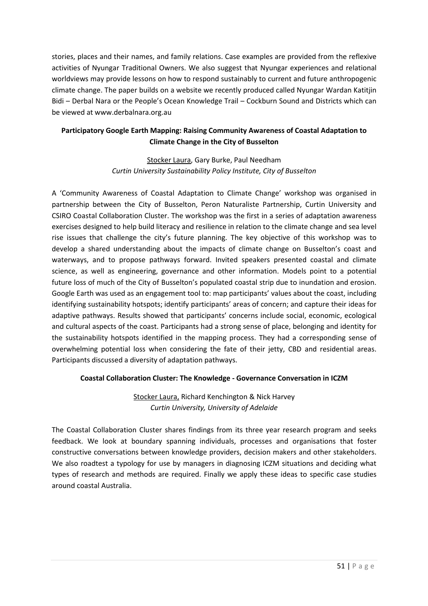stories, places and their names, and family relations. Case examples are provided from the reflexive activities of Nyungar Traditional Owners. We also suggest that Nyungar experiences and relational worldviews may provide lessons on how to respond sustainably to current and future anthropogenic climate change. The paper builds on a website we recently produced called Nyungar Wardan Katitjin Bidi – Derbal Nara or the People's Ocean Knowledge Trail – Cockburn Sound and Districts which can be viewed at www.derbalnara.org.au

# **Participatory Google Earth Mapping: Raising Community Awareness of Coastal Adaptation to Climate Change in the City of Busselton**

## Stocker Laura, Gary Burke, Paul Needham *Curtin University Sustainability Policy Institute, City of Busselton*

A 'Community Awareness of Coastal Adaptation to Climate Change' workshop was organised in partnership between the City of Busselton, Peron Naturaliste Partnership, Curtin University and CSIRO Coastal Collaboration Cluster. The workshop was the first in a series of adaptation awareness exercises designed to help build literacy and resilience in relation to the climate change and sea level rise issues that challenge the city's future planning. The key objective of this workshop was to develop a shared understanding about the impacts of climate change on Busselton's coast and waterways, and to propose pathways forward. Invited speakers presented coastal and climate science, as well as engineering, governance and other information. Models point to a potential future loss of much of the City of Busselton's populated coastal strip due to inundation and erosion. Google Earth was used as an engagement tool to: map participants' values about the coast, including identifying sustainability hotspots; identify participants' areas of concern; and capture their ideas for adaptive pathways. Results showed that participants' concerns include social, economic, ecological and cultural aspects of the coast. Participants had a strong sense of place, belonging and identity for the sustainability hotspots identified in the mapping process. They had a corresponding sense of overwhelming potential loss when considering the fate of their jetty, CBD and residential areas. Participants discussed a diversity of adaptation pathways.

## **Coastal Collaboration Cluster: The Knowledge - Governance Conversation in ICZM**

# Stocker Laura, Richard Kenchington & Nick Harvey *Curtin University, University of Adelaide*

The Coastal Collaboration Cluster shares findings from its three year research program and seeks feedback. We look at boundary spanning individuals, processes and organisations that foster constructive conversations between knowledge providers, decision makers and other stakeholders. We also roadtest a typology for use by managers in diagnosing ICZM situations and deciding what types of research and methods are required. Finally we apply these ideas to specific case studies around coastal Australia.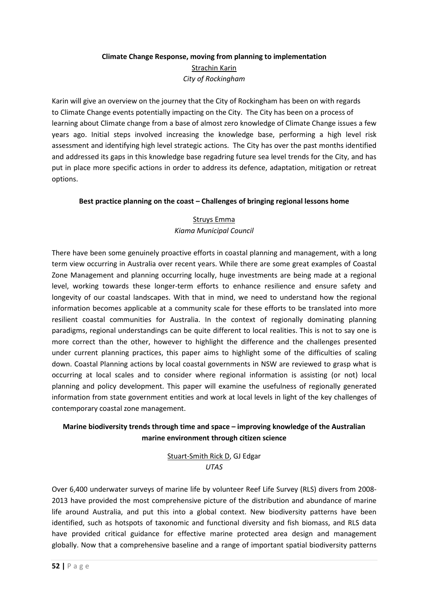# **Climate Change Response, moving from planning to implementation**  Strachin Karin *City of Rockingham*

Karin will give an overview on the journey that the City of Rockingham has been on with regards to Climate Change events potentially impacting on the City. The City has been on a process of learning about Climate change from a base of almost zero knowledge of Climate Change issues a few years ago. Initial steps involved increasing the knowledge base, performing a high level risk assessment and identifying high level strategic actions. The City has over the past months identified and addressed its gaps in this knowledge base regadring future sea level trends for the City, and has put in place more specific actions in order to address its defence, adaptation, mitigation or retreat options.

## **Best practice planning on the coast – Challenges of bringing regional lessons home**

# Struys Emma *Kiama Municipal Council*

There have been some genuinely proactive efforts in coastal planning and management, with a long term view occurring in Australia over recent years. While there are some great examples of Coastal Zone Management and planning occurring locally, huge investments are being made at a regional level, working towards these longer-term efforts to enhance resilience and ensure safety and longevity of our coastal landscapes. With that in mind, we need to understand how the regional information becomes applicable at a community scale for these efforts to be translated into more resilient coastal communities for Australia. In the context of regionally dominating planning paradigms, regional understandings can be quite different to local realities. This is not to say one is more correct than the other, however to highlight the difference and the challenges presented under current planning practices, this paper aims to highlight some of the difficulties of scaling down. Coastal Planning actions by local coastal governments in NSW are reviewed to grasp what is occurring at local scales and to consider where regional information is assisting (or not) local planning and policy development. This paper will examine the usefulness of regionally generated information from state government entities and work at local levels in light of the key challenges of contemporary coastal zone management.

# **Marine biodiversity trends through time and space – improving knowledge of the Australian marine environment through citizen science**

Stuart-Smith Rick D, GJ Edgar *UTAS* 

Over 6,400 underwater surveys of marine life by volunteer Reef Life Survey (RLS) divers from 2008- 2013 have provided the most comprehensive picture of the distribution and abundance of marine life around Australia, and put this into a global context. New biodiversity patterns have been identified, such as hotspots of taxonomic and functional diversity and fish biomass, and RLS data have provided critical guidance for effective marine protected area design and management globally. Now that a comprehensive baseline and a range of important spatial biodiversity patterns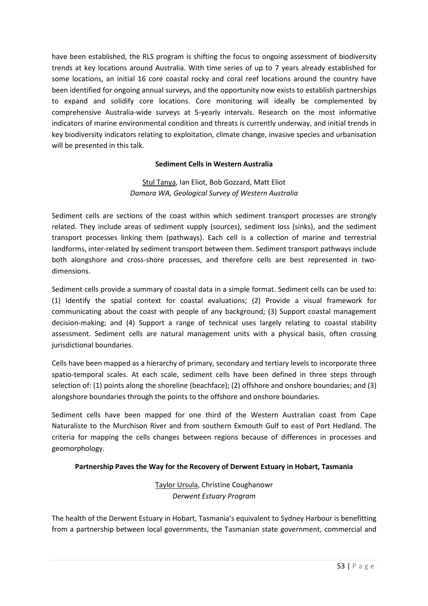have been established, the RLS program is shifting the focus to ongoing assessment of biodiversity trends at key locations around Australia. With time series of up to 7 years already established for some locations, an initial 16 core coastal rocky and coral reef locations around the country have been identified for ongoing annual surveys, and the opportunity now exists to establish partnerships to expand and solidify core locations. Core monitoring will ideally be complemented by comprehensive Australia-wide surveys at 5-yearly intervals. Research on the most informative indicators of marine environmental condition and threats is currently underway, and initial trends in key biodiversity indicators relating to exploitation, climate change, invasive species and urbanisation will be presented in this talk.

#### **Sediment Cells in Western Australia**

## Stul Tanya, Ian Eliot, Bob Gozzard, Matt Eliot *Damara WA, Geological Survey of Western Australia*

Sediment cells are sections of the coast within which sediment transport processes are strongly related. They include areas of sediment supply (sources), sediment loss (sinks), and the sediment transport processes linking them (pathways). Each cell is a collection of marine and terrestrial landforms, inter-related by sediment transport between them. Sediment transport pathways include both alongshore and cross-shore processes, and therefore cells are best represented in twodimensions.

Sediment cells provide a summary of coastal data in a simple format. Sediment cells can be used to: (1) Identify the spatial context for coastal evaluations; (2) Provide a visual framework for communicating about the coast with people of any background; (3) Support coastal management decision-making; and (4) Support a range of technical uses largely relating to coastal stability assessment. Sediment cells are natural management units with a physical basis, often crossing jurisdictional boundaries.

Cells have been mapped as a hierarchy of primary, secondary and tertiary levels to incorporate three spatio-temporal scales. At each scale, sediment cells have been defined in three steps through selection of: (1) points along the shoreline (beachface); (2) offshore and onshore boundaries; and (3) alongshore boundaries through the points to the offshore and onshore boundaries.

Sediment cells have been mapped for one third of the Western Australian coast from Cape Naturaliste to the Murchison River and from southern Exmouth Gulf to east of Port Hedland. The criteria for mapping the cells changes between regions because of differences in processes and geomorphology.

## **Partnership Paves the Way for the Recovery of Derwent Estuary in Hobart, Tasmania**

Taylor Ursula, Christine Coughanowr *Derwent Estuary Program* 

The health of the Derwent Estuary in Hobart, Tasmania's equivalent to Sydney Harbour is benefitting from a partnership between local governments, the Tasmanian state government, commercial and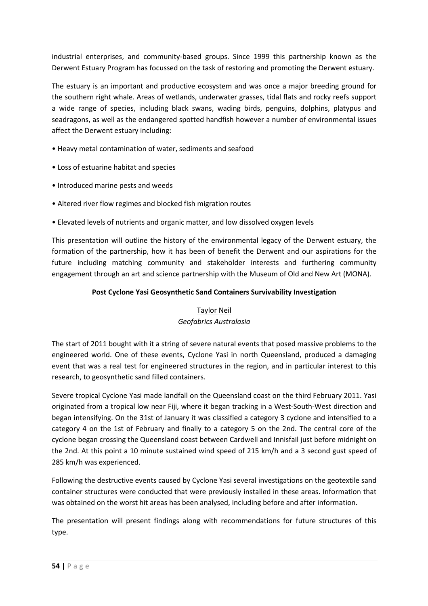industrial enterprises, and community-based groups. Since 1999 this partnership known as the Derwent Estuary Program has focussed on the task of restoring and promoting the Derwent estuary.

The estuary is an important and productive ecosystem and was once a major breeding ground for the southern right whale. Areas of wetlands, underwater grasses, tidal flats and rocky reefs support a wide range of species, including black swans, wading birds, penguins, dolphins, platypus and seadragons, as well as the endangered spotted handfish however a number of environmental issues affect the Derwent estuary including:

- Heavy metal contamination of water, sediments and seafood
- Loss of estuarine habitat and species
- Introduced marine pests and weeds
- Altered river flow regimes and blocked fish migration routes
- Elevated levels of nutrients and organic matter, and low dissolved oxygen levels

This presentation will outline the history of the environmental legacy of the Derwent estuary, the formation of the partnership, how it has been of benefit the Derwent and our aspirations for the future including matching community and stakeholder interests and furthering community engagement through an art and science partnership with the Museum of Old and New Art (MONA).

## **Post Cyclone Yasi Geosynthetic Sand Containers Survivability Investigation**

## Taylor Neil *Geofabrics Australasia*

The start of 2011 bought with it a string of severe natural events that posed massive problems to the engineered world. One of these events, Cyclone Yasi in north Queensland, produced a damaging event that was a real test for engineered structures in the region, and in particular interest to this research, to geosynthetic sand filled containers.

Severe tropical Cyclone Yasi made landfall on the Queensland coast on the third February 2011. Yasi originated from a tropical low near Fiji, where it began tracking in a West-South-West direction and began intensifying. On the 31st of January it was classified a category 3 cyclone and intensified to a category 4 on the 1st of February and finally to a category 5 on the 2nd. The central core of the cyclone began crossing the Queensland coast between Cardwell and Innisfail just before midnight on the 2nd. At this point a 10 minute sustained wind speed of 215 km/h and a 3 second gust speed of 285 km/h was experienced.

Following the destructive events caused by Cyclone Yasi several investigations on the geotextile sand container structures were conducted that were previously installed in these areas. Information that was obtained on the worst hit areas has been analysed, including before and after information.

The presentation will present findings along with recommendations for future structures of this type.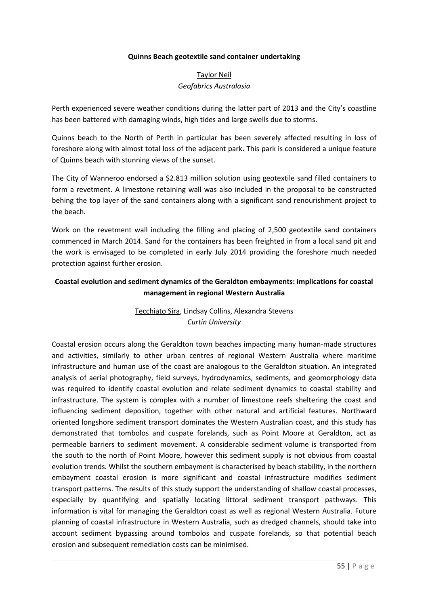#### **Quinns Beach geotextile sand container undertaking**

## Taylor Neil *Geofabrics Australasia*

Perth experienced severe weather conditions during the latter part of 2013 and the City's coastline has been battered with damaging winds, high tides and large swells due to storms.

Quinns beach to the North of Perth in particular has been severely affected resulting in loss of foreshore along with almost total loss of the adjacent park. This park is considered a unique feature of Quinns beach with stunning views of the sunset.

The City of Wanneroo endorsed a \$2.813 million solution using geotextile sand filled containers to form a revetment. A limestone retaining wall was also included in the proposal to be constructed behing the top layer of the sand containers along with a significant sand renourishment project to the beach.

Work on the revetment wall including the filling and placing of 2,500 geotextile sand containers commenced in March 2014. Sand for the containers has been freighted in from a local sand pit and the work is envisaged to be completed in early July 2014 providing the foreshore much needed protection against further erosion.

## **Coastal evolution and sediment dynamics of the Geraldton embayments: implications for coastal management in regional Western Australia**

# Tecchiato Sira, Lindsay Collins, Alexandra Stevens *Curtin University*

Coastal erosion occurs along the Geraldton town beaches impacting many human-made structures and activities, similarly to other urban centres of regional Western Australia where maritime infrastructure and human use of the coast are analogous to the Geraldton situation. An integrated analysis of aerial photography, field surveys, hydrodynamics, sediments, and geomorphology data was required to identify coastal evolution and relate sediment dynamics to coastal stability and infrastructure. The system is complex with a number of limestone reefs sheltering the coast and influencing sediment deposition, together with other natural and artificial features. Northward oriented longshore sediment transport dominates the Western Australian coast, and this study has demonstrated that tombolos and cuspate forelands, such as Point Moore at Geraldton, act as permeable barriers to sediment movement. A considerable sediment volume is transported from the south to the north of Point Moore, however this sediment supply is not obvious from coastal evolution trends. Whilst the southern embayment is characterised by beach stability, in the northern embayment coastal erosion is more significant and coastal infrastructure modifies sediment transport patterns. The results of this study support the understanding of shallow coastal processes, especially by quantifying and spatially locating littoral sediment transport pathways. This information is vital for managing the Geraldton coast as well as regional Western Australia. Future planning of coastal infrastructure in Western Australia, such as dredged channels, should take into account sediment bypassing around tombolos and cuspate forelands, so that potential beach erosion and subsequent remediation costs can be minimised.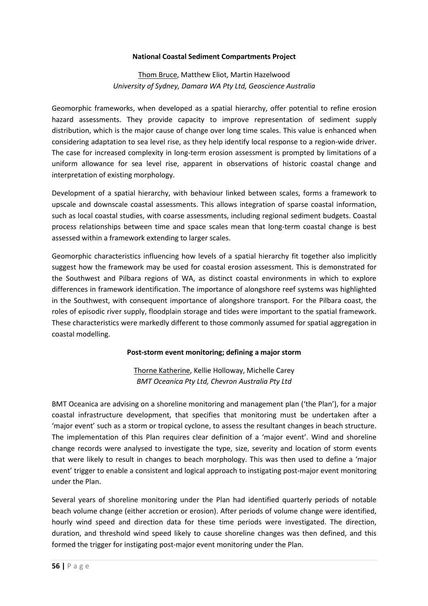#### **National Coastal Sediment Compartments Project**

## Thom Bruce, Matthew Eliot, Martin Hazelwood *University of Sydney, Damara WA Pty Ltd, Geoscience Australia*

Geomorphic frameworks, when developed as a spatial hierarchy, offer potential to refine erosion hazard assessments. They provide capacity to improve representation of sediment supply distribution, which is the major cause of change over long time scales. This value is enhanced when considering adaptation to sea level rise, as they help identify local response to a region-wide driver. The case for increased complexity in long-term erosion assessment is prompted by limitations of a uniform allowance for sea level rise, apparent in observations of historic coastal change and interpretation of existing morphology.

Development of a spatial hierarchy, with behaviour linked between scales, forms a framework to upscale and downscale coastal assessments. This allows integration of sparse coastal information, such as local coastal studies, with coarse assessments, including regional sediment budgets. Coastal process relationships between time and space scales mean that long-term coastal change is best assessed within a framework extending to larger scales.

Geomorphic characteristics influencing how levels of a spatial hierarchy fit together also implicitly suggest how the framework may be used for coastal erosion assessment. This is demonstrated for the Southwest and Pilbara regions of WA, as distinct coastal environments in which to explore differences in framework identification. The importance of alongshore reef systems was highlighted in the Southwest, with consequent importance of alongshore transport. For the Pilbara coast, the roles of episodic river supply, floodplain storage and tides were important to the spatial framework. These characteristics were markedly different to those commonly assumed for spatial aggregation in coastal modelling.

#### **Post-storm event monitoring; defining a major storm**

Thorne Katherine, Kellie Holloway, Michelle Carey *BMT Oceanica Pty Ltd, Chevron Australia Pty Ltd* 

BMT Oceanica are advising on a shoreline monitoring and management plan ('the Plan'), for a major coastal infrastructure development, that specifies that monitoring must be undertaken after a 'major event' such as a storm or tropical cyclone, to assess the resultant changes in beach structure. The implementation of this Plan requires clear definition of a 'major event'. Wind and shoreline change records were analysed to investigate the type, size, severity and location of storm events that were likely to result in changes to beach morphology. This was then used to define a 'major event' trigger to enable a consistent and logical approach to instigating post-major event monitoring under the Plan.

Several years of shoreline monitoring under the Plan had identified quarterly periods of notable beach volume change (either accretion or erosion). After periods of volume change were identified, hourly wind speed and direction data for these time periods were investigated. The direction, duration, and threshold wind speed likely to cause shoreline changes was then defined, and this formed the trigger for instigating post-major event monitoring under the Plan.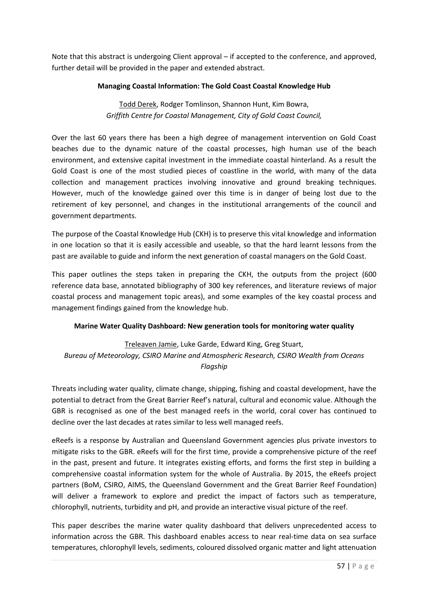Note that this abstract is undergoing Client approval – if accepted to the conference, and approved, further detail will be provided in the paper and extended abstract.

## **Managing Coastal Information: The Gold Coast Coastal Knowledge Hub**

Todd Derek, Rodger Tomlinson, Shannon Hunt, Kim Bowra, *Griffith Centre for Coastal Management, City of Gold Coast Council,* 

Over the last 60 years there has been a high degree of management intervention on Gold Coast beaches due to the dynamic nature of the coastal processes, high human use of the beach environment, and extensive capital investment in the immediate coastal hinterland. As a result the Gold Coast is one of the most studied pieces of coastline in the world, with many of the data collection and management practices involving innovative and ground breaking techniques. However, much of the knowledge gained over this time is in danger of being lost due to the retirement of key personnel, and changes in the institutional arrangements of the council and government departments.

The purpose of the Coastal Knowledge Hub (CKH) is to preserve this vital knowledge and information in one location so that it is easily accessible and useable, so that the hard learnt lessons from the past are available to guide and inform the next generation of coastal managers on the Gold Coast.

This paper outlines the steps taken in preparing the CKH, the outputs from the project (600 reference data base, annotated bibliography of 300 key references, and literature reviews of major coastal process and management topic areas), and some examples of the key coastal process and management findings gained from the knowledge hub.

## **Marine Water Quality Dashboard: New generation tools for monitoring water quality**

Treleaven Jamie, Luke Garde, Edward King, Greg Stuart, *Bureau of Meteorology, CSIRO Marine and Atmospheric Research, CSIRO Wealth from Oceans Flagship* 

Threats including water quality, climate change, shipping, fishing and coastal development, have the potential to detract from the Great Barrier Reef's natural, cultural and economic value. Although the GBR is recognised as one of the best managed reefs in the world, coral cover has continued to decline over the last decades at rates similar to less well managed reefs.

eReefs is a response by Australian and Queensland Government agencies plus private investors to mitigate risks to the GBR. eReefs will for the first time, provide a comprehensive picture of the reef in the past, present and future. It integrates existing efforts, and forms the first step in building a comprehensive coastal information system for the whole of Australia. By 2015, the eReefs project partners (BoM, CSIRO, AIMS, the Queensland Government and the Great Barrier Reef Foundation) will deliver a framework to explore and predict the impact of factors such as temperature, chlorophyll, nutrients, turbidity and pH, and provide an interactive visual picture of the reef.

This paper describes the marine water quality dashboard that delivers unprecedented access to information across the GBR. This dashboard enables access to near real-time data on sea surface temperatures, chlorophyll levels, sediments, coloured dissolved organic matter and light attenuation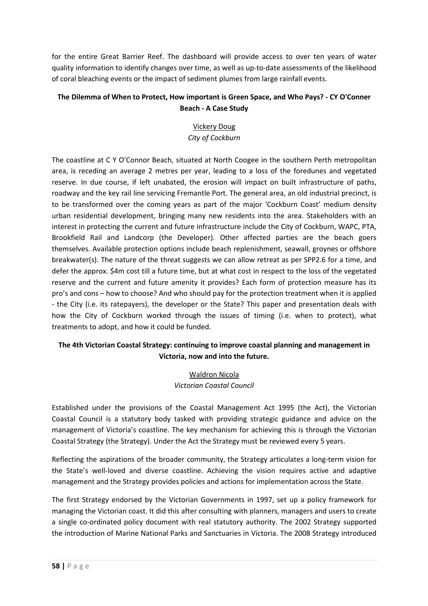for the entire Great Barrier Reef. The dashboard will provide access to over ten years of water quality information to identify changes over time, as well as up-to-date assessments of the likelihood of coral bleaching events or the impact of sediment plumes from large rainfall events.

# **The Dilemma of When to Protect, How important is Green Space, and Who Pays? - CY O'Conner Beach - A Case Study**

# Vickery Doug *City of Cockburn*

The coastline at C Y O'Connor Beach, situated at North Coogee in the southern Perth metropolitan area, is receding an average 2 metres per year, leading to a loss of the foredunes and vegetated reserve. In due course, if left unabated, the erosion will impact on built infrastructure of paths, roadway and the key rail line servicing Fremantle Port. The general area, an old industrial precinct, is to be transformed over the coming years as part of the major 'Cockburn Coast' medium density urban residential development, bringing many new residents into the area. Stakeholders with an interest in protecting the current and future infrastructure include the City of Cockburn, WAPC, PTA, Brookfield Rail and Landcorp (the Developer). Other affected parties are the beach goers themselves. Available protection options include beach replenishment, seawall, groynes or offshore breakwater(s). The nature of the threat suggests we can allow retreat as per SPP2.6 for a time, and defer the approx. \$4m cost till a future time, but at what cost in respect to the loss of the vegetated reserve and the current and future amenity it provides? Each form of protection measure has its pro's and cons – how to choose? And who should pay for the protection treatment when it is applied - the City (i.e. its ratepayers), the developer or the State? This paper and presentation deals with how the City of Cockburn worked through the issues of timing (i.e. when to protect), what treatments to adopt, and how it could be funded.

# **The 4th Victorian Coastal Strategy: continuing to improve coastal planning and management in Victoria, now and into the future.**

## Waldron Nicola *Victorian Coastal Council*

Established under the provisions of the Coastal Management Act 1995 (the Act), the Victorian Coastal Council is a statutory body tasked with providing strategic guidance and advice on the management of Victoria's coastline. The key mechanism for achieving this is through the Victorian Coastal Strategy (the Strategy). Under the Act the Strategy must be reviewed every 5 years.

Reflecting the aspirations of the broader community, the Strategy articulates a long-term vision for the State's well-loved and diverse coastline. Achieving the vision requires active and adaptive management and the Strategy provides policies and actions for implementation across the State.

The first Strategy endorsed by the Victorian Governments in 1997, set up a policy framework for managing the Victorian coast. It did this after consulting with planners, managers and users to create a single co-ordinated policy document with real statutory authority. The 2002 Strategy supported the introduction of Marine National Parks and Sanctuaries in Victoria. The 2008 Strategy introduced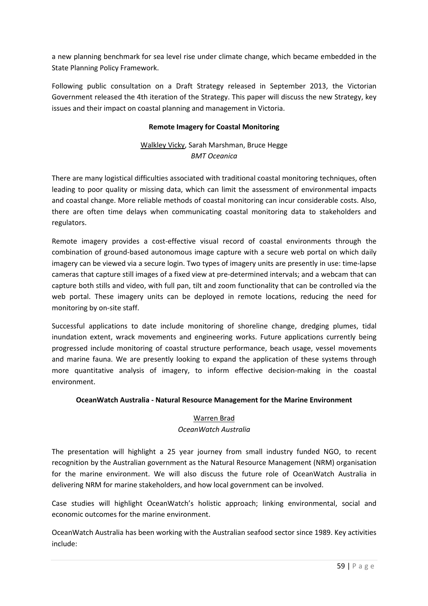a new planning benchmark for sea level rise under climate change, which became embedded in the State Planning Policy Framework.

Following public consultation on a Draft Strategy released in September 2013, the Victorian Government released the 4th iteration of the Strategy. This paper will discuss the new Strategy, key issues and their impact on coastal planning and management in Victoria.

## **Remote Imagery for Coastal Monitoring**

# Walkley Vicky, Sarah Marshman, Bruce Hegge *BMT Oceanica*

There are many logistical difficulties associated with traditional coastal monitoring techniques, often leading to poor quality or missing data, which can limit the assessment of environmental impacts and coastal change. More reliable methods of coastal monitoring can incur considerable costs. Also, there are often time delays when communicating coastal monitoring data to stakeholders and regulators.

Remote imagery provides a cost-effective visual record of coastal environments through the combination of ground-based autonomous image capture with a secure web portal on which daily imagery can be viewed via a secure login. Two types of imagery units are presently in use: time-lapse cameras that capture still images of a fixed view at pre-determined intervals; and a webcam that can capture both stills and video, with full pan, tilt and zoom functionality that can be controlled via the web portal. These imagery units can be deployed in remote locations, reducing the need for monitoring by on-site staff.

Successful applications to date include monitoring of shoreline change, dredging plumes, tidal inundation extent, wrack movements and engineering works. Future applications currently being progressed include monitoring of coastal structure performance, beach usage, vessel movements and marine fauna. We are presently looking to expand the application of these systems through more quantitative analysis of imagery, to inform effective decision-making in the coastal environment.

## **OceanWatch Australia - Natural Resource Management for the Marine Environment**

#### Warren Brad

## *OceanWatch Australia*

The presentation will highlight a 25 year journey from small industry funded NGO, to recent recognition by the Australian government as the Natural Resource Management (NRM) organisation for the marine environment. We will also discuss the future role of OceanWatch Australia in delivering NRM for marine stakeholders, and how local government can be involved.

Case studies will highlight OceanWatch's holistic approach; linking environmental, social and economic outcomes for the marine environment.

OceanWatch Australia has been working with the Australian seafood sector since 1989. Key activities include: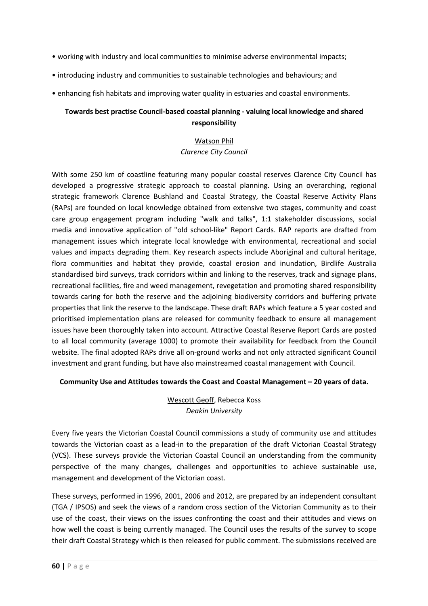- working with industry and local communities to minimise adverse environmental impacts;
- introducing industry and communities to sustainable technologies and behaviours; and
- enhancing fish habitats and improving water quality in estuaries and coastal environments.

## **Towards best practise Council-based coastal planning - valuing local knowledge and shared responsibility**

#### Watson Phil

#### *Clarence City Council*

With some 250 km of coastline featuring many popular coastal reserves Clarence City Council has developed a progressive strategic approach to coastal planning. Using an overarching, regional strategic framework Clarence Bushland and Coastal Strategy, the Coastal Reserve Activity Plans (RAPs) are founded on local knowledge obtained from extensive two stages, community and coast care group engagement program including "walk and talks", 1:1 stakeholder discussions, social media and innovative application of "old school-like" Report Cards. RAP reports are drafted from management issues which integrate local knowledge with environmental, recreational and social values and impacts degrading them. Key research aspects include Aboriginal and cultural heritage, flora communities and habitat they provide, coastal erosion and inundation, Birdlife Australia standardised bird surveys, track corridors within and linking to the reserves, track and signage plans, recreational facilities, fire and weed management, revegetation and promoting shared responsibility towards caring for both the reserve and the adjoining biodiversity corridors and buffering private properties that link the reserve to the landscape. These draft RAPs which feature a 5 year costed and prioritised implementation plans are released for community feedback to ensure all management issues have been thoroughly taken into account. Attractive Coastal Reserve Report Cards are posted to all local community (average 1000) to promote their availability for feedback from the Council website. The final adopted RAPs drive all on-ground works and not only attracted significant Council investment and grant funding, but have also mainstreamed coastal management with Council.

#### **Community Use and Attitudes towards the Coast and Coastal Management – 20 years of data.**

## Wescott Geoff, Rebecca Koss *Deakin University*

Every five years the Victorian Coastal Council commissions a study of community use and attitudes towards the Victorian coast as a lead-in to the preparation of the draft Victorian Coastal Strategy (VCS). These surveys provide the Victorian Coastal Council an understanding from the community perspective of the many changes, challenges and opportunities to achieve sustainable use, management and development of the Victorian coast.

These surveys, performed in 1996, 2001, 2006 and 2012, are prepared by an independent consultant (TGA / IPSOS) and seek the views of a random cross section of the Victorian Community as to their use of the coast, their views on the issues confronting the coast and their attitudes and views on how well the coast is being currently managed. The Council uses the results of the survey to scope their draft Coastal Strategy which is then released for public comment. The submissions received are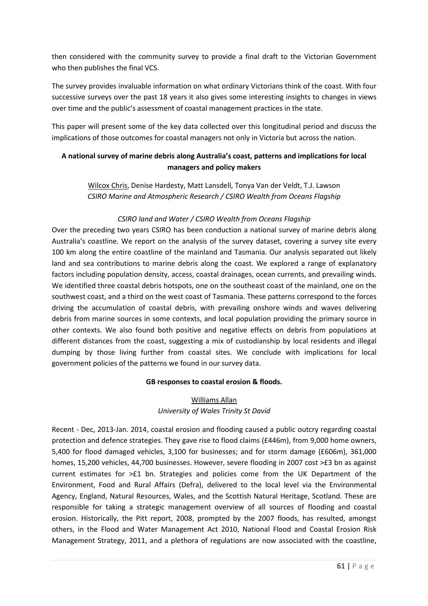then considered with the community survey to provide a final draft to the Victorian Government who then publishes the final VCS.

The survey provides invaluable information on what ordinary Victorians think of the coast. With four successive surveys over the past 18 years it also gives some interesting insights to changes in views over time and the public's assessment of coastal management practices in the state.

This paper will present some of the key data collected over this longitudinal period and discuss the implications of those outcomes for coastal managers not only in Victoria but across the nation.

# **A national survey of marine debris along Australia's coast, patterns and implications for local managers and policy makers**

Wilcox Chris, Denise Hardesty, Matt Lansdell, Tonya Van der Veldt, T.J. Lawson *CSIRO Marine and Atmospheric Research / CSIRO Wealth from Oceans Flagship* 

## *CSIRO land and Water / CSIRO Wealth from Oceans Flagship*

Over the preceding two years CSIRO has been conduction a national survey of marine debris along Australia's coastline. We report on the analysis of the survey dataset, covering a survey site every 100 km along the entire coastline of the mainland and Tasmania. Our analysis separated out likely land and sea contributions to marine debris along the coast. We explored a range of explanatory factors including population density, access, coastal drainages, ocean currents, and prevailing winds. We identified three coastal debris hotspots, one on the southeast coast of the mainland, one on the southwest coast, and a third on the west coast of Tasmania. These patterns correspond to the forces driving the accumulation of coastal debris, with prevailing onshore winds and waves delivering debris from marine sources in some contexts, and local population providing the primary source in other contexts. We also found both positive and negative effects on debris from populations at different distances from the coast, suggesting a mix of custodianship by local residents and illegal dumping by those living further from coastal sites. We conclude with implications for local government policies of the patterns we found in our survey data.

## **GB responses to coastal erosion & floods.**

# Williams Allan *University of Wales Trinity St David*

Recent - Dec, 2013-Jan. 2014, coastal erosion and flooding caused a public outcry regarding coastal protection and defence strategies. They gave rise to flood claims (£446m), from 9,000 home owners, 5,400 for flood damaged vehicles, 3,100 for businesses; and for storm damage (£606m), 361,000 homes, 15,200 vehicles, 44,700 businesses. However, severe flooding in 2007 cost >£3 bn as against current estimates for >£1 bn. Strategies and policies come from the UK Department of the Environment, Food and Rural Affairs (Defra), delivered to the local level via the Environmental Agency, England, Natural Resources, Wales, and the Scottish Natural Heritage, Scotland. These are responsible for taking a strategic management overview of all sources of flooding and coastal erosion. Historically, the Pitt report, 2008, prompted by the 2007 floods, has resulted, amongst others, in the Flood and Water Management Act 2010, National Flood and Coastal Erosion Risk Management Strategy, 2011, and a plethora of regulations are now associated with the coastline,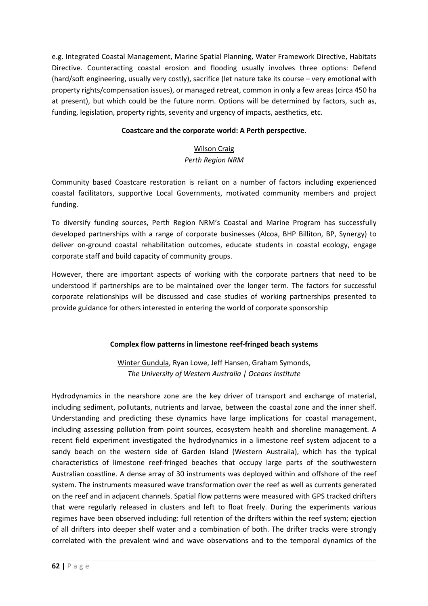e.g. Integrated Coastal Management, Marine Spatial Planning, Water Framework Directive, Habitats Directive. Counteracting coastal erosion and flooding usually involves three options: Defend (hard/soft engineering, usually very costly), sacrifice (let nature take its course – very emotional with property rights/compensation issues), or managed retreat, common in only a few areas (circa 450 ha at present), but which could be the future norm. Options will be determined by factors, such as, funding, legislation, property rights, severity and urgency of impacts, aesthetics, etc.

## **Coastcare and the corporate world: A Perth perspective.**

# Wilson Craig

#### *Perth Region NRM*

Community based Coastcare restoration is reliant on a number of factors including experienced coastal facilitators, supportive Local Governments, motivated community members and project funding.

To diversify funding sources, Perth Region NRM's Coastal and Marine Program has successfully developed partnerships with a range of corporate businesses (Alcoa, BHP Billiton, BP, Synergy) to deliver on-ground coastal rehabilitation outcomes, educate students in coastal ecology, engage corporate staff and build capacity of community groups.

However, there are important aspects of working with the corporate partners that need to be understood if partnerships are to be maintained over the longer term. The factors for successful corporate relationships will be discussed and case studies of working partnerships presented to provide guidance for others interested in entering the world of corporate sponsorship

## **Complex flow patterns in limestone reef-fringed beach systems**

Winter Gundula, Ryan Lowe, Jeff Hansen, Graham Symonds, *The University of Western Australia | Oceans Institute* 

Hydrodynamics in the nearshore zone are the key driver of transport and exchange of material, including sediment, pollutants, nutrients and larvae, between the coastal zone and the inner shelf. Understanding and predicting these dynamics have large implications for coastal management, including assessing pollution from point sources, ecosystem health and shoreline management. A recent field experiment investigated the hydrodynamics in a limestone reef system adjacent to a sandy beach on the western side of Garden Island (Western Australia), which has the typical characteristics of limestone reef-fringed beaches that occupy large parts of the southwestern Australian coastline. A dense array of 30 instruments was deployed within and offshore of the reef system. The instruments measured wave transformation over the reef as well as currents generated on the reef and in adjacent channels. Spatial flow patterns were measured with GPS tracked drifters that were regularly released in clusters and left to float freely. During the experiments various regimes have been observed including: full retention of the drifters within the reef system; ejection of all drifters into deeper shelf water and a combination of both. The drifter tracks were strongly correlated with the prevalent wind and wave observations and to the temporal dynamics of the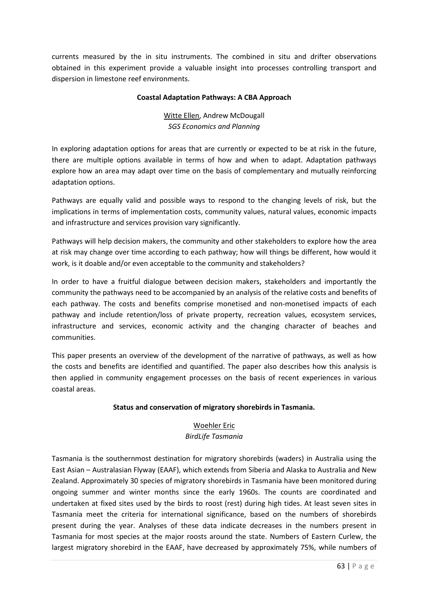currents measured by the in situ instruments. The combined in situ and drifter observations obtained in this experiment provide a valuable insight into processes controlling transport and dispersion in limestone reef environments.

#### **Coastal Adaptation Pathways: A CBA Approach**

Witte Ellen, Andrew McDougall *SGS Economics and Planning* 

In exploring adaptation options for areas that are currently or expected to be at risk in the future, there are multiple options available in terms of how and when to adapt. Adaptation pathways explore how an area may adapt over time on the basis of complementary and mutually reinforcing adaptation options.

Pathways are equally valid and possible ways to respond to the changing levels of risk, but the implications in terms of implementation costs, community values, natural values, economic impacts and infrastructure and services provision vary significantly.

Pathways will help decision makers, the community and other stakeholders to explore how the area at risk may change over time according to each pathway; how will things be different, how would it work, is it doable and/or even acceptable to the community and stakeholders?

In order to have a fruitful dialogue between decision makers, stakeholders and importantly the community the pathways need to be accompanied by an analysis of the relative costs and benefits of each pathway. The costs and benefits comprise monetised and non-monetised impacts of each pathway and include retention/loss of private property, recreation values, ecosystem services, infrastructure and services, economic activity and the changing character of beaches and communities.

This paper presents an overview of the development of the narrative of pathways, as well as how the costs and benefits are identified and quantified. The paper also describes how this analysis is then applied in community engagement processes on the basis of recent experiences in various coastal areas.

## **Status and conservation of migratory shorebirds in Tasmania.**

# Woehler Eric

## *BirdLife Tasmania*

Tasmania is the southernmost destination for migratory shorebirds (waders) in Australia using the East Asian – Australasian Flyway (EAAF), which extends from Siberia and Alaska to Australia and New Zealand. Approximately 30 species of migratory shorebirds in Tasmania have been monitored during ongoing summer and winter months since the early 1960s. The counts are coordinated and undertaken at fixed sites used by the birds to roost (rest) during high tides. At least seven sites in Tasmania meet the criteria for international significance, based on the numbers of shorebirds present during the year. Analyses of these data indicate decreases in the numbers present in Tasmania for most species at the major roosts around the state. Numbers of Eastern Curlew, the largest migratory shorebird in the EAAF, have decreased by approximately 75%, while numbers of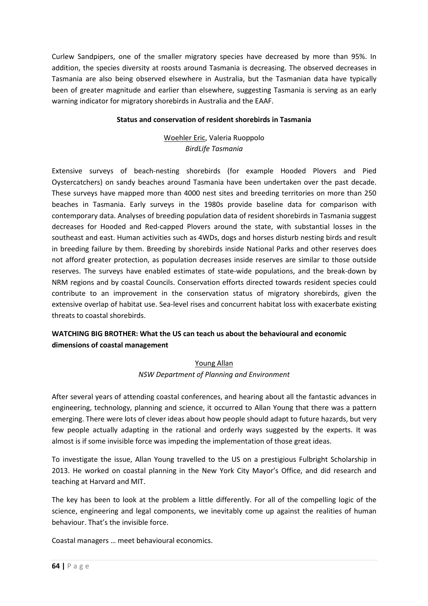Curlew Sandpipers, one of the smaller migratory species have decreased by more than 95%. In addition, the species diversity at roosts around Tasmania is decreasing. The observed decreases in Tasmania are also being observed elsewhere in Australia, but the Tasmanian data have typically been of greater magnitude and earlier than elsewhere, suggesting Tasmania is serving as an early warning indicator for migratory shorebirds in Australia and the EAAF.

#### **Status and conservation of resident shorebirds in Tasmania**

# Woehler Eric, Valeria Ruoppolo *BirdLife Tasmania*

Extensive surveys of beach-nesting shorebirds (for example Hooded Plovers and Pied Oystercatchers) on sandy beaches around Tasmania have been undertaken over the past decade. These surveys have mapped more than 4000 nest sites and breeding territories on more than 250 beaches in Tasmania. Early surveys in the 1980s provide baseline data for comparison with contemporary data. Analyses of breeding population data of resident shorebirds in Tasmania suggest decreases for Hooded and Red-capped Plovers around the state, with substantial losses in the southeast and east. Human activities such as 4WDs, dogs and horses disturb nesting birds and result in breeding failure by them. Breeding by shorebirds inside National Parks and other reserves does not afford greater protection, as population decreases inside reserves are similar to those outside reserves. The surveys have enabled estimates of state-wide populations, and the break-down by NRM regions and by coastal Councils. Conservation efforts directed towards resident species could contribute to an improvement in the conservation status of migratory shorebirds, given the extensive overlap of habitat use. Sea-level rises and concurrent habitat loss with exacerbate existing threats to coastal shorebirds.

# **WATCHING BIG BROTHER: What the US can teach us about the behavioural and economic dimensions of coastal management**

# Young Allan *NSW Department of Planning and Environment*

After several years of attending coastal conferences, and hearing about all the fantastic advances in engineering, technology, planning and science, it occurred to Allan Young that there was a pattern emerging. There were lots of clever ideas about how people should adapt to future hazards, but very few people actually adapting in the rational and orderly ways suggested by the experts. It was almost is if some invisible force was impeding the implementation of those great ideas.

To investigate the issue, Allan Young travelled to the US on a prestigious Fulbright Scholarship in 2013. He worked on coastal planning in the New York City Mayor's Office, and did research and teaching at Harvard and MIT.

The key has been to look at the problem a little differently. For all of the compelling logic of the science, engineering and legal components, we inevitably come up against the realities of human behaviour. That's the invisible force.

Coastal managers … meet behavioural economics.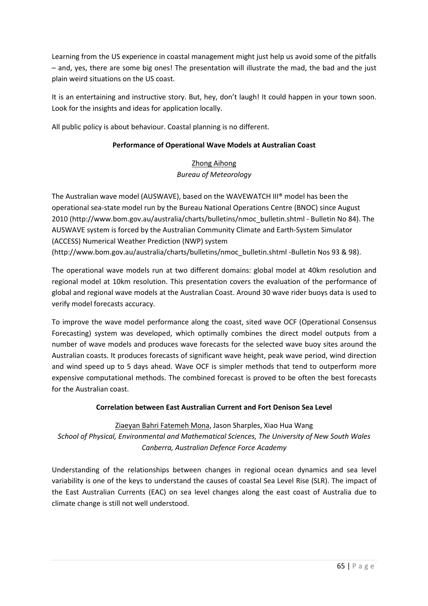Learning from the US experience in coastal management might just help us avoid some of the pitfalls – and, yes, there are some big ones! The presentation will illustrate the mad, the bad and the just plain weird situations on the US coast.

It is an entertaining and instructive story. But, hey, don't laugh! It could happen in your town soon. Look for the insights and ideas for application locally.

All public policy is about behaviour. Coastal planning is no different.

## **Performance of Operational Wave Models at Australian Coast**

# Zhong Aihong *Bureau of Meteorology*

The Australian wave model (AUSWAVE), based on the WAVEWATCH III® model has been the operational sea-state model run by the Bureau National Operations Centre (BNOC) since August 2010 (http://www.bom.gov.au/australia/charts/bulletins/nmoc\_bulletin.shtml - Bulletin No 84). The AUSWAVE system is forced by the Australian Community Climate and Earth-System Simulator (ACCESS) Numerical Weather Prediction (NWP) system (http://www.bom.gov.au/australia/charts/bulletins/nmoc\_bulletin.shtml -Bulletin Nos 93 & 98).

The operational wave models run at two different domains: global model at 40km resolution and regional model at 10km resolution. This presentation covers the evaluation of the performance of global and regional wave models at the Australian Coast. Around 30 wave rider buoys data is used to verify model forecasts accuracy.

To improve the wave model performance along the coast, sited wave OCF (Operational Consensus Forecasting) system was developed, which optimally combines the direct model outputs from a number of wave models and produces wave forecasts for the selected wave buoy sites around the Australian coasts. It produces forecasts of significant wave height, peak wave period, wind direction and wind speed up to 5 days ahead. Wave OCF is simpler methods that tend to outperform more expensive computational methods. The combined forecast is proved to be often the best forecasts for the Australian coast.

## **Correlation between East Australian Current and Fort Denison Sea Level**

Ziaeyan Bahri Fatemeh Mona, Jason Sharples, Xiao Hua Wang *School of Physical, Environmental and Mathematical Sciences, The University of New South Wales Canberra, Australian Defence Force Academy* 

Understanding of the relationships between changes in regional ocean dynamics and sea level variability is one of the keys to understand the causes of coastal Sea Level Rise (SLR). The impact of the East Australian Currents (EAC) on sea level changes along the east coast of Australia due to climate change is still not well understood.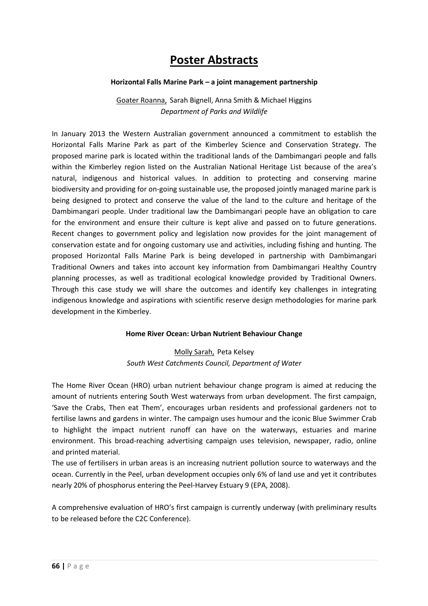# **Poster Abstracts**

#### **Horizontal Falls Marine Park – a joint management partnership**

Goater Roanna, Sarah Bignell, Anna Smith & Michael Higgins *Department of Parks and Wildlife* 

In January 2013 the Western Australian government announced a commitment to establish the Horizontal Falls Marine Park as part of the Kimberley Science and Conservation Strategy. The proposed marine park is located within the traditional lands of the Dambimangari people and falls within the Kimberley region listed on the Australian National Heritage List because of the area's natural, indigenous and historical values. In addition to protecting and conserving marine biodiversity and providing for on-going sustainable use, the proposed jointly managed marine park is being designed to protect and conserve the value of the land to the culture and heritage of the Dambimangari people. Under traditional law the Dambimangari people have an obligation to care for the environment and ensure their culture is kept alive and passed on to future generations. Recent changes to government policy and legislation now provides for the joint management of conservation estate and for ongoing customary use and activities, including fishing and hunting. The proposed Horizontal Falls Marine Park is being developed in partnership with Dambimangari Traditional Owners and takes into account key information from Dambimangari Healthy Country planning processes, as well as traditional ecological knowledge provided by Traditional Owners. Through this case study we will share the outcomes and identify key challenges in integrating indigenous knowledge and aspirations with scientific reserve design methodologies for marine park development in the Kimberley.

## **Home River Ocean: Urban Nutrient Behaviour Change**

## Molly Sarah, Peta Kelsey *South West Catchments Council, Department of Water*

The Home River Ocean (HRO) urban nutrient behaviour change program is aimed at reducing the amount of nutrients entering South West waterways from urban development. The first campaign, 'Save the Crabs, Then eat Them', encourages urban residents and professional gardeners not to fertilise lawns and gardens in winter. The campaign uses humour and the iconic Blue Swimmer Crab to highlight the impact nutrient runoff can have on the waterways, estuaries and marine environment. This broad-reaching advertising campaign uses television, newspaper, radio, online and printed material.

The use of fertilisers in urban areas is an increasing nutrient pollution source to waterways and the ocean. Currently in the Peel, urban development occupies only 6% of land use and yet it contributes nearly 20% of phosphorus entering the Peel-Harvey Estuary 9 (EPA, 2008).

A comprehensive evaluation of HRO's first campaign is currently underway (with preliminary results to be released before the C2C Conference).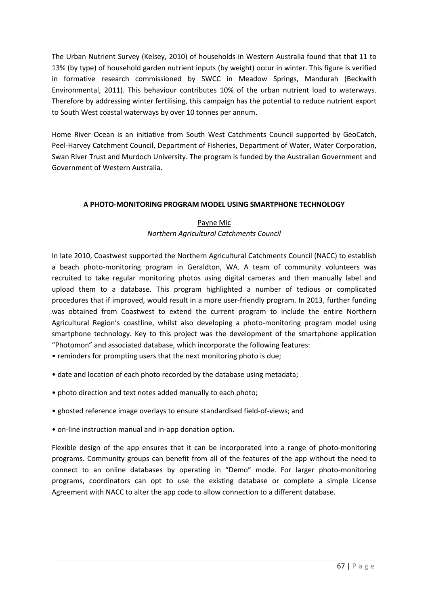The Urban Nutrient Survey (Kelsey, 2010) of households in Western Australia found that that 11 to 13% (by type) of household garden nutrient inputs (by weight) occur in winter. This figure is verified in formative research commissioned by SWCC in Meadow Springs, Mandurah (Beckwith Environmental, 2011). This behaviour contributes 10% of the urban nutrient load to waterways. Therefore by addressing winter fertilising, this campaign has the potential to reduce nutrient export to South West coastal waterways by over 10 tonnes per annum.

Home River Ocean is an initiative from South West Catchments Council supported by GeoCatch, Peel-Harvey Catchment Council, Department of Fisheries, Department of Water, Water Corporation, Swan River Trust and Murdoch University. The program is funded by the Australian Government and Government of Western Australia.

## **A PHOTO-MONITORING PROGRAM MODEL USING SMARTPHONE TECHNOLOGY**

# Payne Mic *Northern Agricultural Catchments Council*

In late 2010, Coastwest supported the Northern Agricultural Catchments Council (NACC) to establish a beach photo-monitoring program in Geraldton, WA. A team of community volunteers was recruited to take regular monitoring photos using digital cameras and then manually label and upload them to a database. This program highlighted a number of tedious or complicated procedures that if improved, would result in a more user-friendly program. In 2013, further funding was obtained from Coastwest to extend the current program to include the entire Northern Agricultural Region's coastline, whilst also developing a photo-monitoring program model using smartphone technology. Key to this project was the development of the smartphone application "Photomon" and associated database, which incorporate the following features:

- reminders for prompting users that the next monitoring photo is due;
- date and location of each photo recorded by the database using metadata;
- photo direction and text notes added manually to each photo;
- ghosted reference image overlays to ensure standardised field-of-views; and
- on-line instruction manual and in-app donation option.

Flexible design of the app ensures that it can be incorporated into a range of photo-monitoring programs. Community groups can benefit from all of the features of the app without the need to connect to an online databases by operating in "Demo" mode. For larger photo-monitoring programs, coordinators can opt to use the existing database or complete a simple License Agreement with NACC to alter the app code to allow connection to a different database.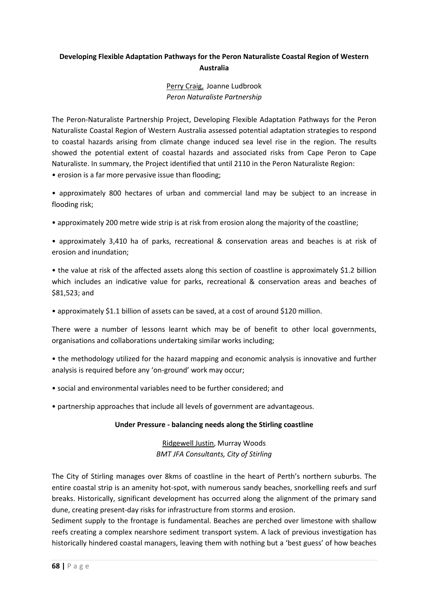# **Developing Flexible Adaptation Pathways for the Peron Naturaliste Coastal Region of Western Australia**

# Perry Craig, Joanne Ludbrook *Peron Naturaliste Partnership*

The Peron-Naturaliste Partnership Project, Developing Flexible Adaptation Pathways for the Peron Naturaliste Coastal Region of Western Australia assessed potential adaptation strategies to respond to coastal hazards arising from climate change induced sea level rise in the region. The results showed the potential extent of coastal hazards and associated risks from Cape Peron to Cape Naturaliste. In summary, the Project identified that until 2110 in the Peron Naturaliste Region: • erosion is a far more pervasive issue than flooding;

• approximately 800 hectares of urban and commercial land may be subject to an increase in flooding risk;

• approximately 200 metre wide strip is at risk from erosion along the majority of the coastline;

• approximately 3,410 ha of parks, recreational & conservation areas and beaches is at risk of erosion and inundation;

• the value at risk of the affected assets along this section of coastline is approximately \$1.2 billion which includes an indicative value for parks, recreational & conservation areas and beaches of \$81,523; and

• approximately \$1.1 billion of assets can be saved, at a cost of around \$120 million.

There were a number of lessons learnt which may be of benefit to other local governments, organisations and collaborations undertaking similar works including;

• the methodology utilized for the hazard mapping and economic analysis is innovative and further analysis is required before any 'on-ground' work may occur;

- social and environmental variables need to be further considered; and
- partnership approaches that include all levels of government are advantageous.

## **Under Pressure - balancing needs along the Stirling coastline**

Ridgewell Justin, Murray Woods *BMT JFA Consultants, City of Stirling* 

The City of Stirling manages over 8kms of coastline in the heart of Perth's northern suburbs. The entire coastal strip is an amenity hot-spot, with numerous sandy beaches, snorkelling reefs and surf breaks. Historically, significant development has occurred along the alignment of the primary sand dune, creating present-day risks for infrastructure from storms and erosion.

Sediment supply to the frontage is fundamental. Beaches are perched over limestone with shallow reefs creating a complex nearshore sediment transport system. A lack of previous investigation has historically hindered coastal managers, leaving them with nothing but a 'best guess' of how beaches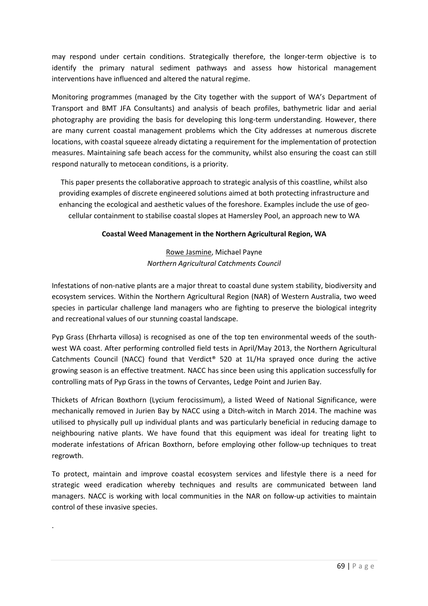may respond under certain conditions. Strategically therefore, the longer-term objective is to identify the primary natural sediment pathways and assess how historical management interventions have influenced and altered the natural regime.

Monitoring programmes (managed by the City together with the support of WA's Department of Transport and BMT JFA Consultants) and analysis of beach profiles, bathymetric lidar and aerial photography are providing the basis for developing this long-term understanding. However, there are many current coastal management problems which the City addresses at numerous discrete locations, with coastal squeeze already dictating a requirement for the implementation of protection measures. Maintaining safe beach access for the community, whilst also ensuring the coast can still respond naturally to metocean conditions, is a priority.

This paper presents the collaborative approach to strategic analysis of this coastline, whilst also providing examples of discrete engineered solutions aimed at both protecting infrastructure and enhancing the ecological and aesthetic values of the foreshore. Examples include the use of geocellular containment to stabilise coastal slopes at Hamersley Pool, an approach new to WA

## **Coastal Weed Management in the Northern Agricultural Region, WA**

# Rowe Jasmine, Michael Payne *Northern Agricultural Catchments Council*

Infestations of non-native plants are a major threat to coastal dune system stability, biodiversity and ecosystem services. Within the Northern Agricultural Region (NAR) of Western Australia, two weed species in particular challenge land managers who are fighting to preserve the biological integrity and recreational values of our stunning coastal landscape.

Pyp Grass (Ehrharta villosa) is recognised as one of the top ten environmental weeds of the southwest WA coast. After performing controlled field tests in April/May 2013, the Northern Agricultural Catchments Council (NACC) found that Verdict® 520 at 1L/Ha sprayed once during the active growing season is an effective treatment. NACC has since been using this application successfully for controlling mats of Pyp Grass in the towns of Cervantes, Ledge Point and Jurien Bay.

Thickets of African Boxthorn (Lycium ferocissimum), a listed Weed of National Significance, were mechanically removed in Jurien Bay by NACC using a Ditch-witch in March 2014. The machine was utilised to physically pull up individual plants and was particularly beneficial in reducing damage to neighbouring native plants. We have found that this equipment was ideal for treating light to moderate infestations of African Boxthorn, before employing other follow-up techniques to treat regrowth.

To protect, maintain and improve coastal ecosystem services and lifestyle there is a need for strategic weed eradication whereby techniques and results are communicated between land managers. NACC is working with local communities in the NAR on follow-up activities to maintain control of these invasive species.

.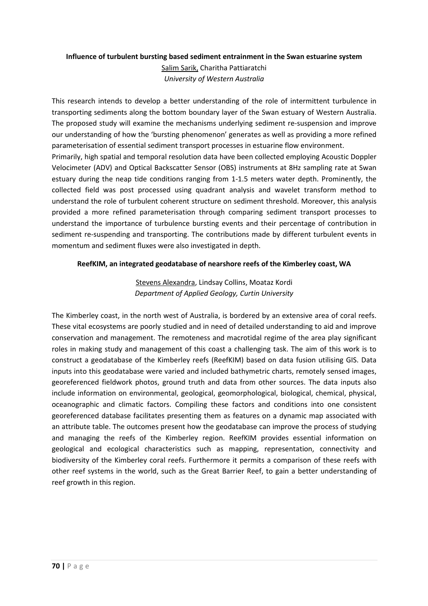# **Influence of turbulent bursting based sediment entrainment in the Swan estuarine system**  Salim Sarik, Charitha Pattiaratchi *University of Western Australia*

This research intends to develop a better understanding of the role of intermittent turbulence in transporting sediments along the bottom boundary layer of the Swan estuary of Western Australia. The proposed study will examine the mechanisms underlying sediment re-suspension and improve our understanding of how the 'bursting phenomenon' generates as well as providing a more refined parameterisation of essential sediment transport processes in estuarine flow environment.

Primarily, high spatial and temporal resolution data have been collected employing Acoustic Doppler Velocimeter (ADV) and Optical Backscatter Sensor (OBS) instruments at 8Hz sampling rate at Swan estuary during the neap tide conditions ranging from 1-1.5 meters water depth. Prominently, the collected field was post processed using quadrant analysis and wavelet transform method to understand the role of turbulent coherent structure on sediment threshold. Moreover, this analysis provided a more refined parameterisation through comparing sediment transport processes to understand the importance of turbulence bursting events and their percentage of contribution in sediment re-suspending and transporting. The contributions made by different turbulent events in momentum and sediment fluxes were also investigated in depth.

## **ReefKIM, an integrated geodatabase of nearshore reefs of the Kimberley coast, WA**

# Stevens Alexandra, Lindsay Collins, Moataz Kordi *Department of Applied Geology, Curtin University*

The Kimberley coast, in the north west of Australia, is bordered by an extensive area of coral reefs. These vital ecosystems are poorly studied and in need of detailed understanding to aid and improve conservation and management. The remoteness and macrotidal regime of the area play significant roles in making study and management of this coast a challenging task. The aim of this work is to construct a geodatabase of the Kimberley reefs (ReefKIM) based on data fusion utilising GIS. Data inputs into this geodatabase were varied and included bathymetric charts, remotely sensed images, georeferenced fieldwork photos, ground truth and data from other sources. The data inputs also include information on environmental, geological, geomorphological, biological, chemical, physical, oceanographic and climatic factors. Compiling these factors and conditions into one consistent georeferenced database facilitates presenting them as features on a dynamic map associated with an attribute table. The outcomes present how the geodatabase can improve the process of studying and managing the reefs of the Kimberley region. ReefKIM provides essential information on geological and ecological characteristics such as mapping, representation, connectivity and biodiversity of the Kimberley coral reefs. Furthermore it permits a comparison of these reefs with other reef systems in the world, such as the Great Barrier Reef, to gain a better understanding of reef growth in this region.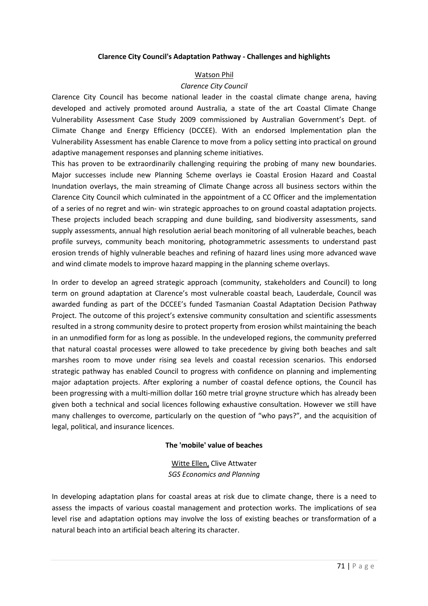#### **Clarence City Council's Adaptation Pathway - Challenges and highlights**

#### Watson Phil

#### *Clarence City Council*

Clarence City Council has become national leader in the coastal climate change arena, having developed and actively promoted around Australia, a state of the art Coastal Climate Change Vulnerability Assessment Case Study 2009 commissioned by Australian Government's Dept. of Climate Change and Energy Efficiency (DCCEE). With an endorsed Implementation plan the Vulnerability Assessment has enable Clarence to move from a policy setting into practical on ground adaptive management responses and planning scheme initiatives.

This has proven to be extraordinarily challenging requiring the probing of many new boundaries. Major successes include new Planning Scheme overlays ie Coastal Erosion Hazard and Coastal Inundation overlays, the main streaming of Climate Change across all business sectors within the Clarence City Council which culminated in the appointment of a CC Officer and the implementation of a series of no regret and win- win strategic approaches to on ground coastal adaptation projects. These projects included beach scrapping and dune building, sand biodiversity assessments, sand supply assessments, annual high resolution aerial beach monitoring of all vulnerable beaches, beach profile surveys, community beach monitoring, photogrammetric assessments to understand past erosion trends of highly vulnerable beaches and refining of hazard lines using more advanced wave and wind climate models to improve hazard mapping in the planning scheme overlays.

In order to develop an agreed strategic approach (community, stakeholders and Council) to long term on ground adaptation at Clarence's most vulnerable coastal beach, Lauderdale, Council was awarded funding as part of the DCCEE's funded Tasmanian Coastal Adaptation Decision Pathway Project. The outcome of this project's extensive community consultation and scientific assessments resulted in a strong community desire to protect property from erosion whilst maintaining the beach in an unmodified form for as long as possible. In the undeveloped regions, the community preferred that natural coastal processes were allowed to take precedence by giving both beaches and salt marshes room to move under rising sea levels and coastal recession scenarios. This endorsed strategic pathway has enabled Council to progress with confidence on planning and implementing major adaptation projects. After exploring a number of coastal defence options, the Council has been progressing with a multi-million dollar 160 metre trial groyne structure which has already been given both a technical and social licences following exhaustive consultation. However we still have many challenges to overcome, particularly on the question of "who pays?", and the acquisition of legal, political, and insurance licences.

#### **The 'mobile' value of beaches**

Witte Ellen, Clive Attwater *SGS Economics and Planning* 

In developing adaptation plans for coastal areas at risk due to climate change, there is a need to assess the impacts of various coastal management and protection works. The implications of sea level rise and adaptation options may involve the loss of existing beaches or transformation of a natural beach into an artificial beach altering its character.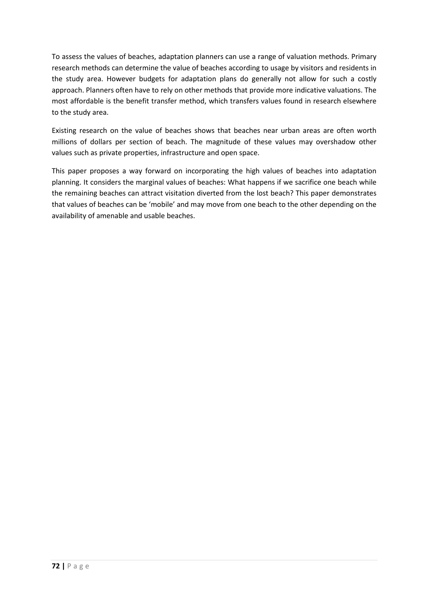To assess the values of beaches, adaptation planners can use a range of valuation methods. Primary research methods can determine the value of beaches according to usage by visitors and residents in the study area. However budgets for adaptation plans do generally not allow for such a costly approach. Planners often have to rely on other methods that provide more indicative valuations. The most affordable is the benefit transfer method, which transfers values found in research elsewhere to the study area.

Existing research on the value of beaches shows that beaches near urban areas are often worth millions of dollars per section of beach. The magnitude of these values may overshadow other values such as private properties, infrastructure and open space.

This paper proposes a way forward on incorporating the high values of beaches into adaptation planning. It considers the marginal values of beaches: What happens if we sacrifice one beach while the remaining beaches can attract visitation diverted from the lost beach? This paper demonstrates that values of beaches can be 'mobile' and may move from one beach to the other depending on the availability of amenable and usable beaches.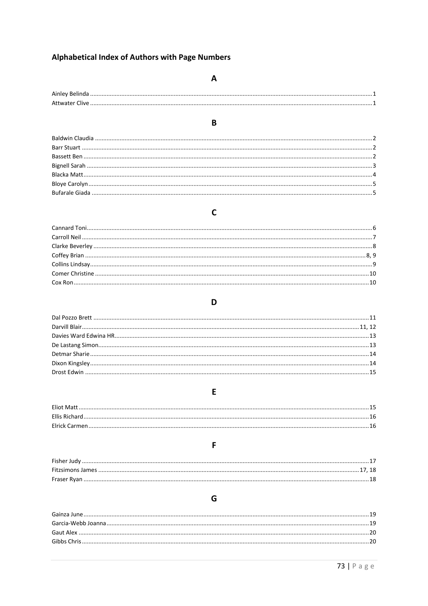### **Alphabetical Index of Authors with Page Numbers**

### $\mathbf{A}$

# 

B

### $\mathsf{C}$

#### D

### 

#### E

## 

### F

# 

### G

###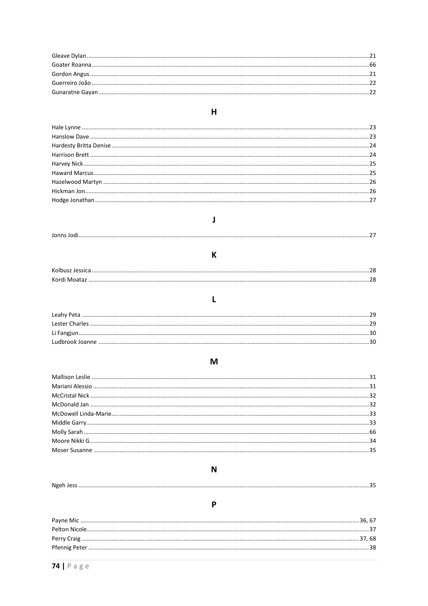### $H$

# $\mathbf{J}$

 $\mathsf K$ 

# $\mathbf{L}$

# $\mathsf{M}$

### $\mathbf N$

# 

# $\mathsf{P}$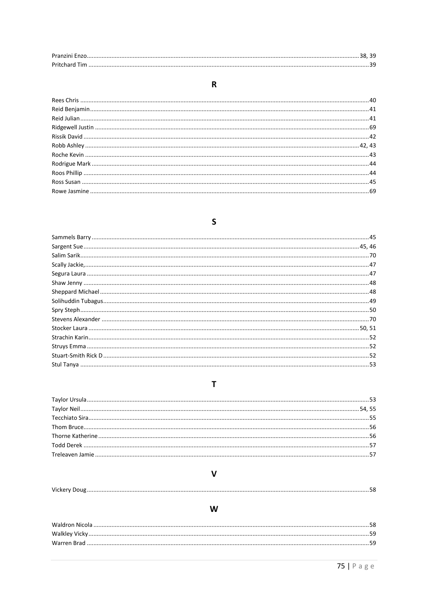# $\mathbf R$

# $\mathsf{S}$

# $\bar{\mathbf{T}}$

# $\mathsf{V}$

W